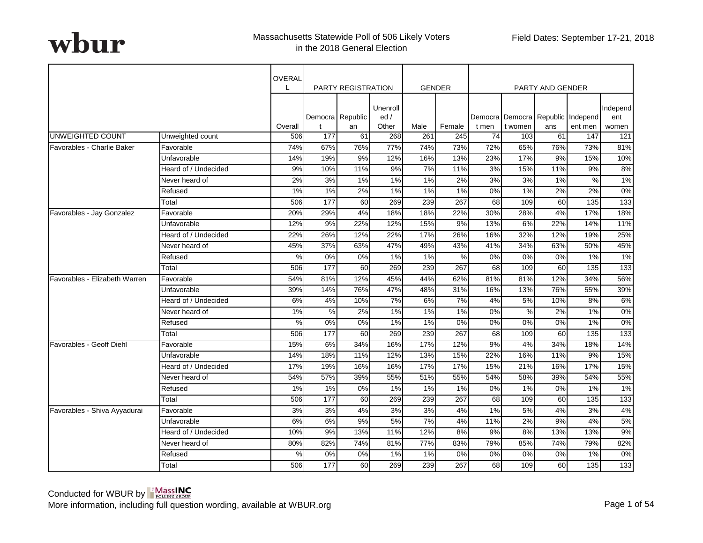|                               |                      | OVERAL        |                  | <b>PARTY REGISTRATION</b> |                           |       | <b>GENDER</b> |       |         | <b>PARTY AND GENDER</b> |                                              |                          |
|-------------------------------|----------------------|---------------|------------------|---------------------------|---------------------------|-------|---------------|-------|---------|-------------------------|----------------------------------------------|--------------------------|
|                               |                      | Overall       | t                | Democra Republic<br>an    | Unenroll<br>ed /<br>Other | Male  | Female        | t men | t women | ans                     | Democra Democra Republic Independ<br>ent men | Independ<br>ent<br>women |
| UNWEIGHTED COUNT              | Unweighted count     | 506           | 177              | 61                        | 268                       | 261   | 245           | 74    | 103     | 61                      | 147                                          | 121                      |
| Favorables - Charlie Baker    | Favorable            | 74%           | 67%              | 76%                       | 77%                       | 74%   | 73%           | 72%   | 65%     | 76%                     | 73%                                          | 81%                      |
|                               | Unfavorable          | 14%           | 19%              | 9%                        | 12%                       | 16%   | 13%           | 23%   | 17%     | 9%                      | 15%                                          | 10%                      |
|                               | Heard of / Undecided | 9%            | 10%              | 11%                       | 9%                        | 7%    | 11%           | 3%    | 15%     | 11%                     | 9%                                           | 8%                       |
|                               | Never heard of       | 2%            | 3%               | 1%                        | 1%                        | $1\%$ | 2%            | 3%    | 3%      | $1\%$                   | %                                            | 1%                       |
|                               | Refused              | 1%            | 1%               | 2%                        | 1%                        | 1%    | 1%            | 0%    | 1%      | 2%                      | 2%                                           | 0%                       |
|                               | Total                | 506           | 177              | 60                        | 269                       | 239   | 267           | 68    | 109     | 60                      | 135                                          | 133                      |
| Favorables - Jay Gonzalez     | Favorable            | 20%           | 29%              | 4%                        | 18%                       | 18%   | 22%           | 30%   | 28%     | 4%                      | 17%                                          | 18%                      |
|                               | Unfavorable          | 12%           | 9%               | 22%                       | 12%                       | 15%   | 9%            | 13%   | 6%      | 22%                     | 14%                                          | 11%                      |
|                               | Heard of / Undecided | 22%           | 26%              | 12%                       | 22%                       | 17%   | 26%           | 16%   | 32%     | 12%                     | 19%                                          | 25%                      |
|                               | Never heard of       | 45%           | 37%              | 63%                       | 47%                       | 49%   | 43%           | 41%   | 34%     | 63%                     | 50%                                          | 45%                      |
|                               | Refused              | $\frac{8}{2}$ | $\overline{0\%}$ | 0%                        | $1\%$                     | $1\%$ | $\%$          | 0%    | $0\%$   | $0\%$                   | 1%                                           | 1%                       |
|                               | Total                | 506           | 177              | 60                        | 269                       | 239   | 267           | 68    | 109     | 60                      | 135                                          | 133                      |
| Favorables - Elizabeth Warren | Favorable            | 54%           | 81%              | 12%                       | 45%                       | 44%   | 62%           | 81%   | 81%     | 12%                     | 34%                                          | 56%                      |
|                               | Unfavorable          | 39%           | 14%              | 76%                       | 47%                       | 48%   | 31%           | 16%   | 13%     | 76%                     | 55%                                          | 39%                      |
|                               | Heard of / Undecided | 6%            | 4%               | 10%                       | 7%                        | 6%    | 7%            | 4%    | 5%      | 10%                     | 8%                                           | 6%                       |
|                               | Never heard of       | $1\%$         | %                | 2%                        | 1%                        | $1\%$ | $1\%$         | $0\%$ | $\%$    | 2%                      | 1%                                           | $0\%$                    |
|                               | Refused              | $\%$          | $0\%$            | 0%                        | 1%                        | 1%    | 0%            | 0%    | $0\%$   | 0%                      | 1%                                           | 0%                       |
|                               | Total                | 506           | 177              | 60                        | 269                       | 239   | 267           | 68    | 109     | 60                      | $\frac{1}{135}$                              | 133                      |
| Favorables - Geoff Diehl      | Favorable            | 15%           | 6%               | 34%                       | 16%                       | 17%   | 12%           | 9%    | 4%      | 34%                     | 18%                                          | 14%                      |
|                               | Unfavorable          | 14%           | 18%              | 11%                       | 12%                       | 13%   | 15%           | 22%   | 16%     | 11%                     | 9%                                           | 15%                      |
|                               | Heard of / Undecided | 17%           | 19%              | 16%                       | 16%                       | 17%   | 17%           | 15%   | 21%     | 16%                     | 17%                                          | 15%                      |
|                               | Never heard of       | 54%           | 57%              | 39%                       | 55%                       | 51%   | 55%           | 54%   | 58%     | 39%                     | 54%                                          | 55%                      |
|                               | Refused              | 1%            | 1%               | 0%                        | 1%                        | 1%    | 1%            | 0%    | 1%      | 0%                      | 1%                                           | 1%                       |
|                               | Total                | 506           | 177              | 60                        | 269                       | 239   | 267           | 68    | 109     | 60                      | 135                                          | $\overline{133}$         |
| Favorables - Shiva Ayyadurai  | Favorable            | 3%            | 3%               | 4%                        | 3%                        | 3%    | 4%            | 1%    | 5%      | 4%                      | 3%                                           | 4%                       |
|                               | Unfavorable          | 6%            | 6%               | 9%                        | 5%                        | 7%    | 4%            | 11%   | 2%      | 9%                      | 4%                                           | 5%                       |
|                               | Heard of / Undecided | 10%           | 9%               | 13%                       | 11%                       | 12%   | 8%            | 9%    | 8%      | 13%                     | 13%                                          | 9%                       |
|                               | Never heard of       | 80%           | 82%              | 74%                       | 81%                       | 77%   | 83%           | 79%   | 85%     | 74%                     | 79%                                          | 82%                      |
|                               | Refused              | %             | $0\%$            | 0%                        | 1%                        | $1\%$ | 0%            | 0%    | 0%      | 0%                      | 1%                                           | $0\%$                    |
|                               | Total                | 506           | 177              | 60                        | 269                       | 239   | 267           | 68    | 109     | 60                      | 135                                          | 133                      |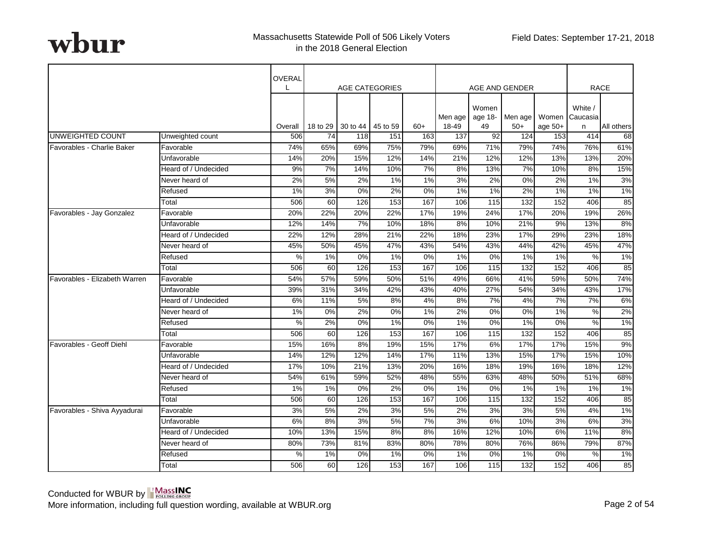|                               |                      | OVERAL  |                  | <b>AGE CATEGORIES</b> |          |       |         |                  | AGE AND GENDER   |           |                     | <b>RACE</b> |
|-------------------------------|----------------------|---------|------------------|-----------------------|----------|-------|---------|------------------|------------------|-----------|---------------------|-------------|
|                               |                      |         |                  |                       |          |       | Men age | Women<br>age 18- | Men age          | Women     | White /<br>Caucasia |             |
|                               |                      | Overall | 18 to 29         | 30 to 44              | 45 to 59 | $60+$ | 18-49   | 49               | $50+$            | age $50+$ | n                   | All others  |
| UNWEIGHTED COUNT              | Unweighted count     | 506     | 74               | 118                   | 151      | 163   | 137     | 92               | 124              | 153       | 414                 | 68          |
| Favorables - Charlie Baker    | Favorable            | 74%     | 65%              | 69%                   | 75%      | 79%   | 69%     | 71%              | 79%              | 74%       | 76%                 | 61%         |
|                               | Unfavorable          | 14%     | 20%              | 15%                   | 12%      | 14%   | 21%     | 12%              | 12%              | 13%       | 13%                 | 20%         |
|                               | Heard of / Undecided | 9%      | 7%               | 14%                   | 10%      | 7%    | 8%      | 13%              | 7%               | 10%       | 8%                  | 15%         |
|                               | Never heard of       | 2%      | 5%               | 2%                    | $1\%$    | $1\%$ | 3%      | 2%               | $\overline{0\%}$ | 2%        | 1%                  | 3%          |
|                               | Refused              | 1%      | 3%               | 0%                    | 2%       | 0%    | 1%      | 1%               | 2%               | 1%        | 1%                  | 1%          |
|                               | Total                | 506     | 60               | 126                   | 153      | 167   | 106     | 115              | 132              | 152       | 406                 | 85          |
| Favorables - Jay Gonzalez     | Favorable            | 20%     | 22%              | 20%                   | 22%      | 17%   | 19%     | 24%              | 17%              | 20%       | 19%                 | 26%         |
|                               | Unfavorable          | 12%     | 14%              | 7%                    | 10%      | 18%   | 8%      | 10%              | 21%              | 9%        | 13%                 | 8%          |
|                               | Heard of / Undecided | 22%     | 12%              | 28%                   | 21%      | 22%   | 18%     | 23%              | 17%              | 29%       | 23%                 | 18%         |
|                               | Never heard of       | 45%     | 50%              | 45%                   | 47%      | 43%   | 54%     | 43%              | 44%              | 42%       | 45%                 | 47%         |
|                               | Refused              | %       | $1\%$            | 0%                    | $1\%$    | $0\%$ | $1\%$   | $0\%$            | 1%               | 1%        | %                   | $1\%$       |
|                               | Total                | 506     | 60               | 126                   | 153      | 167   | 106     | 115              | 132              | 152       | 406                 | 85          |
| Favorables - Elizabeth Warren | Favorable            | 54%     | 57%              | 59%                   | 50%      | 51%   | 49%     | 66%              | 41%              | 59%       | 50%                 | 74%         |
|                               | Unfavorable          | 39%     | 31%              | 34%                   | 42%      | 43%   | 40%     | 27%              | 54%              | 34%       | 43%                 | 17%         |
|                               | Heard of / Undecided | 6%      | 11%              | 5%                    | 8%       | 4%    | 8%      | 7%               | 4%               | 7%        | 7%                  | 6%          |
|                               | Never heard of       | $1\%$   | $\overline{0\%}$ | 2%                    | 0%       | $1\%$ | 2%      | $0\%$            | $0\%$            | 1%        | %                   | 2%          |
|                               | Refused              | $\%$    | 2%               | 0%                    | 1%       | $0\%$ | 1%      | 0%               | 1%               | 0%        | $\%$                | 1%          |
|                               | Total                | 506     | 60               | 126                   | 153      | 167   | 106     | $115$            | 132              | 152       | 406                 | 85          |
| Favorables - Geoff Diehl      | Favorable            | 15%     | 16%              | 8%                    | 19%      | 15%   | 17%     | 6%               | 17%              | 17%       | 15%                 | 9%          |
|                               | Unfavorable          | 14%     | 12%              | 12%                   | 14%      | 17%   | 11%     | 13%              | 15%              | 17%       | 15%                 | 10%         |
|                               | Heard of / Undecided | 17%     | 10%              | 21%                   | 13%      | 20%   | 16%     | 18%              | 19%              | 16%       | 18%                 | 12%         |
|                               | Never heard of       | 54%     | 61%              | 59%                   | 52%      | 48%   | 55%     | 63%              | 48%              | 50%       | 51%                 | 68%         |
|                               | Refused              | 1%      | 1%               | 0%                    | 2%       | $0\%$ | 1%      | 0%               | 1%               | 1%        | 1%                  | 1%          |
|                               | Total                | 506     | 60               | 126                   | 153      | 167   | 106     | 115              | 132              | 152       | 406                 | 85          |
| Favorables - Shiva Ayyadurai  | Favorable            | 3%      | 5%               | 2%                    | 3%       | 5%    | 2%      | 3%               | 3%               | 5%        | 4%                  | 1%          |
|                               | Unfavorable          | 6%      | 8%               | 3%                    | 5%       | 7%    | 3%      | 6%               | 10%              | 3%        | 6%                  | 3%          |
|                               | Heard of / Undecided | 10%     | 13%              | 15%                   | 8%       | 8%    | 16%     | 12%              | 10%              | 6%        | 11%                 | 8%          |
|                               | Never heard of       | 80%     | 73%              | 81%                   | 83%      | 80%   | 78%     | 80%              | 76%              | 86%       | 79%                 | 87%         |
|                               | Refused              | %       | 1%               | 0%                    | 1%       | $0\%$ | 1%      | 0%               | 1%               | 0%        | %                   | 1%          |
|                               | Total                | 506     | 60               | 126                   | 153      | 167   | 106     | 115              | 132              | 152       | 406                 | 85          |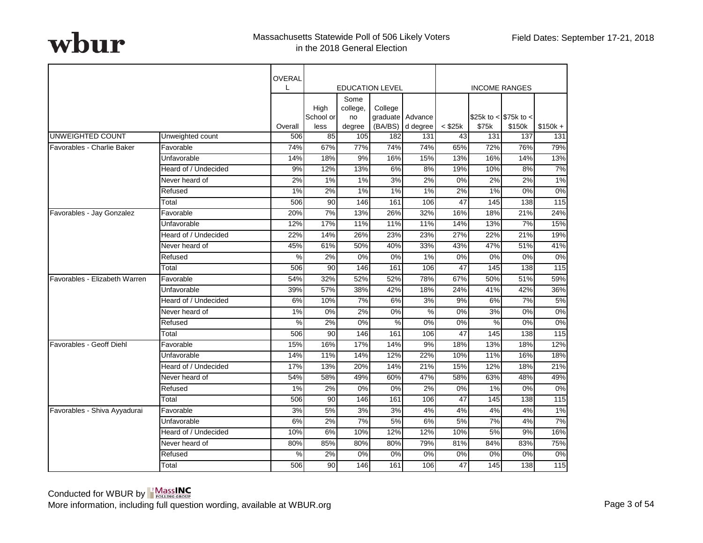|                               |                      | OVERAL        |                   |                        |                        |                  |              |                        |        |                   |
|-------------------------------|----------------------|---------------|-------------------|------------------------|------------------------|------------------|--------------|------------------------|--------|-------------------|
|                               |                      | $\mathbf{L}$  |                   |                        | <b>EDUCATION LEVEL</b> |                  |              | <b>INCOME RANGES</b>   |        |                   |
|                               |                      |               | High<br>School or | Some<br>college,<br>no | College                | graduate Advance |              | \$25k to < $$75k$ to < |        |                   |
|                               |                      | Overall       | less              | degree                 | (BA/BS)                | d degree         | $<$ \$25 $k$ | \$75k                  | \$150k | $$150k +$         |
| UNWEIGHTED COUNT              | Unweighted count     | 506           | 85                | 105                    | 182                    | 131              | 43           | 131                    | 137    | 131               |
| Favorables - Charlie Baker    | Favorable            | 74%           | 67%               | 77%                    | 74%                    | 74%              | 65%          | 72%                    | 76%    | 79%               |
|                               | Unfavorable          | 14%           | 18%               | 9%                     | 16%                    | 15%              | 13%          | 16%                    | 14%    | 13%               |
|                               | Heard of / Undecided | 9%            | 12%               | 13%                    | 6%                     | 8%               | 19%          | 10%                    | 8%     | 7%                |
|                               | Never heard of       | 2%            | $1\%$             | 1%                     | 3%                     | 2%               | 0%           | 2%                     | 2%     | 1%                |
|                               | Refused              | 1%            | 2%                | 1%                     | 1%                     | 1%               | 2%           | 1%                     | 0%     | $0\%$             |
|                               | Total                | 506           | 90                | 146                    | 161                    | 106              | 47           | 145                    | 138    | $\frac{115}{2}$   |
| Favorables - Jay Gonzalez     | Favorable            | 20%           | 7%                | 13%                    | 26%                    | 32%              | 16%          | 18%                    | 21%    | 24%               |
|                               | Unfavorable          | 12%           | 17%               | 11%                    | 11%                    | 11%              | 14%          | 13%                    | 7%     | 15%               |
|                               | Heard of / Undecided | 22%           | 14%               | 26%                    | 23%                    | 23%              | 27%          | 22%                    | 21%    | 19%               |
|                               | Never heard of       | 45%           | 61%               | 50%                    | 40%                    | 33%              | 43%          | 47%                    | 51%    | 41%               |
|                               | Refused              | $\frac{9}{6}$ | 2%                | 0%                     | 0%                     | 1%               | 0%           | $\overline{0\%}$       | 0%     | $0\%$             |
|                               | Total                | 506           | 90                | 146                    | 161                    | 106              | 47           | 145                    | 138    | 115               |
| Favorables - Elizabeth Warren | Favorable            | 54%           | 32%               | 52%                    | 52%                    | 78%              | 67%          | 50%                    | 51%    | 59%               |
|                               | Unfavorable          | 39%           | 57%               | 38%                    | 42%                    | 18%              | 24%          | 41%                    | 42%    | 36%               |
|                               | Heard of / Undecided | 6%            | 10%               | 7%                     | 6%                     | 3%               | 9%           | 6%                     | 7%     | 5%                |
|                               | Never heard of       | 1%            | 0%                | 2%                     | 0%                     | %                | 0%           | 3%                     | 0%     | 0%                |
|                               | Refused              | %             | 2%                | 0%                     | %                      | 0%               | 0%           | $\%$                   | 0%     | 0%                |
|                               | Total                | 506           | 90                | 146                    | 161                    | 106              | 47           | 145                    | 138    | $\frac{115}{115}$ |
| Favorables - Geoff Diehl      | Favorable            | 15%           | 16%               | 17%                    | 14%                    | 9%               | 18%          | 13%                    | 18%    | 12%               |
|                               | Unfavorable          | 14%           | 11%               | 14%                    | 12%                    | 22%              | 10%          | 11%                    | 16%    | 18%               |
|                               | Heard of / Undecided | 17%           | 13%               | 20%                    | 14%                    | 21%              | 15%          | 12%                    | 18%    | 21%               |
|                               | Never heard of       | 54%           | 58%               | 49%                    | 60%                    | 47%              | 58%          | 63%                    | 48%    | 49%               |
|                               | Refused              | 1%            | 2%                | 0%                     | 0%                     | 2%               | 0%           | 1%                     | 0%     | 0%                |
|                               | Total                | 506           | 90                | 146                    | 161                    | 106              | 47           | 145                    | 138    | 115               |
| Favorables - Shiva Ayyadurai  | Favorable            | 3%            | 5%                | 3%                     | 3%                     | 4%               | 4%           | 4%                     | 4%     | 1%                |
|                               | Unfavorable          | 6%            | 2%                | 7%                     | 5%                     | 6%               | 5%           | 7%                     | 4%     | 7%                |
|                               | Heard of / Undecided | 10%           | 6%                | 10%                    | 12%                    | 12%              | 10%          | 5%                     | 9%     | 16%               |
|                               | Never heard of       | 80%           | 85%               | 80%                    | 80%                    | 79%              | 81%          | 84%                    | 83%    | 75%               |
|                               | Refused              | %             | 2%                | 0%                     | 0%                     | 0%               | 0%           | 0%                     | 0%     | 0%                |
|                               | Total                | 506           | 90                | 146                    | 161                    | 106              | 47           | 145                    | 138    | 115               |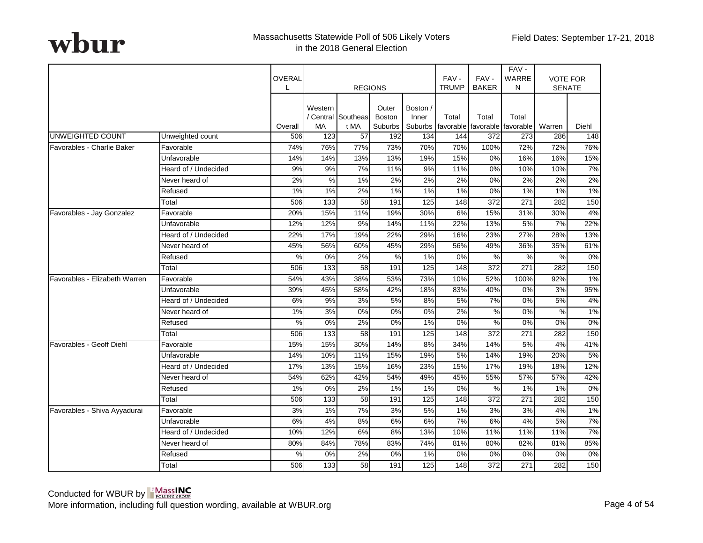|                               |                      | OVERAL<br>L | <b>REGIONS</b>                                                                                                          |                 |      |     | FAV-<br><b>TRUMP</b> | FAV-<br><b>BAKER</b> | FAV-<br>WARRE<br>N           | <b>VOTE FOR</b><br><b>SENATE</b> |       |
|-------------------------------|----------------------|-------------|-------------------------------------------------------------------------------------------------------------------------|-----------------|------|-----|----------------------|----------------------|------------------------------|----------------------------------|-------|
|                               |                      | Overall     | Western<br>Outer<br>Boston /<br>/ Central Southeas<br><b>Boston</b><br>Inner<br>MA<br>t MA<br><b>Suburbs</b><br>Suburbs |                 |      |     | Total<br>favorable   | Total                | Total<br>favorable favorable | Warren                           | Diehl |
| UNWEIGHTED COUNT              | Unweighted count     | 506         | 123                                                                                                                     | 57              | 192  | 134 | 144                  | 372                  | 273                          | 286                              | 148   |
| Favorables - Charlie Baker    | Favorable            | 74%         | 76%                                                                                                                     | 77%             | 73%  | 70% | 70%                  | 100%                 | 72%                          | 72%                              | 76%   |
|                               | Unfavorable          | 14%         | 14%                                                                                                                     | 13%             | 13%  | 19% | 15%                  | 0%                   | 16%                          | 16%                              | 15%   |
|                               | Heard of / Undecided | 9%          | 9%                                                                                                                      | 7%              | 11%  | 9%  | 11%                  | 0%                   | 10%                          | 10%                              | 7%    |
|                               | Never heard of       | 2%          | $\%$                                                                                                                    | 1%              | 2%   | 2%  | 2%                   | 0%                   | 2%                           | 2%                               | 2%    |
|                               | Refused              | 1%          | 1%                                                                                                                      | 2%              | 1%   | 1%  | 1%                   | 0%                   | 1%                           | 1%                               | 1%    |
|                               | Total                | 506         | 133                                                                                                                     | 58              | 191  | 125 | 148                  | 372                  | $\overline{271}$             | 282                              | 150   |
| Favorables - Jay Gonzalez     | Favorable            | 20%         | 15%                                                                                                                     | 11%             | 19%  | 30% | 6%                   | 15%                  | 31%                          | 30%                              | 4%    |
|                               | Unfavorable          | 12%         | 12%                                                                                                                     | 9%              | 14%  | 11% | 22%                  | 13%                  | 5%                           | 7%                               | 22%   |
|                               | Heard of / Undecided | 22%         | 17%                                                                                                                     | 19%             | 22%  | 29% | 16%                  | 23%                  | 27%                          | 28%                              | 13%   |
|                               | Never heard of       | 45%         | 56%                                                                                                                     | 60%             | 45%  | 29% | 56%                  | 49%                  | 36%                          | 35%                              | 61%   |
|                               | Refused              | %           | 0%                                                                                                                      | 2%              | $\%$ | 1%  | 0%                   | %                    | $\frac{0}{0}$                | %                                | $0\%$ |
|                               | Total                | 506         | $\overline{133}$                                                                                                        | $\overline{58}$ | 191  | 125 | 148                  | 372                  | $\overline{271}$             | 282                              | 150   |
| Favorables - Elizabeth Warren | Favorable            | 54%         | 43%                                                                                                                     | 38%             | 53%  | 73% | 10%                  | 52%                  | 100%                         | 92%                              | 1%    |
|                               | Unfavorable          | 39%         | 45%                                                                                                                     | 58%             | 42%  | 18% | 83%                  | 40%                  | $0\%$                        | 3%                               | 95%   |
|                               | Heard of / Undecided | 6%          | 9%                                                                                                                      | 3%              | 5%   | 8%  | 5%                   | 7%                   | $0\%$                        | 5%                               | 4%    |
|                               | Never heard of       | 1%          | 3%                                                                                                                      | 0%              | 0%   | 0%  | 2%                   | %                    | $0\%$                        | %                                | $1\%$ |
|                               | Refused              | %           | 0%                                                                                                                      | 2%              | 0%   | 1%  | 0%                   | %                    | 0%                           | 0%                               | 0%    |
|                               | Total                | 506         | 133                                                                                                                     | 58              | 191  | 125 | 148                  | $\overline{372}$     | 271                          | 282                              | 150   |
| Favorables - Geoff Diehl      | Favorable            | 15%         | 15%                                                                                                                     | 30%             | 14%  | 8%  | 34%                  | 14%                  | 5%                           | 4%                               | 41%   |
|                               | Unfavorable          | 14%         | 10%                                                                                                                     | 11%             | 15%  | 19% | 5%                   | 14%                  | 19%                          | 20%                              | 5%    |
|                               | Heard of / Undecided | 17%         | 13%                                                                                                                     | 15%             | 16%  | 23% | 15%                  | 17%                  | 19%                          | 18%                              | 12%   |
|                               | Never heard of       | 54%         | 62%                                                                                                                     | 42%             | 54%  | 49% | 45%                  | 55%                  | 57%                          | 57%                              | 42%   |
|                               | Refused              | 1%          | 0%                                                                                                                      | 2%              | 1%   | 1%  | 0%                   | %                    | 1%                           | 1%                               | 0%    |
|                               | Total                | 506         | 133                                                                                                                     | 58              | 191  | 125 | 148                  | 372                  | 271                          | 282                              | 150   |
| Favorables - Shiva Ayyadurai  | Favorable            | 3%          | 1%                                                                                                                      | 7%              | 3%   | 5%  | 1%                   | 3%                   | 3%                           | 4%                               | 1%    |
|                               | Unfavorable          | 6%          | 4%                                                                                                                      | 8%              | 6%   | 6%  | 7%                   | 6%                   | 4%                           | 5%                               | 7%    |
|                               | Heard of / Undecided | 10%         | 12%                                                                                                                     | 6%              | 8%   | 13% | 10%                  | 11%                  | 11%                          | 11%                              | 7%    |
|                               | Never heard of       | 80%         | 84%                                                                                                                     | 78%             | 83%  | 74% | 81%                  | 80%                  | 82%                          | 81%                              | 85%   |
|                               | Refused              | %           | 0%                                                                                                                      | 2%              | 0%   | 1%  | 0%                   | 0%                   | 0%                           | 0%                               | 0%    |
|                               | Total                | 506         | 133                                                                                                                     | 58              | 191  | 125 | 148                  | 372                  | 271                          | 282                              | 150   |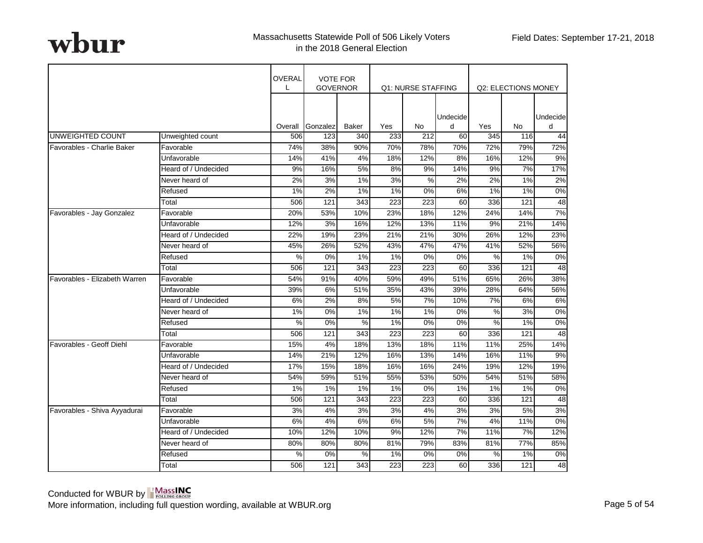|                               |                      | OVERAL<br>L | <b>VOTE FOR</b><br><b>GOVERNOR</b> |              |                  | Q1: NURSE STAFFING |               |               | Q2: ELECTIONS MONEY |               |
|-------------------------------|----------------------|-------------|------------------------------------|--------------|------------------|--------------------|---------------|---------------|---------------------|---------------|
|                               |                      | Overall     | Gonzalez                           | <b>Baker</b> | Yes              | No                 | Undecide<br>d | Yes           | No                  | Undecide<br>d |
| UNWEIGHTED COUNT              | Unweighted count     | 506         | 123                                | 340          | 233              | 212                | 60            | 345           | 116                 | 44            |
| Favorables - Charlie Baker    | Favorable            | 74%         | 38%                                | 90%          | 70%              | 78%                | 70%           | 72%           | 79%                 | 72%           |
|                               | Unfavorable          | 14%         | 41%                                | 4%           | 18%              | 12%                | 8%            | 16%           | 12%                 | 9%            |
|                               | Heard of / Undecided | 9%          | 16%                                | 5%           | 8%               | 9%                 | 14%           | 9%            | 7%                  | 17%           |
|                               | Never heard of       | 2%          | 3%                                 | 1%           | 3%               | %                  | 2%            | 2%            | 1%                  | 2%            |
|                               | Refused              | 1%          | 2%                                 | 1%           | 1%               | 0%                 | 6%            | 1%            | 1%                  | 0%            |
|                               | Total                | 506         | 121                                | 343          | 223              | 223                | 60            | 336           | 121                 | 48            |
| Favorables - Jay Gonzalez     | Favorable            | 20%         | 53%                                | 10%          | 23%              | 18%                | 12%           | 24%           | 14%                 | 7%            |
|                               | Unfavorable          | 12%         | 3%                                 | 16%          | 12%              | 13%                | 11%           | 9%            | 21%                 | 14%           |
|                               | Heard of / Undecided | 22%         | 19%                                | 23%          | 21%              | 21%                | 30%           | 26%           | 12%                 | 23%           |
|                               | Never heard of       | 45%         | 26%                                | 52%          | 43%              | 47%                | 47%           | 41%           | 52%                 | 56%           |
|                               | Refused              | %           | 0%                                 | 1%           | 1%               | 0%                 | 0%            | %             | 1%                  | 0%            |
|                               | Total                | 506         | 121                                | 343          | $\overline{223}$ | 223                | 60            | 336           | 121                 | 48            |
| Favorables - Elizabeth Warren | Favorable            | 54%         | 91%                                | 40%          | 59%              | 49%                | 51%           | 65%           | 26%                 | 38%           |
|                               | Unfavorable          | 39%         | 6%                                 | 51%          | 35%              | 43%                | 39%           | 28%           | 64%                 | 56%           |
|                               | Heard of / Undecided | 6%          | 2%                                 | 8%           | 5%               | 7%                 | 10%           | 7%            | 6%                  | 6%            |
|                               | Never heard of       | $1\%$       | 0%                                 | 1%           | $1\%$            | 1%                 | 0%            | %             | 3%                  | $0\%$         |
|                               | Refused              | $\%$        | 0%                                 | $\%$         | 1%               | 0%                 | 0%            | $\%$          | 1%                  | 0%            |
|                               | Total                | 506         | 121                                | 343          | 223              | 223                | 60            | 336           | 121                 | 48            |
| Favorables - Geoff Diehl      | Favorable            | 15%         | 4%                                 | 18%          | 13%              | 18%                | 11%           | 11%           | 25%                 | 14%           |
|                               | Unfavorable          | 14%         | 21%                                | 12%          | 16%              | 13%                | 14%           | 16%           | 11%                 | 9%            |
|                               | Heard of / Undecided | 17%         | 15%                                | 18%          | 16%              | 16%                | 24%           | 19%           | 12%                 | 19%           |
|                               | Never heard of       | 54%         | 59%                                | 51%          | 55%              | 53%                | 50%           | 54%           | 51%                 | 58%           |
|                               | Refused              | 1%          | 1%                                 | 1%           | $1\%$            | 0%                 | 1%            | $1\%$         | 1%                  | 0%            |
|                               | Total                | 506         | 121                                | 343          | 223              | 223                | 60            | 336           | 121                 | 48            |
| Favorables - Shiva Ayyadurai  | Favorable            | 3%          | 4%                                 | 3%           | 3%               | 4%                 | 3%            | 3%            | 5%                  | 3%            |
|                               | Unfavorable          | 6%          | 4%                                 | 6%           | 6%               | 5%                 | 7%            | 4%            | 11%                 | $0\%$         |
|                               | Heard of / Undecided | 10%         | 12%                                | 10%          | 9%               | 12%                | 7%            | 11%           | 7%                  | 12%           |
|                               | Never heard of       | 80%         | 80%                                | 80%          | 81%              | 79%                | 83%           | 81%           | 77%                 | 85%           |
|                               | Refused              | $\%$        | 0%                                 | $\%$         | 1%               | 0%                 | 0%            | $\frac{8}{2}$ | 1%                  | $0\%$         |
|                               | Total                | 506         | 121                                | 343          | 223              | 223                | 60            | 336           | 121                 | 48            |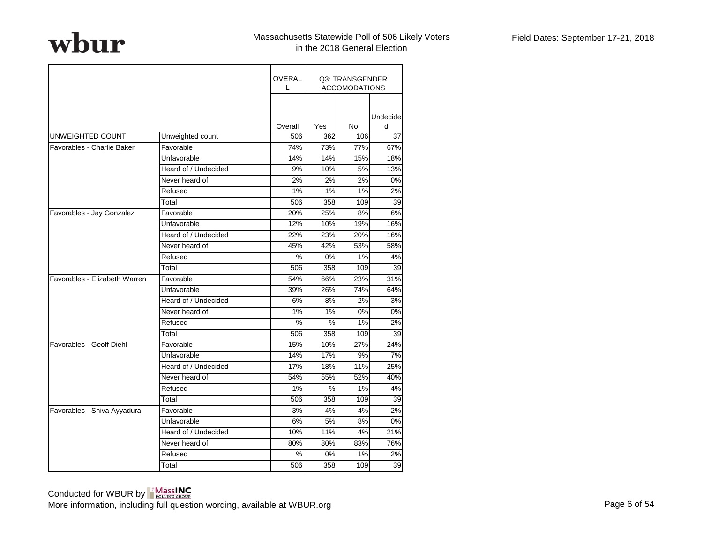|                               |                      | OVERAL<br>L |     | Q3: TRANSGENDER<br><b>ACCOMODATIONS</b> |               |
|-------------------------------|----------------------|-------------|-----|-----------------------------------------|---------------|
|                               |                      | Overall     | Yes | No                                      | Undecide<br>d |
| UNWEIGHTED COUNT              | Unweighted count     | 506         | 362 | 106                                     | 37            |
| Favorables - Charlie Baker    | Favorable            | 74%         | 73% | 77%                                     | 67%           |
|                               | Unfavorable          | 14%         | 14% | 15%                                     | 18%           |
|                               | Heard of / Undecided | 9%          | 10% | 5%                                      | 13%           |
|                               | Never heard of       | 2%          | 2%  | 2%                                      | 0%            |
|                               | Refused              | 1%          | 1%  | 1%                                      | 2%            |
|                               | Total                | 506         | 358 | 109                                     | 39            |
| Favorables - Jay Gonzalez     | Favorable            | 20%         | 25% | 8%                                      | 6%            |
|                               | Unfavorable          | 12%         | 10% | 19%                                     | 16%           |
|                               | Heard of / Undecided | 22%         | 23% | 20%                                     | 16%           |
|                               | Never heard of       | 45%         | 42% | 53%                                     | 58%           |
|                               | Refused              | %           | 0%  | 1%                                      | 4%            |
|                               | Total                | 506         | 358 | 109                                     | 39            |
| Favorables - Elizabeth Warren | Favorable            | 54%         | 66% | 23%                                     | 31%           |
|                               | Unfavorable          | 39%         | 26% | 74%                                     | 64%           |
|                               | Heard of / Undecided | 6%          | 8%  | 2%                                      | 3%            |
|                               | Never heard of       | 1%          | 1%  | 0%                                      | 0%            |
|                               | Refused              | $\%$        | %   | 1%                                      | 2%            |
|                               | Total                | 506         | 358 | 109                                     | 39            |
| Favorables - Geoff Diehl      | Favorable            | 15%         | 10% | 27%                                     | 24%           |
|                               | Unfavorable          | 14%         | 17% | 9%                                      | 7%            |
|                               | Heard of / Undecided | 17%         | 18% | 11%                                     | 25%           |
|                               | Never heard of       | 54%         | 55% | 52%                                     | 40%           |
|                               | Refused              | 1%          | %   | 1%                                      | 4%            |
|                               | Total                | 506         | 358 | 109                                     | 39            |
| Favorables - Shiva Ayyadurai  | Favorable            | 3%          | 4%  | 4%                                      | 2%            |
|                               | Unfavorable          | 6%          | 5%  | 8%                                      | 0%            |
|                               | Heard of / Undecided | 10%         | 11% | 4%                                      | 21%           |
|                               | Never heard of       | 80%         | 80% | 83%                                     | 76%           |
|                               | Refused              | %           | 0%  | 1%                                      | 2%            |
|                               | Total                | 506         | 358 | 109                                     | 39            |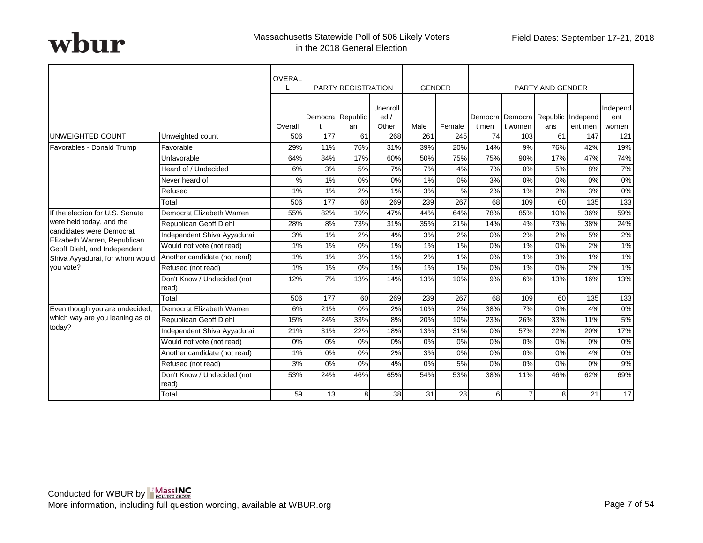|                                                              |                                      | <b>OVERAL</b> |                  | <b>PARTY REGISTRATION</b> |                 |      | <b>GENDER</b> |       |                                   | <b>PARTY AND GENDER</b> |         |                  |
|--------------------------------------------------------------|--------------------------------------|---------------|------------------|---------------------------|-----------------|------|---------------|-------|-----------------------------------|-------------------------|---------|------------------|
|                                                              |                                      |               |                  | Democra Republic          | Unenroll<br>ed/ |      |               |       | Democra Democra Republic Independ |                         |         | Independ<br>ent  |
|                                                              |                                      | Overall       |                  | an                        | Other           | Male | Female        | t men | t women                           | ans                     | ent men | women            |
| UNWEIGHTED COUNT                                             | Unweighted count                     | 506           | 177              | 61                        | 268             | 261  | 245           | 74    | 103                               | 61                      | 147     | 121              |
| Favorables - Donald Trump                                    | Favorable                            | 29%           | 11%              | 76%                       | 31%             | 39%  | 20%           | 14%   | 9%                                | 76%                     | 42%     | 19%              |
|                                                              | Unfavorable                          | 64%           | 84%              | 17%                       | 60%             | 50%  | 75%           | 75%   | 90%                               | 17%                     | 47%     | 74%              |
|                                                              | Heard of / Undecided                 | 6%            | 3%               | 5%                        | 7%              | 7%   | 4%            | 7%    | 0%                                | 5%                      | 8%      | 7%               |
|                                                              | Never heard of                       | $\%$          | 1%               | 0%                        | 0%              | 1%   | 0%            | 3%    | 0%                                | 0%                      | 0%      | 0%               |
|                                                              | Refused                              | 1%            | 1%               | 2%                        | 1%              | 3%   | $\%$          | 2%    | 1%                                | 2%                      | 3%      | 0%               |
|                                                              | Total                                | 506           | 177              | 60                        | 269             | 239  | 267           | 68    | 109                               | 60                      | 135     | $\overline{133}$ |
| If the election for U.S. Senate                              | Democrat Elizabeth Warren            | 55%           | 82%              | 10%                       | 47%             | 44%  | 64%           | 78%   | 85%                               | 10%                     | 36%     | 59%              |
| were held today, and the                                     | Republican Geoff Diehl               | 28%           | 8%               | 73%                       | 31%             | 35%  | 21%           | 14%   | 4%                                | 73%                     | 38%     | 24%              |
| candidates were Democrat                                     | Independent Shiva Ayyadurai          | 3%            | 1%               | 2%                        | 4%              | 3%   | 2%            | 0%    | $2\%$                             | 2%                      | 5%      | 2%               |
| Elizabeth Warren, Republican<br>Geoff Diehl, and Independent | Would not vote (not read)            | 1%            | 1%               | $0\%$                     | $1\%$           | 1%   | $1\%$         | 0%    | $1\%$                             | $0\%$                   | 2%      | $1\%$            |
| Shiva Ayyadurai, for whom would                              | Another candidate (not read)         | 1%            | 1%               | 3%                        | $1\%$           | 2%   | $1\%$         | 0%    | $1\%$                             | 3%                      | 1%      | 1%               |
| you vote?                                                    | Refused (not read)                   | 1%            | 1%               | 0%                        | $1\%$           | 1%   | $1\%$         | 0%    | $1\%$                             | $0\%$                   | 2%      | 1%               |
|                                                              | Don't Know / Undecided (not<br>read) | 12%           | 7%               | 13%                       | 14%             | 13%  | 10%           | 9%    | 6%                                | 13%                     | 16%     | 13%              |
|                                                              | Total                                | 506           | $\overline{177}$ | 60                        | 269             | 239  | 267           | 68    | 109                               | $\overline{60}$         | 135     | 133              |
| Even though you are undecided,                               | Democrat Elizabeth Warren            | 6%            | 21%              | 0%                        | 2%              | 10%  | 2%            | 38%   | 7%                                | $0\%$                   | 4%      | $0\%$            |
| which way are you leaning as of                              | Republican Geoff Diehl               | 15%           | 24%              | 33%                       | 8%              | 20%  | 10%           | 23%   | 26%                               | 33%                     | 11%     | 5%               |
| today?                                                       | Independent Shiva Ayyadurai          | 21%           | 31%              | 22%                       | 18%             | 13%  | 31%           | 0%    | 57%                               | 22%                     | 20%     | 17%              |
|                                                              | Would not vote (not read)            | 0%            | 0%               | 0%                        | 0%              | 0%   | 0%            | 0%    | 0%                                | 0%                      | 0%      | 0%               |
|                                                              | Another candidate (not read)         | 1%            | 0%               | 0%                        | 2%              | 3%   | $0\%$         | 0%    | 0%                                | 0%                      | 4%      | 0%               |
|                                                              | Refused (not read)                   | 3%            | 0%               | 0%                        | 4%              | 0%   | 5%            | 0%    | 0%                                | 0%                      | 0%      | 9%               |
|                                                              | Don't Know / Undecided (not<br>read) | 53%           | 24%              | 46%                       | 65%             | 54%  | 53%           | 38%   | 11%                               | 46%                     | 62%     | 69%              |
|                                                              | Total                                | 59            | 13               | 8                         | 38              | 31   | 28            | 6     | $\overline{7}$                    | 8                       | 21      | 17               |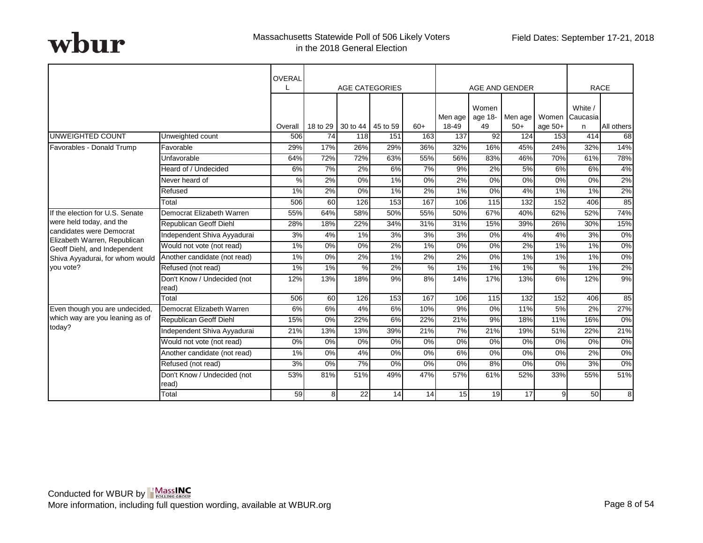|                                                          |                                      | <b>OVERAL</b> |          |                   | <b>AGE CATEGORIES</b> |               |                  |               | AGE AND GENDER   |                    |               | <b>RACE</b>    |
|----------------------------------------------------------|--------------------------------------|---------------|----------|-------------------|-----------------------|---------------|------------------|---------------|------------------|--------------------|---------------|----------------|
|                                                          |                                      |               |          |                   |                       |               |                  | Women         |                  |                    | White /       |                |
|                                                          |                                      | Overall       | 18 to 29 | 30 to 44 45 to 59 |                       | $60+$         | Men age<br>18-49 | age 18-<br>49 | Men age<br>$50+$ | Women<br>age $50+$ | Caucasia<br>n | All others     |
| <b>UNWEIGHTED COUNT</b>                                  | Unweighted count                     | 506           | 74       | 118               | 151                   | 163           | 137              | 92            | 124              | 153                | 414           | 68             |
| Favorables - Donald Trump                                | Favorable                            | 29%           | 17%      | 26%               | 29%                   | 36%           | 32%              | 16%           | 45%              | 24%                | 32%           | 14%            |
|                                                          | Unfavorable                          | 64%           | 72%      | 72%               | 63%                   | 55%           | 56%              | 83%           | 46%              | 70%                | 61%           | 78%            |
|                                                          | Heard of / Undecided                 | 6%            | 7%       | 2%                | 6%                    | 7%            | 9%               | 2%            | 5%               | 6%                 | 6%            | 4%             |
|                                                          | Never heard of                       | $\frac{9}{6}$ | 2%       | $0\%$             | $1\%$                 | $0\%$         | 2%               | 0%            | $\overline{0\%}$ | $0\%$              | 0%            | 2%             |
|                                                          | Refused                              | 1%            | 2%       | 0%                | 1%                    | 2%            | 1%               | 0%            | 4%               | 1%                 | 1%            | 2%             |
|                                                          | Total                                | 506           | 60       | 126               | 153                   | 167           | 106              | 115           | 132              | 152                | 406           | 85             |
| If the election for U.S. Senate                          | Democrat Elizabeth Warren            | 55%           | 64%      | 58%               | 50%                   | 55%           | 50%              | 67%           | 40%              | 62%                | 52%           | 74%            |
| were held today, and the                                 | Republican Geoff Diehl               | 28%           | 18%      | 22%               | 34%                   | 31%           | 31%              | 15%           | 39%              | 26%                | 30%           | 15%            |
| candidates were Democrat<br>Elizabeth Warren, Republican | Independent Shiva Ayyadurai          | 3%            | 4%       | 1%                | 3%                    | 3%            | 3%               | 0%            | 4%               | 4%                 | 3%            | $0\%$          |
| Geoff Diehl, and Independent                             | Would not vote (not read)            | 1%            | 0%       | 0%                | 2%                    | 1%            | 0%               | 0%            | 2%               | 1%                 | 1%            | $0\%$          |
| Shiva Ayyadurai, for whom would                          | Another candidate (not read)         | 1%            | 0%       | 2%                | $1\%$                 | 2%            | 2%               | 0%            | $1\%$            | 1%                 | 1%            | 0%             |
| vou vote?                                                | Refused (not read)                   | 1%            | 1%       | %                 | 2%                    | $\frac{9}{6}$ | 1%               | 1%            | 1%               | %                  | 1%            | 2%             |
|                                                          | Don't Know / Undecided (not<br>read) | 12%           | 13%      | 18%               | 9%                    | 8%            | 14%              | 17%           | 13%              | 6%                 | 12%           | 9%             |
|                                                          | Total                                | 506           | 60       | 126               | 153                   | 167           | 106              | 115           | 132              | 152                | 406           | 85             |
| Even though you are undecided,                           | Democrat Elizabeth Warren            | 6%            | 6%       | 4%                | 6%                    | 10%           | 9%               | 0%            | 11%              | 5%                 | 2%            | 27%            |
| which way are you leaning as of                          | Republican Geoff Diehl               | 15%           | 0%       | 22%               | 6%                    | 22%           | 21%              | 9%            | 18%              | 11%                | 16%           | 0%             |
| today?                                                   | Independent Shiva Ayyadurai          | 21%           | 13%      | 13%               | 39%                   | 21%           | 7%               | 21%           | 19%              | 51%                | 22%           | 21%            |
|                                                          | Would not vote (not read)            | 0%            | 0%       | 0%                | 0%                    | 0%            | 0%               | 0%            | 0%               | 0%                 | 0%            | 0%             |
|                                                          | Another candidate (not read)         | 1%            | 0%       | 4%                | 0%                    | 0%            | 6%               | 0%            | 0%               | 0%                 | 2%            | 0%             |
|                                                          | Refused (not read)                   | 3%            | 0%       | 7%                | 0%                    | 0%            | 0%               | 8%            | 0%               | 0%                 | 3%            | 0%             |
|                                                          | Don't Know / Undecided (not<br>read) | 53%           | 81%      | 51%               | 49%                   | 47%           | 57%              | 61%           | 52%              | 33%                | 55%           | 51%            |
|                                                          | Total                                | 59            | 8        | 22                | 14                    | 14            | 15               | 19            | 17               | $\overline{9}$     | 50            | 8 <sup>1</sup> |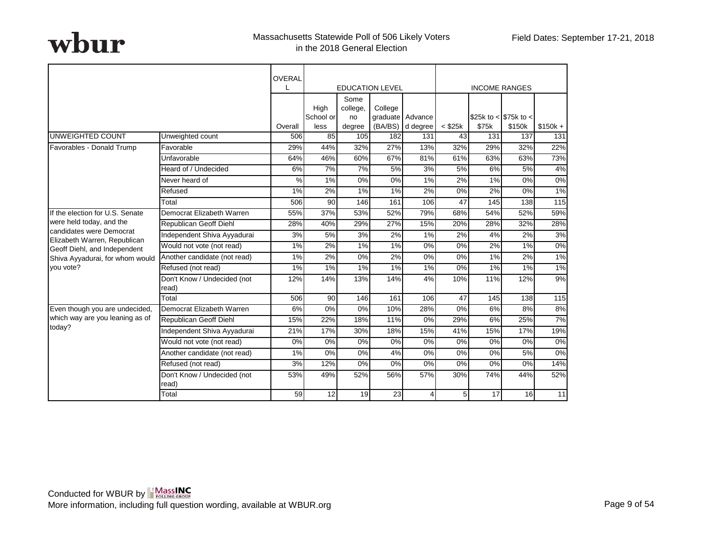|                                                          |                                      | OVERAL        |                   |                        |                        |                  |                |       |                       |                 |
|----------------------------------------------------------|--------------------------------------|---------------|-------------------|------------------------|------------------------|------------------|----------------|-------|-----------------------|-----------------|
|                                                          |                                      | T             |                   |                        | <b>EDUCATION LEVEL</b> |                  |                |       | <b>INCOME RANGES</b>  |                 |
|                                                          |                                      |               | High<br>School or | Some<br>college,<br>no | College                | graduate Advance |                |       | \$25k to < \$75k to < |                 |
|                                                          |                                      | Overall       | less              | degree                 | (BA/BS)                | d degree         | $<$ \$25 $k$   | \$75k | \$150k                | $$150k +$       |
| UNWEIGHTED COUNT                                         | Unweighted count                     | 506           | 85                | 105                    | 182                    | 131              | 43             | 131   | 137                   | 131             |
| Favorables - Donald Trump                                | Favorable                            | 29%           | 44%               | 32%                    | 27%                    | 13%              | 32%            | 29%   | 32%                   | 22%             |
|                                                          | Unfavorable                          | 64%           | 46%               | 60%                    | 67%                    | 81%              | 61%            | 63%   | 63%                   | 73%             |
|                                                          | Heard of / Undecided                 | 6%            | 7%                | 7%                     | 5%                     | 3%               | 5%             | 6%    | 5%                    | 4%              |
|                                                          | Never heard of                       | $\frac{9}{6}$ | 1%                | 0%                     | $0\%$                  | $1\%$            | 2%             | 1%    | $0\%$                 | $0\%$           |
|                                                          | Refused                              | 1%            | 2%                | 1%                     | 1%                     | 2%               | 0%             | 2%    | 0%                    | 1%              |
|                                                          | Total                                | 506           | 90                | 146                    | 161                    | 106              | 47             | 145   | 138                   | 115             |
| If the election for U.S. Senate                          | Democrat Elizabeth Warren            | 55%           | 37%               | 53%                    | 52%                    | 79%              | 68%            | 54%   | 52%                   | 59%             |
| were held today, and the                                 | Republican Geoff Diehl               | 28%           | 40%               | 29%                    | 27%                    | 15%              | 20%            | 28%   | 32%                   | 28%             |
| candidates were Democrat<br>Elizabeth Warren, Republican | Independent Shiva Ayyadurai          | 3%            | 5%                | 3%                     | 2%                     | 1%               | 2%             | 4%    | 2%                    | 3%              |
| Geoff Diehl, and Independent                             | Would not vote (not read)            | 1%            | 2%                | 1%                     | 1%                     | 0%               | 0%             | 2%    | 1%                    | $0\%$           |
| Shiva Ayyadurai, for whom would                          | Another candidate (not read)         | 1%            | 2%                | 0%                     | 2%                     | 0%               | $0\%$          | $1\%$ | $2\%$                 | $1\%$           |
| you vote?                                                | Refused (not read)                   | 1%            | 1%                | 1%                     | $1\%$                  | 1%               | $0\%$          | 1%    | $1\%$                 | 1%              |
|                                                          | Don't Know / Undecided (not<br>read) | 12%           | 14%               | 13%                    | 14%                    | 4%               | 10%            | 11%   | 12%                   | 9%              |
|                                                          | Total                                | 506           | 90                | 146                    | 161                    | 106              | 47             | 145   | 138                   | $\frac{115}{2}$ |
| Even though you are undecided,                           | Democrat Elizabeth Warren            | 6%            | $0\%$             | 0%                     | 10%                    | 28%              | $0\%$          | 6%    | $8\%$                 | 8%              |
| which way are you leaning as of                          | Republican Geoff Diehl               | 15%           | 22%               | 18%                    | 11%                    | 0%               | 29%            | 6%    | 25%                   | 7%              |
| today?                                                   | Independent Shiva Ayyadurai          | 21%           | 17%               | 30%                    | 18%                    | 15%              | 41%            | 15%   | 17%                   | 19%             |
|                                                          | Would not vote (not read)            | 0%            | 0%                | 0%                     | 0%                     | 0%               | 0%             | 0%    | 0%                    | 0%              |
|                                                          | Another candidate (not read)         | 1%            | 0%                | 0%                     | 4%                     | 0%               | 0%             | 0%    | 5%                    | 0%              |
|                                                          | Refused (not read)                   | 3%            | 12%               | 0%                     | 0%                     | 0%               | 0%             | 0%    | 0%                    | 14%             |
|                                                          | Don't Know / Undecided (not<br>read) | 53%           | 49%               | 52%                    | 56%                    | 57%              | 30%            | 74%   | 44%                   | 52%             |
|                                                          | Total                                | 59            | 12                | 19                     | 23                     | 4                | 5 <sub>l</sub> | 17    | 16                    | 11              |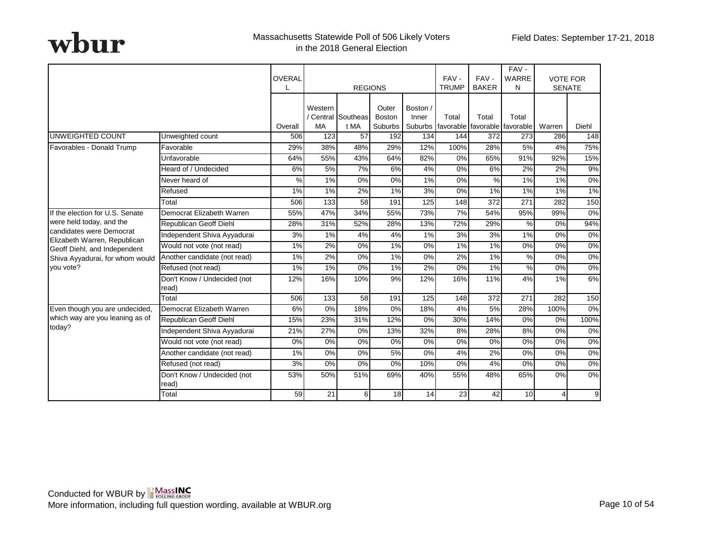|                                                              |                                      | OVERAL        | <b>REGIONS</b>       |                            |                                   | FAV-<br><b>TRUMP</b> | FAV-<br><b>BAKER</b> | FAV-<br>WARRE<br>N                                   | <b>VOTE FOR</b><br><b>SENATE</b> |         |       |
|--------------------------------------------------------------|--------------------------------------|---------------|----------------------|----------------------------|-----------------------------------|----------------------|----------------------|------------------------------------------------------|----------------------------------|---------|-------|
|                                                              |                                      | Overall       | Western<br><b>MA</b> | / Central Southeas<br>t MA | Outer<br><b>Boston</b><br>Suburbs | Boston /<br>Inner    | Total                | Total<br>Suburbs   favorable   favorable   favorable | Total                            | Warren  | Diehl |
| <b>UNWEIGHTED COUNT</b>                                      | Unweighted count                     | 506           | 123                  | 57                         | 192                               | 134                  | 144                  | 372                                                  | 273                              | 286     | 148   |
| Favorables - Donald Trump                                    | Favorable                            | 29%           | 38%                  | 48%                        | 29%                               | 12%                  | 100%                 | 28%                                                  | 5%                               | 4%      | 75%   |
|                                                              | Unfavorable                          | 64%           | 55%                  | 43%                        | 64%                               | 82%                  | 0%                   | 65%                                                  | 91%                              | 92%     | 15%   |
|                                                              | Heard of / Undecided                 | 6%            | 5%                   | 7%                         | 6%                                | 4%                   | 0%                   | 6%                                                   | 2%                               | 2%      | 9%    |
|                                                              | Never heard of                       | $\frac{9}{6}$ | 1%                   | $\overline{0\%}$           | 0%                                | 1%                   | 0%                   | $\frac{9}{6}$                                        | 1%                               | 1%      | 0%    |
|                                                              | Refused                              | 1%            | 1%                   | 2%                         | 1%                                | 3%                   | 0%                   | 1%                                                   | 1%                               | 1%      | 1%    |
|                                                              | Total                                | 506           | 133                  | 58                         | 191                               | 125                  | 148                  | 372                                                  | 271                              | 282     | 150   |
| If the election for U.S. Senate                              | Democrat Elizabeth Warren            | 55%           | 47%                  | 34%                        | 55%                               | 73%                  | 7%                   | 54%                                                  | 95%                              | 99%     | $0\%$ |
| were held today, and the                                     | Republican Geoff Diehl               | 28%           | 31%                  | 52%                        | 28%                               | 13%                  | 72%                  | 29%                                                  | $\frac{9}{6}$                    | 0%      | 94%   |
| candidates were Democrat                                     | Independent Shiva Ayyadurai          | 3%            | 1%                   | 4%                         | 4%                                | 1%                   | 3%                   | 3%                                                   | 1%                               | 0%      | $0\%$ |
| Elizabeth Warren, Republican<br>Geoff Diehl, and Independent | Would not vote (not read)            | 1%            | 2%                   | 0%                         | 1%                                | 0%                   | 1%                   | 1%                                                   | 0%                               | $0\%$   | $0\%$ |
| Shiva Ayyadurai, for whom would                              | Another candidate (not read)         | 1%            | 2%                   | 0%                         | 1%                                | 0%                   | 2%                   | 1%                                                   | $\frac{9}{6}$                    | $0\%$   | 0%    |
| you vote?                                                    | Refused (not read)                   | $1\%$         | 1%                   | $\overline{0\%}$           | $1\%$                             | 2%                   | 0%                   | $1\%$                                                | $\frac{0}{0}$                    | 0%      | 0%    |
|                                                              | Don't Know / Undecided (not<br>read) | 12%           | 16%                  | 10%                        | 9%                                | 12%                  | 16%                  | 11%                                                  | 4%                               | 1%      | 6%    |
|                                                              | Total                                | 506           | 133                  | 58                         | 191                               | 125                  | 148                  | $\overline{372}$                                     | $\overline{271}$                 | 282     | 150   |
| Even though you are undecided,                               | Democrat Elizabeth Warren            | 6%            | 0%                   | 18%                        | 0%                                | 18%                  | 4%                   | 5%                                                   | 28%                              | 100%    | $0\%$ |
| which way are you leaning as of                              | Republican Geoff Diehl               | 15%           | 23%                  | 31%                        | 12%                               | 0%                   | 30%                  | 14%                                                  | 0%                               | 0%      | 100%  |
| today?                                                       | Independent Shiva Ayyadurai          | 21%           | 27%                  | 0%                         | 13%                               | 32%                  | 8%                   | 28%                                                  | 8%                               | $0\%$   | 0%    |
|                                                              | Would not vote (not read)            | 0%            | 0%                   | 0%                         | 0%                                | 0%                   | 0%                   | 0%                                                   | 0%                               | 0%      | 0%    |
|                                                              | Another candidate (not read)         | 1%            | 0%                   | 0%                         | 5%                                | 0%                   | 4%                   | 2%                                                   | 0%                               | 0%      | 0%    |
|                                                              | Refused (not read)                   | 3%            | 0%                   | 0%                         | 0%                                | 10%                  | 0%                   | 4%                                                   | 0%                               | 0%      | 0%    |
|                                                              | Don't Know / Undecided (not<br>read) | 53%           | 50%                  | 51%                        | 69%                               | 40%                  | 55%                  | 48%                                                  | 65%                              | 0%      | $0\%$ |
|                                                              | <b>Total</b>                         | 59            | 21                   | 61                         | 18                                | 14                   | 23                   | 42                                                   | 10 <sup>1</sup>                  | $\vert$ | 9     |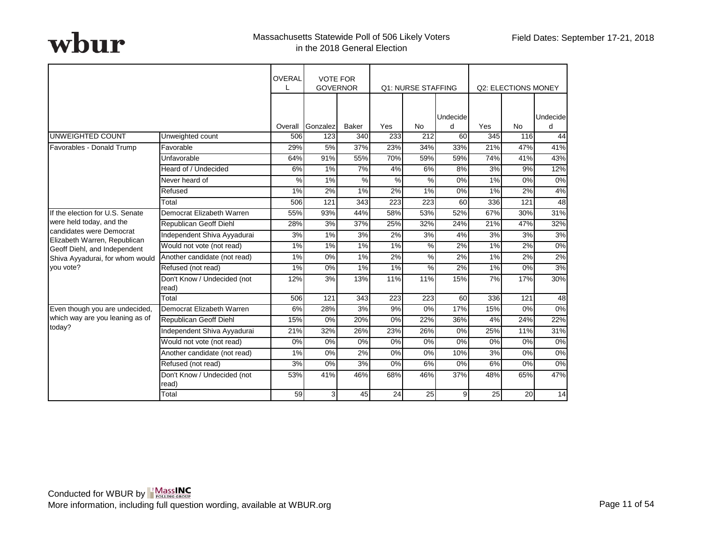|                                                          |                                      | <b>OVERAL</b> | <b>VOTE FOR</b><br><b>GOVERNOR</b> |                  |                  | <b>Q1: NURSE STAFFING</b> |                |     | <b>Q2: ELECTIONS MONEY</b> |          |
|----------------------------------------------------------|--------------------------------------|---------------|------------------------------------|------------------|------------------|---------------------------|----------------|-----|----------------------------|----------|
|                                                          |                                      |               |                                    |                  |                  |                           | Undecide       |     |                            | Undecide |
|                                                          |                                      | Overall       | Gonzalez                           | Baker            | Yes              | <b>No</b>                 | d              | Yes | <b>No</b>                  | d        |
| <b>UNWEIGHTED COUNT</b>                                  | Unweighted count                     | 506           | 123                                | 340              | 233              | 212                       | 60             | 345 | 116                        | 44       |
| Favorables - Donald Trump                                | Favorable                            | 29%           | 5%                                 | 37%              | 23%              | 34%                       | 33%            | 21% | 47%                        | 41%      |
|                                                          | Unfavorable                          | 64%           | 91%                                | 55%              | 70%              | 59%                       | 59%            | 74% | 41%                        | 43%      |
|                                                          | Heard of / Undecided                 | 6%            | 1%                                 | 7%               | 4%               | 6%                        | 8%             | 3%  | 9%                         | 12%      |
|                                                          | Never heard of                       | %             | 1%                                 | $\frac{9}{6}$    | %                | $\frac{9}{6}$             | 0%             | 1%  | 0%                         | $0\%$    |
|                                                          | Refused                              | 1%            | 2%                                 | 1%               | 2%               | 1%                        | 0%             | 1%  | 2%                         | 4%       |
|                                                          | Total                                | 506           | 121                                | 343              | 223              | 223                       | 60             | 336 | 121                        | 48       |
| If the election for U.S. Senate                          | Democrat Elizabeth Warren            | 55%           | 93%                                | 44%              | 58%              | 53%                       | 52%            | 67% | 30%                        | 31%      |
| were held today, and the                                 | <b>Republican Geoff Diehl</b>        | 28%           | 3%                                 | 37%              | 25%              | 32%                       | 24%            | 21% | 47%                        | 32%      |
| candidates were Democrat<br>Elizabeth Warren, Republican | Independent Shiva Ayyadurai          | 3%            | 1%                                 | 3%               | 2%               | 3%                        | 4%             | 3%  | 3%                         | 3%       |
| Geoff Diehl, and Independent                             | Would not vote (not read)            | 1%            | $1\%$                              | 1%               | $1\%$            | %                         | 2%             | 1%  | 2%                         | $0\%$    |
| Shiva Ayyadurai, for whom would                          | Another candidate (not read)         | 1%            | 0%                                 | 1%               | 2%               | %                         | 2%             | 1%  | 2%                         | 2%       |
| vou vote?                                                | Refused (not read)                   | 1%            | 0%                                 | 1%               | 1%               | %                         | 2%             | 1%  | 0%                         | 3%       |
|                                                          | Don't Know / Undecided (not<br>read) | 12%           | 3%                                 | 13%              | 11%              | 11%                       | 15%            | 7%  | 17%                        | 30%      |
|                                                          | Total                                | 506           | 121                                | $\overline{343}$ | $\overline{223}$ | 223                       | 60             | 336 | 121                        | 48       |
| Even though you are undecided,                           | Democrat Elizabeth Warren            | 6%            | 28%                                | 3%               | 9%               | 0%                        | 17%            | 15% | 0%                         | $0\%$    |
| which way are you leaning as of                          | Republican Geoff Diehl               | 15%           | 0%                                 | 20%              | 0%               | 22%                       | 36%            | 4%  | 24%                        | 22%      |
| today?                                                   | Independent Shiva Ayyadurai          | 21%           | 32%                                | 26%              | 23%              | 26%                       | 0%             | 25% | 11%                        | 31%      |
|                                                          | Would not vote (not read)            | 0%            | 0%                                 | 0%               | 0%               | 0%                        | 0%             | 0%  | 0%                         | 0%       |
|                                                          | Another candidate (not read)         | 1%            | 0%                                 | 2%               | 0%               | 0%                        | 10%            | 3%  | 0%                         | 0%       |
|                                                          | Refused (not read)                   | 3%            | 0%                                 | 3%               | 0%               | 6%                        | 0%             | 6%  | 0%                         | 0%       |
|                                                          | Don't Know / Undecided (not<br>read) | 53%           | 41%                                | 46%              | 68%              | 46%                       | 37%            | 48% | 65%                        | 47%      |
|                                                          | Total                                | 59            | 3 <sup>1</sup>                     | 45               | 24               | 25                        | 9 <sub>l</sub> | 25  | 20                         | 14       |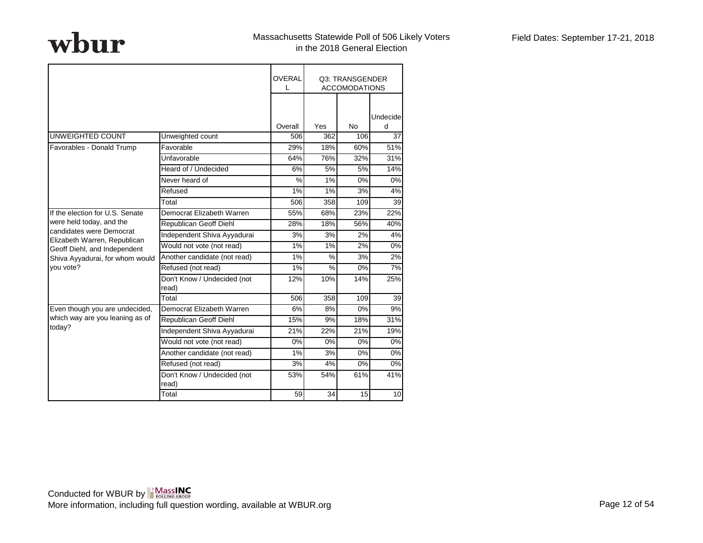|                                                              |                                      | <b>OVERAL</b><br>I. |               | Q3: TRANSGENDER<br><b>ACCOMODATIONS</b> |          |
|--------------------------------------------------------------|--------------------------------------|---------------------|---------------|-----------------------------------------|----------|
|                                                              |                                      |                     |               |                                         | Undecide |
|                                                              |                                      | Overall             | Yes           | <b>No</b>                               | d        |
| UNWEIGHTED COUNT                                             | Unweighted count                     | 506                 | 362           | 106                                     | 37       |
| Favorables - Donald Trump                                    | Favorable                            | 29%                 | 18%           | 60%                                     | 51%      |
|                                                              | Unfavorable                          | 64%                 | 76%           | 32%                                     | 31%      |
|                                                              | Heard of / Undecided                 | 6%                  | 5%            | 5%                                      | 14%      |
|                                                              | Never heard of                       | $\%$                | 1%            | 0%                                      | 0%       |
|                                                              | Refused                              | 1%                  | 1%            | 3%                                      | 4%       |
|                                                              | Total                                | 506                 | 358           | 109                                     | 39       |
| If the election for U.S. Senate                              | Democrat Elizabeth Warren            | 55%                 | 68%           | 23%                                     | 22%      |
| were held today, and the                                     | <b>Republican Geoff Diehl</b>        | 28%                 | 18%           | 56%                                     | 40%      |
| candidates were Democrat                                     | Independent Shiva Ayyadurai          | 3%                  | 3%            | 2%                                      | 4%       |
| Elizabeth Warren, Republican<br>Geoff Diehl, and Independent | Would not vote (not read)            | 1%                  | 1%            | 2%                                      | 0%       |
| Shiva Ayyadurai, for whom would                              | Another candidate (not read)         | 1%                  | $\frac{0}{0}$ | 3%                                      | 2%       |
| vou vote?                                                    | Refused (not read)                   | 1%                  | %             | 0%                                      | 7%       |
|                                                              | Don't Know / Undecided (not<br>read) | 12%                 | 10%           | 14%                                     | 25%      |
|                                                              | Total                                | 506                 | 358           | 109                                     | 39       |
| Even though you are undecided,                               | Democrat Elizabeth Warren            | 6%                  | 8%            | $\overline{0\%}$                        | 9%       |
| which way are you leaning as of                              | Republican Geoff Diehl               | 15%                 | 9%            | 18%                                     | 31%      |
| today?                                                       | Independent Shiva Ayyadurai          | 21%                 | 22%           | 21%                                     | 19%      |
|                                                              | Would not vote (not read)            | 0%                  | 0%            | 0%                                      | 0%       |
|                                                              | Another candidate (not read)         | 1%                  | 3%            | 0%                                      | 0%       |
|                                                              | Refused (not read)                   | 3%                  | 4%            | 0%                                      | 0%       |
|                                                              | Don't Know / Undecided (not<br>read) | 53%                 | 54%           | 61%                                     | 41%      |
|                                                              | Total                                | 59                  | 34            | 15                                      | 10       |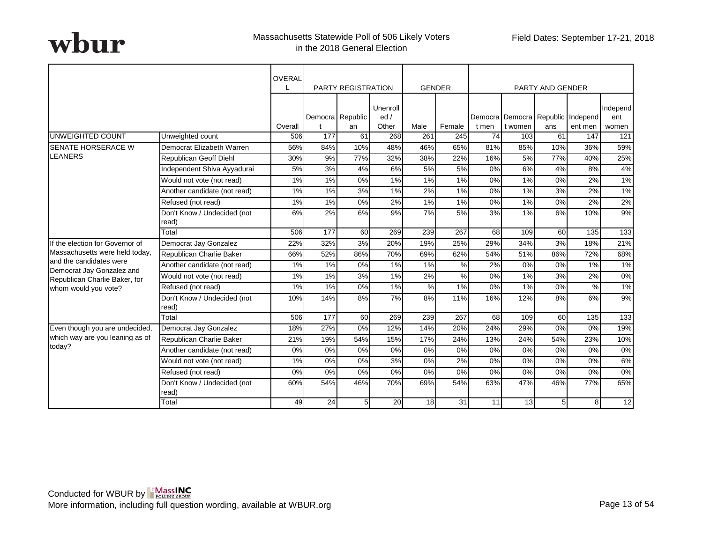|                                                      |                                      | OVERAL  |                  | <b>PARTY REGISTRATION</b> |                          |            | <b>GENDER</b>    |       |         | <b>PARTY AND GENDER</b> |                                              |                          |
|------------------------------------------------------|--------------------------------------|---------|------------------|---------------------------|--------------------------|------------|------------------|-------|---------|-------------------------|----------------------------------------------|--------------------------|
|                                                      |                                      | Overall |                  | Democra Republic<br>an    | Unenroll<br>ed/<br>Other | Male       | Female           | t men | t women | ans                     | Democra Democra Republic Independ<br>ent men | Independ<br>ent<br>women |
| UNWEIGHTED COUNT                                     | Unweighted count                     | 506     | 177              | 61                        | 268                      | 261        | 245              | 74    | 103     | 61                      | 147                                          | 121                      |
| <b>SENATE HORSERACE W</b>                            | Democrat Elizabeth Warren            | 56%     | 84%              | 10%                       | 48%                      | 46%        | 65%              | 81%   | 85%     | 10%                     | 36%                                          | 59%                      |
| <b>LEANERS</b>                                       | Republican Geoff Diehl               | 30%     | 9%               | 77%                       | 32%                      | 38%        | 22%              | 16%   | 5%      | 77%                     | 40%                                          | 25%                      |
|                                                      | Independent Shiva Ayyadurai          | 5%      | 3%               | 4%                        | 6%                       | 5%         | 5%               | 0%    | 6%      | 4%                      | 8%                                           | 4%                       |
|                                                      | Would not vote (not read)            | $1\%$   | $1\%$            | $0\%$                     | $1\%$                    | $1\%$      | 1%               | $0\%$ | 1%      | $0\%$                   | 2%                                           | 1%                       |
|                                                      | Another candidate (not read)         | 1%      | 1%               | 3%                        | 1%                       | 2%         | 1%               | $0\%$ | 1%      | 3%                      | 2%                                           | $1\%$                    |
|                                                      | Refused (not read)                   | 1%      | $1\%$            | $0\%$                     | 2%                       | 1%         | $1\%$            | $0\%$ | 1%      | $\overline{0\%}$        | 2%                                           | 2%                       |
|                                                      | Don't Know / Undecided (not<br>read) | 6%      | 2%               | 6%                        | 9%                       | 7%         | 5%               | 3%    | 1%      | 6%                      | 10%                                          | 9%                       |
|                                                      | Total                                | 506     | $\overline{177}$ | 60                        | 269                      | 239        | $\overline{267}$ | 68    | 109     | 60                      | 135                                          | 133                      |
| If the election for Governor of                      | Democrat Jay Gonzalez                | 22%     | 32%              | 3%                        | 20%                      | 19%        | 25%              | 29%   | 34%     | 3%                      | 18%                                          | 21%                      |
| Massachusetts were held today,                       | Republican Charlie Baker             | 66%     | 52%              | 86%                       | 70%                      | 69%        | 62%              | 54%   | 51%     | 86%                     | 72%                                          | 68%                      |
| and the candidates were<br>Democrat Jay Gonzalez and | Another candidate (not read)         | 1%      | $1\%$            | 0%                        | 1%                       | 1%         | $\%$             | 2%    | 0%      | 0%                      | 1%                                           | 1%                       |
| Republican Charlie Baker, for                        | Would not vote (not read)            | 1%      | 1%               | 3%                        | 1%                       | 2%         | %                | 0%    | 1%      | 3%                      | 2%                                           | $\overline{0\%}$         |
| whom would you vote?                                 | Refused (not read)                   | $1\%$   | $1\%$            | $0\%$                     | 1%                       | $\sqrt{2}$ | $1\%$            | $0\%$ | $1\%$   | $\overline{0\%}$        | %                                            | $1\%$                    |
|                                                      | Don't Know / Undecided (not<br>read) | 10%     | 14%              | 8%                        | 7%                       | 8%         | 11%              | 16%   | 12%     | 8%                      | 6%                                           | 9%                       |
|                                                      | Total                                | 506     | 177              | 60                        | 269                      | 239        | 267              | 68    | 109     | 60                      | 135                                          | 133                      |
| Even though you are undecided,                       | Democrat Jay Gonzalez                | 18%     | 27%              | 0%                        | 12%                      | 14%        | 20%              | 24%   | 29%     | 0%                      | 0%                                           | 19%                      |
| which way are you leaning as of                      | Republican Charlie Baker             | 21%     | 19%              | 54%                       | 15%                      | 17%        | 24%              | 13%   | 24%     | 54%                     | 23%                                          | 10%                      |
| today?                                               | Another candidate (not read)         | 0%      | 0%               | 0%                        | 0%                       | 0%         | 0%               | $0\%$ | 0%      | 0%                      | 0%                                           | 0%                       |
|                                                      | Would not vote (not read)            | 1%      | $0\%$            | $0\%$                     | 3%                       | 0%         | 2%               | $0\%$ | $0\%$   | $\overline{0\%}$        | $0\%$                                        | 6%                       |
|                                                      | Refused (not read)                   | 0%      | 0%               | 0%                        | 0%                       | 0%         | 0%               | 0%    | 0%      | 0%                      | 0%                                           | $0\%$                    |
|                                                      | Don't Know / Undecided (not<br>read) | 60%     | 54%              | 46%                       | 70%                      | 69%        | 54%              | 63%   | 47%     | 46%                     | 77%                                          | 65%                      |
|                                                      | Total                                | 49      | 24               | 5 <sub>l</sub>            | 20                       | 18         | 31               | 11    | 13      | 5 <sub>l</sub>          | 8 <sup>1</sup>                               | 12                       |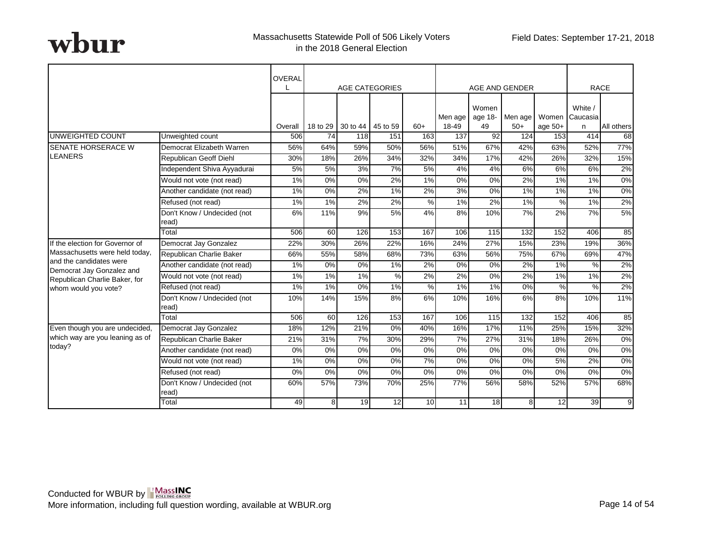|                                                      |                                      | <b>OVERAL</b> |          | <b>AGE CATEGORIES</b> |                 |               |                  |                        | AGE AND GENDER   |           |                                | <b>RACE</b> |
|------------------------------------------------------|--------------------------------------|---------------|----------|-----------------------|-----------------|---------------|------------------|------------------------|------------------|-----------|--------------------------------|-------------|
|                                                      |                                      | Overall       | 18 to 29 | 30 to 44 45 to 59     |                 | $60+$         | Men age<br>18-49 | Women<br>age 18-<br>49 | Men age<br>$50+$ | age $50+$ | White /<br>Women Caucasia<br>n | All others  |
| UNWEIGHTED COUNT                                     | Unweighted count                     | 506           | 74       | 118                   | 151             | 163           | 137              | 92                     | 124              | 153       | 414                            | 68          |
| <b>SENATE HORSERACE W</b>                            | Democrat Elizabeth Warren            | 56%           | 64%      | 59%                   | 50%             | 56%           | 51%              | 67%                    | 42%              | 63%       | 52%                            | 77%         |
| <b>LEANERS</b>                                       | Republican Geoff Diehl               | 30%           | 18%      | 26%                   | 34%             | 32%           | 34%              | 17%                    | 42%              | 26%       | 32%                            | 15%         |
|                                                      | Independent Shiva Ayyadurai          | 5%            | 5%       | 3%                    | 7%              | 5%            | 4%               | 4%                     | 6%               | 6%        | 6%                             | 2%          |
|                                                      | Would not vote (not read)            | $1\%$         | $0\%$    | $\overline{0\%}$      | 2%              | $1\%$         | $0\%$            | $0\%$                  | 2%               | $1\%$     | 1%                             | $0\%$       |
|                                                      | Another candidate (not read)         | $1\%$         | 0%       | 2%                    | 1%              | 2%            | 3%               | 0%                     | 1%               | 1%        | 1%                             | $0\%$       |
|                                                      | Refused (not read)                   | $1\%$         | $1\%$    | $2\%$                 | $2\%$           | %             | 1%               | $2\%$                  | $1\%$            | $\%$      | 1%                             | 2%          |
|                                                      | Don't Know / Undecided (not<br>read) | 6%            | 11%      | 9%                    | 5%              | 4%            | 8%               | 10%                    | 7%               | 2%        | 7%                             | 5%          |
|                                                      | Total                                | 506           | 60       | 126                   | 153             | 167           | 106              | 115                    | 132              | 152       | 406                            | 85          |
| If the election for Governor of                      | Democrat Jay Gonzalez                | 22%           | 30%      | 26%                   | 22%             | 16%           | 24%              | 27%                    | 15%              | 23%       | 19%                            | 36%         |
| Massachusetts were held today,                       | Republican Charlie Baker             | 66%           | 55%      | 58%                   | 68%             | 73%           | 63%              | 56%                    | 75%              | 67%       | 69%                            | 47%         |
| and the candidates were<br>Democrat Jay Gonzalez and | Another candidate (not read)         | 1%            | 0%       | 0%                    | 1%              | 2%            | 0%               | 0%                     | 2%               | 1%        | %                              | 2%          |
| Republican Charlie Baker, for                        | Would not vote (not read)            | 1%            | 1%       | 1%                    | $\%$            | 2%            | 2%               | 0%                     | 2%               | 1%        | 1%                             | 2%          |
| whom would you vote?                                 | Refused (not read)                   | 1%            | 1%       | 0%                    | 1%              | $\frac{9}{6}$ | 1%               | 1%                     | 0%               | %         | %                              | 2%          |
|                                                      | Don't Know / Undecided (not<br>read) | 10%           | 14%      | 15%                   | 8%              | 6%            | 10%              | 16%                    | 6%               | 8%        | 10%                            | 11%         |
|                                                      | Total                                | 506           | 60       | 126                   | 153             | 167           | 106              | 115                    | 132              | 152       | 406                            | 85          |
| Even though you are undecided,                       | Democrat Jay Gonzalez                | 18%           | 12%      | 21%                   | 0%              | 40%           | 16%              | 17%                    | 11%              | 25%       | 15%                            | 32%         |
| which way are you leaning as of                      | Republican Charlie Baker             | 21%           | 31%      | 7%                    | 30%             | 29%           | 7%               | 27%                    | 31%              | 18%       | 26%                            | $0\%$       |
| today?                                               | Another candidate (not read)         | 0%            | 0%       | 0%                    | 0%              | 0%            | 0%               | 0%                     | 0%               | 0%        | 0%                             | 0%          |
|                                                      | Would not vote (not read)            | 1%            | 0%       | 0%                    | 0%              | 7%            | 0%               | 0%                     | 0%               | 5%        | 2%                             | 0%          |
|                                                      | Refused (not read)                   | 0%            | 0%       | 0%                    | 0%              | 0%            | 0%               | 0%                     | 0%               | $0\%$     | 0%                             | 0%          |
|                                                      | Don't Know / Undecided (not<br>read) | 60%           | 57%      | 73%                   | 70%             | 25%           | 77%              | 56%                    | 58%              | 52%       | 57%                            | 68%         |
|                                                      | Total                                | 49            | 8        | 19                    | $\overline{12}$ | 10            | 11               | 18                     | 8 <sup>1</sup>   | 12        | 39                             | 9           |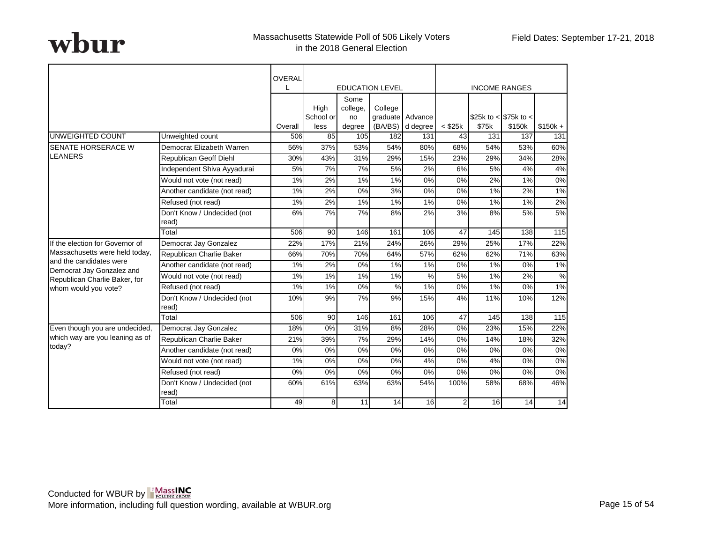|                                                      |                                      | OVERAL  |                   |                  | <b>EDUCATION LEVEL</b> |                                      |              |       | <b>INCOME RANGES</b>      |               |
|------------------------------------------------------|--------------------------------------|---------|-------------------|------------------|------------------------|--------------------------------------|--------------|-------|---------------------------|---------------|
|                                                      |                                      |         | High<br>School or | Some<br>college, | College                |                                      |              |       | \$25k to $<$ \$75k to $<$ |               |
|                                                      |                                      | Overall | less              | no<br>degree     |                        | graduate Advance<br>(BA/BS) d degree | $<$ \$25 $k$ | \$75k | \$150k                    | $$150k +$     |
| <b>UNWEIGHTED COUNT</b>                              | Unweighted count                     | 506     | 85                | 105              | 182                    | 131                                  | 43           | 131   | 137                       | 131           |
| <b>I</b> SENATE HORSERACE W                          | Democrat Elizabeth Warren            | 56%     | 37%               | 53%              | 54%                    | 80%                                  | 68%          | 54%   | 53%                       | 60%           |
| <b>LEANERS</b>                                       | Republican Geoff Diehl               | 30%     | 43%               | 31%              | 29%                    | 15%                                  | 23%          | 29%   | 34%                       | 28%           |
|                                                      | Independent Shiva Ayyadurai          | 5%      | 7%                | 7%               | 5%                     | 2%                                   | 6%           | 5%    | 4%                        | 4%            |
|                                                      | Would not vote (not read)            | 1%      | 2%                | 1%               | 1%                     | 0%                                   | 0%           | 2%    | 1%                        | $0\%$         |
|                                                      | Another candidate (not read)         | 1%      | 2%                | 0%               | 3%                     | $0\%$                                | 0%           | 1%    | 2%                        | 1%            |
|                                                      | Refused (not read)                   | 1%      | 2%                | 1%               | $1\%$                  | 1%                                   | 0%           | $1\%$ | 1%                        | 2%            |
|                                                      | Don't Know / Undecided (not<br>read) | 6%      | 7%                | 7%               | 8%                     | 2%                                   | 3%           | 8%    | 5%                        | 5%            |
|                                                      | Total                                | 506     | 90                | 146              | 161                    | 106                                  | 47           | 145   | 138                       | 115           |
| If the election for Governor of                      | Democrat Jay Gonzalez                | 22%     | 17%               | 21%              | 24%                    | 26%                                  | 29%          | 25%   | 17%                       | 22%           |
| Massachusetts were held today,                       | Republican Charlie Baker             | 66%     | 70%               | 70%              | 64%                    | 57%                                  | 62%          | 62%   | 71%                       | 63%           |
| and the candidates were<br>Democrat Jay Gonzalez and | Another candidate (not read)         | 1%      | 2%                | 0%               | $1\%$                  | $1\%$                                | $0\%$        | $1\%$ | $0\%$                     | 1%            |
| Republican Charlie Baker, for                        | Would not vote (not read)            | 1%      | 1%                | 1%               | 1%                     | $\%$                                 | 5%           | 1%    | 2%                        | $\frac{9}{6}$ |
| whom would you vote?                                 | Refused (not read)                   | 1%      | 1%                | 0%               | %                      | $1\%$                                | $0\%$        | $1\%$ | $0\%$                     | 1%            |
|                                                      | Don't Know / Undecided (not<br>read) | 10%     | 9%                | 7%               | 9%                     | 15%                                  | 4%           | 11%   | 10%                       | 12%           |
|                                                      | Total                                | 506     | 90                | 146              | 161                    | 106                                  | 47           | 145   | 138                       | 115           |
| Even though you are undecided,                       | Democrat Jay Gonzalez                | 18%     | 0%                | 31%              | 8%                     | 28%                                  | 0%           | 23%   | 15%                       | 22%           |
| which way are you leaning as of                      | Republican Charlie Baker             | 21%     | 39%               | 7%               | 29%                    | 14%                                  | 0%           | 14%   | 18%                       | 32%           |
| today?                                               | Another candidate (not read)         | 0%      | 0%                | 0%               | 0%                     | 0%                                   | 0%           | 0%    | 0%                        | 0%            |
|                                                      | Would not vote (not read)            | 1%      | 0%                | 0%               | 0%                     | 4%                                   | 0%           | 4%    | 0%                        | 0%            |
|                                                      | Refused (not read)                   | 0%      | 0%                | 0%               | 0%                     | 0%                                   | 0%           | 0%    | 0%                        | 0%            |
|                                                      | Don't Know / Undecided (not<br>read) | 60%     | 61%               | 63%              | 63%                    | 54%                                  | 100%         | 58%   | 68%                       | 46%           |
|                                                      | Total                                | 49      | 8                 | 11               | 14                     | 16                                   | 2            | 16    | 14                        | 14            |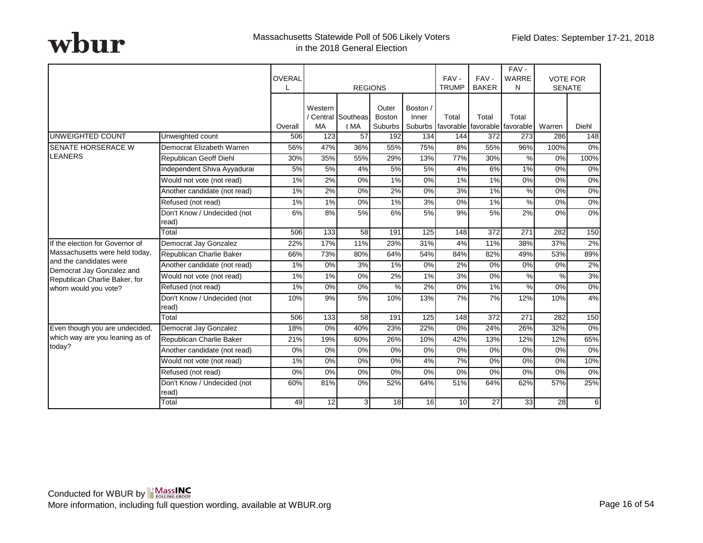|                                                            |                                      | <b>OVERAL</b>  | <b>REGIONS</b>   |                    | FAV-<br><b>TRUMP</b>   | FAV-<br><b>BAKER</b> | FAV-<br>WARRE<br>N | <b>VOTE FOR</b><br><b>SENATE</b> |                                                                  |               |              |
|------------------------------------------------------------|--------------------------------------|----------------|------------------|--------------------|------------------------|----------------------|--------------------|----------------------------------|------------------------------------------------------------------|---------------|--------------|
|                                                            |                                      |                | Western          | / Central Southeas | Outer<br><b>Boston</b> | Boston /<br>Inner    | Total              | Total                            | Total                                                            |               |              |
| UNWEIGHTED COUNT                                           | Unweighted count                     | Overall<br>506 | <b>MA</b><br>123 | t MA<br>57         | Suburbs<br>192         | 134                  | $\overline{1}$ 44  | 372                              | Suburbs favorable favorable favorable<br>273                     | Warren<br>286 | Diehl<br>148 |
| <b>SENATE HORSERACE W</b>                                  | Democrat Elizabeth Warren            | 56%            | 47%              | 36%                | 55%                    | 75%                  | 8%                 | 55%                              | 96%                                                              | 100%          | 0%           |
| <b>LEANERS</b>                                             |                                      |                |                  |                    |                        |                      |                    |                                  |                                                                  |               |              |
|                                                            | Republican Geoff Diehl               | 30%            | 35%              | 55%                | 29%                    | 13%                  | 77%                | 30%                              | $\%$                                                             | 0%            | 100%         |
|                                                            | Independent Shiva Ayyadurai          | 5%             | 5%               | 4%                 | <b>5%</b>              | 5%                   | 4%                 | 6%                               | 1%                                                               | 0%            | 0%           |
|                                                            | Would not vote (not read)            | 1%             | 2%               | 0%                 | 1%                     | 0%                   | 1%                 | 1%                               | 0%                                                               | 0%            | $0\%$        |
|                                                            | Another candidate (not read)         | 1%             | 2%               | 0%                 | 2%                     | 0%                   | 3%                 | 1%                               | $% \mathcal{B}_{\mathrm{H}}\rightarrow \mathcal{B}_{\mathrm{H}}$ | 0%            | 0%           |
|                                                            | Refused (not read)                   | 1%             | 1%               | 0%                 | 1%                     | 3%                   | 0%                 | 1%                               | %                                                                | 0%            | 0%           |
|                                                            | Don't Know / Undecided (not<br>read) | 6%             | 8%               | 5%                 | 6%                     | 5%                   | 9%                 | 5%                               | 2%                                                               | 0%            | 0%           |
|                                                            | Total                                | 506            | 133              | 58                 | 191                    | $\overline{125}$     | 148                | $\overline{372}$                 | $\overline{271}$                                                 | 282           | 150          |
| If the election for Governor of                            | Democrat Jay Gonzalez                | 22%            | 17%              | 11%                | 23%                    | 31%                  | 4%                 | 11%                              | 38%                                                              | 37%           | 2%           |
| Massachusetts were held today,                             | Republican Charlie Baker             | 66%            | 73%              | 80%                | 64%                    | 54%                  | 84%                | 82%                              | 49%                                                              | 53%           | 89%          |
| and the candidates were                                    | Another candidate (not read)         | 1%             | 0%               | 3%                 | 1%                     | 0%                   | 2%                 | 0%                               | 0%                                                               | 0%            | 2%           |
| Democrat Jay Gonzalez and<br>Republican Charlie Baker, for | Would not vote (not read)            | 1%             | 1%               | 0%                 | 2%                     | 1%                   | 3%                 | 0%                               | $\%$                                                             | %             | 3%           |
| whom would you vote?                                       | Refused (not read)                   | $1\%$          | $0\%$            | $0\%$              | $\frac{8}{2}$          | 2%                   | $0\%$              | $1\%$                            | $\%$                                                             | $0\%$         | $0\%$        |
|                                                            | Don't Know / Undecided (not<br>read) | 10%            | 9%               | 5%                 | 10%                    | 13%                  | 7%                 | 7%                               | 12%                                                              | 10%           | 4%           |
|                                                            | Total                                | 506            | 133              | 58                 | 191                    | 125                  | 148                | 372                              | 271                                                              | 282           | 150          |
| Even though you are undecided,                             | Democrat Jay Gonzalez                | 18%            | 0%               | 40%                | 23%                    | 22%                  | 0%                 | 24%                              | 26%                                                              | 32%           | 0%           |
| which way are you leaning as of                            | Republican Charlie Baker             | 21%            | 19%              | 60%                | 26%                    | 10%                  | 42%                | 13%                              | 12%                                                              | 12%           | 65%          |
| today?                                                     | Another candidate (not read)         | 0%             | 0%               | 0%                 | 0%                     | 0%                   | 0%                 | 0%                               | 0%                                                               | 0%            | 0%           |
|                                                            | Would not vote (not read)            | 1%             | 0%               | 0%                 | 0%                     | 4%                   | 7%                 | 0%                               | 0%                                                               | 0%            | 10%          |
|                                                            | Refused (not read)                   | 0%             | 0%               | 0%                 | 0%                     | 0%                   | 0%                 | 0%                               | 0%                                                               | 0%            | 0%           |
|                                                            | Don't Know / Undecided (not<br>read) | 60%            | 81%              | 0%                 | 52%                    | 64%                  | 51%                | 64%                              | 62%                                                              | 57%           | 25%          |
|                                                            | Total                                | 49             | 12               | 3 <sup>l</sup>     | 18                     | 16                   | 10                 | 27                               | 33                                                               | 28            | $6 \mid$     |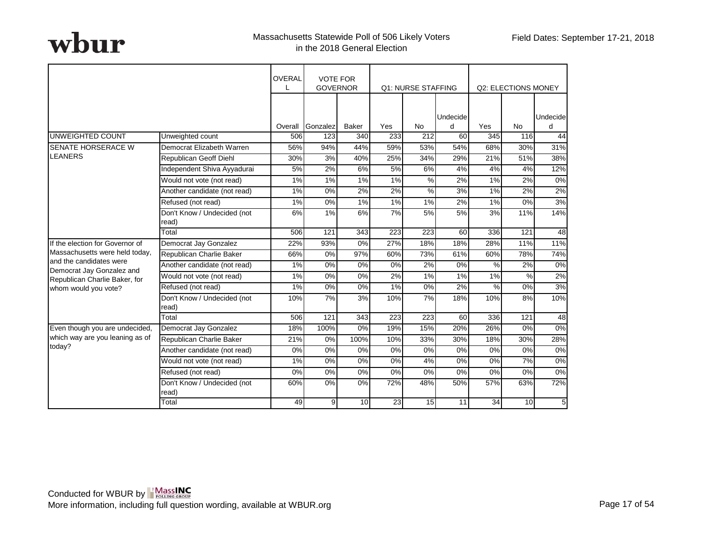|                                                      |                                      | <b>OVERAL</b> | <b>VOTE FOR</b><br><b>GOVERNOR</b> |                  |                  | <b>Q1: NURSE STAFFING</b> |          |     | Q2: ELECTIONS MONEY |                |
|------------------------------------------------------|--------------------------------------|---------------|------------------------------------|------------------|------------------|---------------------------|----------|-----|---------------------|----------------|
|                                                      |                                      |               |                                    |                  |                  |                           | Undecide |     |                     | Undecide       |
|                                                      |                                      | Overall       | Gonzalez                           | <b>Baker</b>     | Yes              | <b>No</b>                 | d        | Yes | <b>No</b>           | d              |
| UNWEIGHTED COUNT                                     | Unweighted count                     | 506           | 123                                | 340              | 233              | 212                       | 60       | 345 | 116                 | 44             |
| <b>SENATE HORSERACE W</b>                            | Democrat Elizabeth Warren            | 56%           | 94%                                | 44%              | 59%              | 53%                       | 54%      | 68% | 30%                 | 31%            |
| <b>LEANERS</b>                                       | Republican Geoff Diehl               | 30%           | 3%                                 | 40%              | 25%              | 34%                       | 29%      | 21% | 51%                 | 38%            |
|                                                      | Independent Shiva Ayyadurai          | 5%            | 2%                                 | 6%               | 5%               | 6%                        | 4%       | 4%  | 4%                  | 12%            |
|                                                      | Would not vote (not read)            | 1%            | 1%                                 | 1%               | 1%               | %                         | 2%       | 1%  | 2%                  | 0%             |
|                                                      | Another candidate (not read)         | 1%            | 0%                                 | 2%               | 2%               | %                         | 3%       | 1%  | 2%                  | 2%             |
|                                                      | Refused (not read)                   | 1%            | 0%                                 | 1%               | 1%               | 1%                        | 2%       | 1%  | 0%                  | 3%             |
|                                                      | Don't Know / Undecided (not<br>read) | 6%            | 1%                                 | 6%               | 7%               | 5%                        | 5%       | 3%  | 11%                 | 14%            |
|                                                      | Total                                | 506           | $\overline{121}$                   | $\overline{343}$ | $\overline{223}$ | $\overline{223}$          | 60       | 336 | 121                 | 48             |
| If the election for Governor of                      | Democrat Jay Gonzalez                | 22%           | 93%                                | $0\%$            | 27%              | 18%                       | 18%      | 28% | 11%                 | 11%            |
| Massachusetts were held today,                       | Republican Charlie Baker             | 66%           | 0%                                 | 97%              | 60%              | 73%                       | 61%      | 60% | 78%                 | 74%            |
| and the candidates were<br>Democrat Jay Gonzalez and | Another candidate (not read)         | 1%            | 0%                                 | 0%               | 0%               | 2%                        | 0%       | %   | 2%                  | $0\%$          |
| Republican Charlie Baker, for                        | Would not vote (not read)            | 1%            | 0%                                 | 0%               | 2%               | 1%                        | 1%       | 1%  | %                   | 2%             |
| whom would you vote?                                 | Refused (not read)                   | 1%            | 0%                                 | 0%               | 1%               | 0%                        | 2%       | %   | 0%                  | 3%             |
|                                                      | Don't Know / Undecided (not<br>read) | 10%           | 7%                                 | 3%               | 10%              | 7%                        | 18%      | 10% | 8%                  | 10%            |
|                                                      | Total                                | 506           | 121                                | 343              | 223              | 223                       | 60       | 336 | 121                 | 48             |
| Even though you are undecided,                       | Democrat Jay Gonzalez                | 18%           | 100%                               | 0%               | 19%              | 15%                       | 20%      | 26% | 0%                  | 0%             |
| which way are you leaning as of                      | Republican Charlie Baker             | 21%           | 0%                                 | 100%             | 10%              | 33%                       | 30%      | 18% | 30%                 | 28%            |
| today?                                               | Another candidate (not read)         | 0%            | 0%                                 | 0%               | 0%               | 0%                        | 0%       | 0%  | 0%                  | 0%             |
|                                                      | Would not vote (not read)            | 1%            | 0%                                 | 0%               | 0%               | 4%                        | 0%       | 0%  | 7%                  | 0%             |
|                                                      | Refused (not read)                   | 0%            | 0%                                 | 0%               | 0%               | 0%                        | 0%       | 0%  | 0%                  | 0%             |
|                                                      | Don't Know / Undecided (not<br>read) | 60%           | 0%                                 | 0%               | 72%              | 48%                       | 50%      | 57% | 63%                 | 72%            |
|                                                      | Total                                | 49            | 9 <sub>l</sub>                     | 10               | 23               | 15                        | 11       | 34  | 10                  | 5 <sub>l</sub> |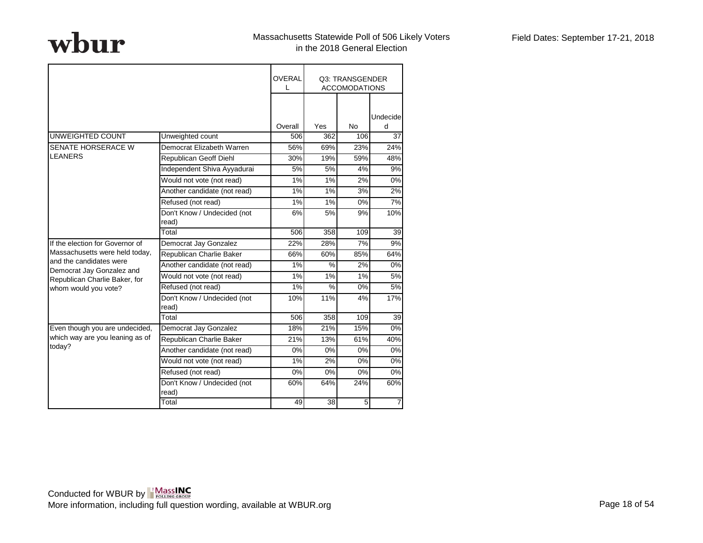|                                                      |                                      | <b>OVERAL</b><br>L |     | Q3: TRANSGENDER<br><b>ACCOMODATIONS</b> |                |
|------------------------------------------------------|--------------------------------------|--------------------|-----|-----------------------------------------|----------------|
|                                                      |                                      |                    |     |                                         | Undecide       |
|                                                      |                                      | Overall            | Yes | <b>No</b>                               | d              |
| UNWEIGHTED COUNT                                     | Unweighted count                     | 506                | 362 | 106                                     | 37             |
| SENATE HORSERACE W                                   | Democrat Elizabeth Warren            | 56%                | 69% | 23%                                     | 24%            |
| <b>LEANERS</b>                                       | Republican Geoff Diehl               | 30%                | 19% | 59%                                     | 48%            |
|                                                      | Independent Shiva Ayyadurai          | 5%                 | 5%  | 4%                                      | 9%             |
|                                                      | Would not vote (not read)            | 1%                 | 1%  | 2%                                      | 0%             |
|                                                      | Another candidate (not read)         | 1%                 | 1%  | 3%                                      | 2%             |
|                                                      | Refused (not read)                   | 1%                 | 1%  | 0%                                      | 7%             |
|                                                      | Don't Know / Undecided (not<br>read) | 6%                 | 5%  | 9%                                      | 10%            |
|                                                      | Total                                | 506                | 358 | 109                                     | 39             |
| If the election for Governor of                      | Democrat Jay Gonzalez                | 22%                | 28% | 7%                                      | 9%             |
| Massachusetts were held today,                       | Republican Charlie Baker             | 66%                | 60% | 85%                                     | 64%            |
| and the candidates were<br>Democrat Jay Gonzalez and | Another candidate (not read)         | 1%                 | %   | 2%                                      | 0%             |
| Republican Charlie Baker, for                        | Would not vote (not read)            | 1%                 | 1%  | 1%                                      | 5%             |
| whom would you vote?                                 | Refused (not read)                   | 1%                 | %   | 0%                                      | 5%             |
|                                                      | Don't Know / Undecided (not<br>read) | 10%                | 11% | 4%                                      | 17%            |
|                                                      | Total                                | 506                | 358 | 109                                     | 39             |
| Even though you are undecided,                       | Democrat Jay Gonzalez                | 18%                | 21% | 15%                                     | 0%             |
| which way are you leaning as of                      | Republican Charlie Baker             | 21%                | 13% | 61%                                     | 40%            |
| today?                                               | Another candidate (not read)         | 0%                 | 0%  | 0%                                      | 0%             |
|                                                      | Would not vote (not read)            | 1%                 | 2%  | 0%                                      | 0%             |
|                                                      | Refused (not read)                   | 0%                 | 0%  | 0%                                      | 0%             |
|                                                      | Don't Know / Undecided (not<br>read) | 60%                | 64% | 24%                                     | 60%            |
|                                                      | Total                                | 49                 | 38  | 5                                       | $\overline{7}$ |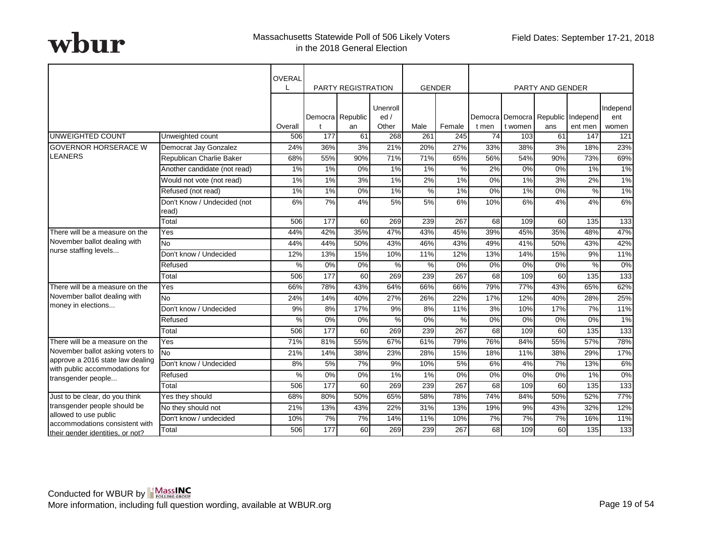|                                                                    |                                      | <b>OVERAL</b> |                  | <b>PARTY REGISTRATION</b> |                          | <b>GENDER</b> |        |       |                                              | PARTY AND GENDER |               |                          |
|--------------------------------------------------------------------|--------------------------------------|---------------|------------------|---------------------------|--------------------------|---------------|--------|-------|----------------------------------------------|------------------|---------------|--------------------------|
|                                                                    |                                      | Overall       |                  | Democra Republic<br>an    | Unenroll<br>ed/<br>Other | Male          | Female | t men | Democra Democra Republic Independ<br>t women | ans              | ent men       | Independ<br>ent<br>women |
| <b>UNWEIGHTED COUNT</b>                                            | Unweighted count                     | 506           | 177              | 61                        | 268                      | 261           | 245    | 74    | 103                                          | 61               | 147           | 121                      |
| <b>GOVERNOR HORSERACE W</b>                                        | Democrat Jay Gonzalez                | 24%           | 36%              | 3%                        | 21%                      | 20%           | 27%    | 33%   | 38%                                          | 3%               | 18%           | 23%                      |
| <b>LEANERS</b>                                                     | Republican Charlie Baker             | 68%           | 55%              | 90%                       | 71%                      | 71%           | 65%    | 56%   | 54%                                          | 90%              | 73%           | 69%                      |
|                                                                    | Another candidate (not read)         | 1%            | 1%               | 0%                        | 1%                       | 1%            | $\%$   | 2%    | 0%                                           | 0%               | 1%            | 1%                       |
|                                                                    | Would not vote (not read)            | 1%            | 1%               | 3%                        | $1\%$                    | 2%            | 1%     | 0%    | $1\%$                                        | 3%               | 2%            | 1%                       |
|                                                                    | Refused (not read)                   | 1%            | 1%               | 0%                        | 1%                       | $\%$          | 1%     | 0%    | 1%                                           | 0%               | $\%$          | 1%                       |
|                                                                    | Don't Know / Undecided (not<br>read) | 6%            | 7%               | 4%                        | 5%                       | 5%            | 6%     | 10%   | 6%                                           | 4%               | 4%            | 6%                       |
|                                                                    | Total                                | 506           | $\overline{177}$ | 60                        | 269                      | 239           | 267    | 68    | 109                                          | $\overline{60}$  | 135           | 133                      |
| There will be a measure on the                                     | Yes                                  | 44%           | 42%              | 35%                       | 47%                      | 43%           | 45%    | 39%   | 45%                                          | 35%              | 48%           | 47%                      |
| November ballot dealing with                                       | No                                   | 44%           | 44%              | 50%                       | 43%                      | 46%           | 43%    | 49%   | 41%                                          | 50%              | 43%           | 42%                      |
| nurse staffing levels                                              | Don't know / Undecided               | 12%           | 13%              | 15%                       | 10%                      | 11%           | 12%    | 13%   | 14%                                          | 15%              | 9%            | 11%                      |
|                                                                    | Refused                              | %             | 0%               | 0%                        | %                        | %             | 0%     | 0%    | 0%                                           | 0%               | $\frac{0}{0}$ | $0\%$                    |
|                                                                    | Total                                | 506           | $\overline{177}$ | 60                        | 269                      | 239           | 267    | 68    | 109                                          | $\overline{60}$  | 135           | 133                      |
| There will be a measure on the                                     | Yes                                  | 66%           | 78%              | 43%                       | 64%                      | 66%           | 66%    | 79%   | 77%                                          | 43%              | 65%           | 62%                      |
| November ballot dealing with                                       | No                                   | 24%           | 14%              | 40%                       | 27%                      | 26%           | 22%    | 17%   | 12%                                          | 40%              | 28%           | 25%                      |
| money in elections                                                 | Don't know / Undecided               | 9%            | 8%               | 17%                       | 9%                       | 8%            | 11%    | 3%    | 10%                                          | 17%              | 7%            | 11%                      |
|                                                                    | Refused                              | %             | 0%               | 0%                        | %                        | 0%            | %      | 0%    | 0%                                           | 0%               | 0%            | 1%                       |
|                                                                    | Total                                | 506           | 177              | 60                        | 269                      | 239           | 267    | 68    | 109                                          | 60 <sup>1</sup>  | 135           | 133                      |
| There will be a measure on the                                     | Yes                                  | 71%           | 81%              | 55%                       | 67%                      | 61%           | 79%    | 76%   | 84%                                          | 55%              | 57%           | 78%                      |
| November ballot asking voters to                                   | No                                   | 21%           | 14%              | 38%                       | 23%                      | 28%           | 15%    | 18%   | 11%                                          | 38%              | 29%           | 17%                      |
| approve a 2016 state law dealing<br>with public accommodations for | Don't know / Undecided               | 8%            | 5%               | 7%                        | 9%                       | 10%           | 5%     | 6%    | 4%                                           | 7%               | 13%           | 6%                       |
| transgender people                                                 | Refused                              | %             | 0%               | 0%                        | 1%                       | 1%            | 0%     | 0%    | 0%                                           | 0%               | 1%            | 0%                       |
|                                                                    | Total                                | 506           | 177              | 60                        | 269                      | 239           | 267    | 68    | 109                                          | 60 <sup>1</sup>  | 135           | 133                      |
| Just to be clear, do you think                                     | Yes they should                      | 68%           | 80%              | 50%                       | 65%                      | 58%           | 78%    | 74%   | 84%                                          | 50%              | 52%           | 77%                      |
| transgender people should be                                       | No they should not                   | 21%           | 13%              | 43%                       | 22%                      | 31%           | 13%    | 19%   | 9%                                           | 43%              | 32%           | 12%                      |
| allowed to use public<br>accommodations consistent with            | Don't know / undecided               | 10%           | 7%               | 7%                        | 14%                      | 11%           | 10%    | 7%    | 7%                                           | 7%               | 16%           | 11%                      |
| their gender identities, or not?                                   | Total                                | 506           | 177              | 60                        | 269                      | 239           | 267    | 68    | 109                                          | 60 <sub>1</sub>  | 135           | 133                      |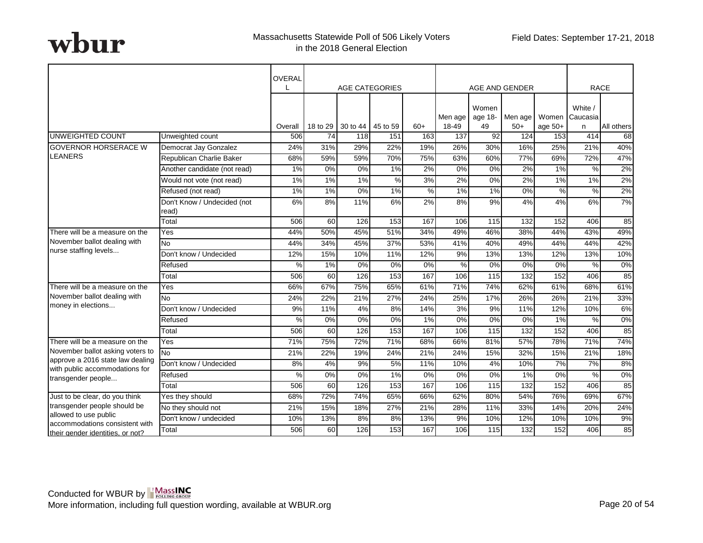|                                                                    |                                      | OVERAL  |          | <b>AGE CATEGORIES</b> |      |               |                  |                        | AGE AND GENDER   |         | <b>RACE</b>                             |            |
|--------------------------------------------------------------------|--------------------------------------|---------|----------|-----------------------|------|---------------|------------------|------------------------|------------------|---------|-----------------------------------------|------------|
|                                                                    |                                      | Overall | 18 to 29 | 30 to 44 45 to 59     |      | $60+$         | Men age<br>18-49 | Women<br>age 18-<br>49 | Men age<br>$50+$ | age 50+ | White $\sqrt{ }$<br>Women Caucasia<br>n | All others |
| <b>UNWEIGHTED COUNT</b>                                            | Unweighted count                     | 506     | 74       | 118                   | 151  | 163           | 137              | 92                     | 124              | 153     | 414                                     | 68         |
| <b>GOVERNOR HORSERACE W</b>                                        | Democrat Jay Gonzalez                | 24%     | 31%      | 29%                   | 22%  | 19%           | 26%              | 30%                    | 16%              | 25%     | 21%                                     | 40%        |
| <b>LEANERS</b>                                                     | Republican Charlie Baker             | 68%     | 59%      | 59%                   | 70%  | 75%           | 63%              | 60%                    | 77%              | 69%     | 72%                                     | 47%        |
|                                                                    | Another candidate (not read)         | 1%      | 0%       | 0%                    | 1%   | 2%            | 0%               | 0%                     | 2%               | 1%      | $\%$                                    | 2%         |
|                                                                    | Would not vote (not read)            | 1%      | 1%       | 1%                    | $\%$ | 3%            | 2%               | $0\%$                  | 2%               | $1\%$   | 1%                                      | 2%         |
|                                                                    | Refused (not read)                   | 1%      | 1%       | 0%                    | 1%   | $\frac{0}{0}$ | 1%               | 1%                     | 0%               | $\%$    | $\%$                                    | 2%         |
|                                                                    | Don't Know / Undecided (not<br>read) | 6%      | 8%       | 11%                   | 6%   | 2%            | 8%               | 9%                     | 4%               | 4%      | 6%                                      | 7%         |
|                                                                    | Total                                | 506     | 60       | 126                   | 153  | 167           | 106              | $\overline{115}$       | 132              | 152     | 406                                     | 85         |
| There will be a measure on the                                     | Yes                                  | 44%     | 50%      | 45%                   | 51%  | 34%           | 49%              | 46%                    | 38%              | 44%     | 43%                                     | 49%        |
| November ballot dealing with                                       | <b>No</b>                            | 44%     | 34%      | 45%                   | 37%  | 53%           | 41%              | 40%                    | 49%              | 44%     | 44%                                     | 42%        |
| nurse staffing levels                                              | Don't know / Undecided               | 12%     | 15%      | 10%                   | 11%  | 12%           | 9%               | 13%                    | 13%              | 12%     | 13%                                     | 10%        |
|                                                                    | Refused                              | %       | 1%       | 0%                    | 0%   | 0%            | %                | 0%                     | 0%               | 0%      | $\frac{0}{0}$                           | $0\%$      |
|                                                                    | Total                                | 506     | 60       | 126                   | 153  | 167           | 106              | 115                    | 132              | 152     | 406                                     | 85         |
| There will be a measure on the                                     | Yes                                  | 66%     | 67%      | 75%                   | 65%  | 61%           | 71%              | 74%                    | 62%              | 61%     | 68%                                     | 61%        |
| November ballot dealing with                                       | $\overline{N}$                       | 24%     | 22%      | 21%                   | 27%  | 24%           | 25%              | 17%                    | 26%              | 26%     | 21%                                     | 33%        |
| money in elections                                                 | Don't know / Undecided               | 9%      | 11%      | 4%                    | 8%   | 14%           | 3%               | 9%                     | 11%              | 12%     | 10%                                     | 6%         |
|                                                                    | Refused                              | %       | 0%       | 0%                    | 0%   | 1%            | 0%               | 0%                     | 0%               | 1%      | %                                       | 0%         |
|                                                                    | Total                                | 506     | 60       | 126                   | 153  | 167           | 106              | 115                    | 132              | 152     | 406                                     | 85         |
| There will be a measure on the                                     | $\overline{Y}$ es                    | 71%     | 75%      | 72%                   | 71%  | 68%           | 66%              | 81%                    | 57%              | 78%     | 71%                                     | 74%        |
| November ballot asking voters to                                   | <b>No</b>                            | 21%     | 22%      | 19%                   | 24%  | 21%           | 24%              | 15%                    | 32%              | 15%     | 21%                                     | 18%        |
| approve a 2016 state law dealing<br>with public accommodations for | Don't know / Undecided               | 8%      | 4%       | 9%                    | 5%   | 11%           | 10%              | 4%                     | 10%              | 7%      | 7%                                      | 8%         |
| transgender people                                                 | Refused                              | %       | 0%       | 0%                    | 1%   | 0%            | 0%               | 0%                     | 1%               | 0%      | %                                       | 0%         |
|                                                                    | Total                                | 506     | 60       | 126                   | 153  | 167           | 106              | 115                    | 132              | 152     | 406                                     | 85         |
| Just to be clear, do you think                                     | Yes they should                      | 68%     | 72%      | 74%                   | 65%  | 66%           | 62%              | 80%                    | 54%              | 76%     | 69%                                     | 67%        |
| transgender people should be                                       | No they should not                   | 21%     | 15%      | 18%                   | 27%  | 21%           | 28%              | 11%                    | 33%              | 14%     | 20%                                     | 24%        |
| allowed to use public<br>accommodations consistent with            | Don't know / undecided               | 10%     | 13%      | 8%                    | 8%   | 13%           | 9%               | 10%                    | 12%              | 10%     | 10%                                     | 9%         |
| their gender identities, or not?                                   | Total                                | 506     | 60       | 126                   | 153  | 167           | 106              | 115                    | 132              | 152     | 406                                     | 85         |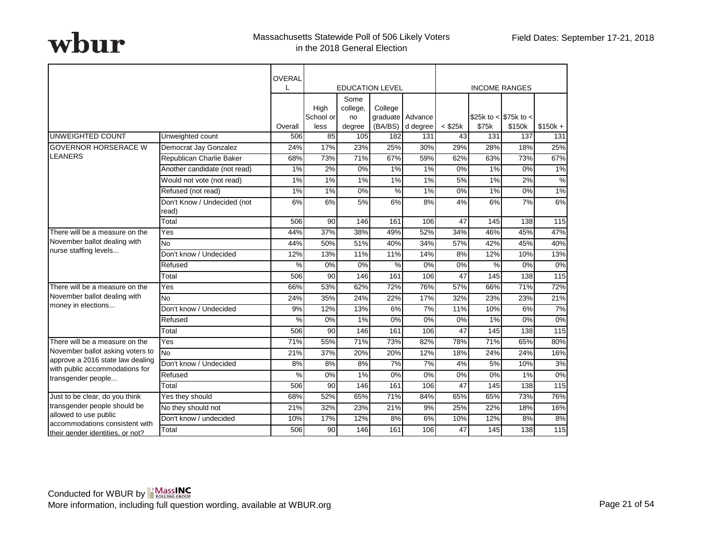|                                                                    |                              | OVERAL         |                           |                        |                        |                  |              |                                    |        |                   |
|--------------------------------------------------------------------|------------------------------|----------------|---------------------------|------------------------|------------------------|------------------|--------------|------------------------------------|--------|-------------------|
|                                                                    |                              |                |                           |                        | <b>EDUCATION LEVEL</b> |                  |              | <b>INCOME RANGES</b>               |        |                   |
|                                                                    |                              |                | High<br>School or<br>less | Some<br>college,<br>no | College<br>(BA/BS)     | graduate Advance | $<$ \$25 $k$ | \$25k to $<$ \$75k to $<$<br>\$75k | \$150k | $$150k +$         |
| <b>UNWEIGHTED COUNT</b>                                            | Unweighted count             | Overall<br>506 | 85                        | degree<br>105          | 182                    | d degree<br>131  | 43           | 131                                | 137    | 131               |
| <b>GOVERNOR HORSERACE W</b>                                        | Democrat Jay Gonzalez        | 24%            | 17%                       | 23%                    | 25%                    | 30%              | 29%          | 28%                                | 18%    | 25%               |
| <b>LEANERS</b>                                                     | Republican Charlie Baker     | 68%            | 73%                       | 71%                    | 67%                    | 59%              | 62%          | 63%                                | 73%    | 67%               |
|                                                                    | Another candidate (not read) | 1%             | 2%                        | 0%                     | 1%                     | 1%               | 0%           | 1%                                 | 0%     | 1%                |
|                                                                    | Would not vote (not read)    | 1%             | 1%                        | 1%                     | $1\%$                  | 1%               | 5%           | $1\%$                              | 2%     | $\frac{0}{6}$     |
|                                                                    | Refused (not read)           | 1%             | 1%                        | 0%                     | $\%$                   | 1%               | 0%           | 1%                                 | 0%     | 1%                |
|                                                                    | Don't Know / Undecided (not  | 6%             | 6%                        | 5%                     | 6%                     | 8%               | 4%           | 6%                                 | 7%     | 6%                |
|                                                                    | read)                        |                |                           |                        |                        |                  |              |                                    |        |                   |
|                                                                    | Total                        | 506            | 90                        | 146                    | 161                    | 106              | 47           | 145                                | 138    | $\frac{115}{2}$   |
| There will be a measure on the                                     | Yes                          | 44%            | 37%                       | 38%                    | 49%                    | 52%              | 34%          | 46%                                | 45%    | 47%               |
| November ballot dealing with                                       | <b>No</b>                    | 44%            | 50%                       | 51%                    | 40%                    | 34%              | 57%          | 42%                                | 45%    | 40%               |
| nurse staffing levels                                              | Don't know / Undecided       | 12%            | 13%                       | 11%                    | 11%                    | 14%              | 8%           | 12%                                | 10%    | 13%               |
|                                                                    | Refused                      | $\%$           | 0%                        | 0%                     | $\%$                   | 0%               | 0%           | %                                  | 0%     | $0\%$             |
|                                                                    | Total                        | 506            | 90                        | 146                    | 161                    | 106              | 47           | 145                                | 138    | 115               |
| There will be a measure on the                                     | Yes                          | 66%            | 53%                       | 62%                    | 72%                    | 76%              | 57%          | 66%                                | 71%    | 72%               |
| November ballot dealing with                                       | <b>No</b>                    | 24%            | 35%                       | 24%                    | 22%                    | 17%              | 32%          | 23%                                | 23%    | 21%               |
| money in elections                                                 | Don't know / Undecided       | 9%             | 12%                       | 13%                    | 6%                     | 7%               | 11%          | 10%                                | 6%     | 7%                |
|                                                                    | Refused                      | %              | 0%                        | 1%                     | 0%                     | 0%               | 0%           | 1%                                 | 0%     | 0%                |
|                                                                    | Total                        | 506            | 90                        | 146                    | 161                    | 106              | 47           | 145                                | 138    | $\frac{115}{115}$ |
| There will be a measure on the                                     | Yes                          | 71%            | 55%                       | 71%                    | 73%                    | 82%              | 78%          | 71%                                | 65%    | 80%               |
| November ballot asking voters to                                   | <b>No</b>                    | 21%            | 37%                       | 20%                    | 20%                    | 12%              | 18%          | 24%                                | 24%    | 16%               |
| approve a 2016 state law dealing<br>with public accommodations for | Don't know / Undecided       | 8%             | 8%                        | 8%                     | 7%                     | 7%               | 4%           | 5%                                 | 10%    | 3%                |
| transgender people                                                 | Refused                      | %              | 0%                        | 1%                     | 0%                     | 0%               | 0%           | 0%                                 | 1%     | 0%                |
|                                                                    | Total                        | 506            | 90                        | 146                    | 161                    | 106              | 47           | 145                                | 138    | 115               |
| Just to be clear, do you think                                     | Yes they should              | 68%            | 52%                       | 65%                    | 71%                    | 84%              | 65%          | 65%                                | 73%    | 76%               |
| transgender people should be                                       | No they should not           | 21%            | 32%                       | 23%                    | 21%                    | 9%               | 25%          | 22%                                | 18%    | 16%               |
| allowed to use public<br>accommodations consistent with            | Don't know / undecided       | 10%            | 17%                       | 12%                    | 8%                     | 6%               | 10%          | 12%                                | 8%     | 8%                |
| their gender identities, or not?                                   | Total                        | 506            | 90                        | 146                    | 161                    | 106              | 47           | 145                                | 138    | 115               |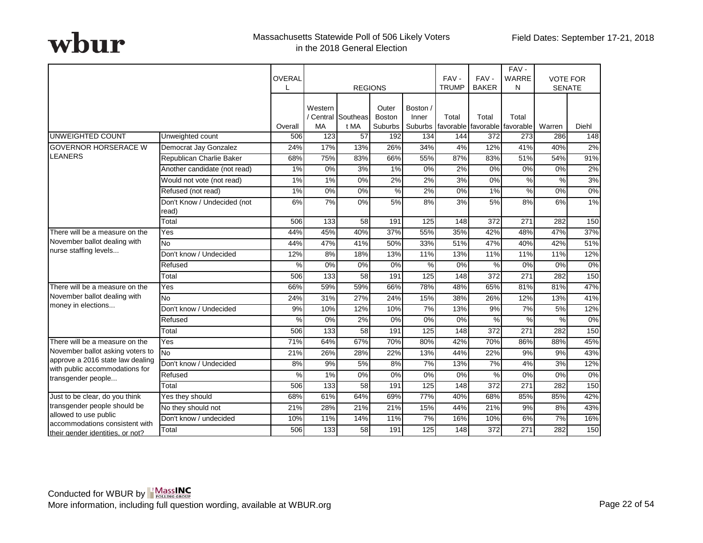|                                                                      |                                      | OVERAL        |                      |                            |                                   |                              | FAV-         | FAV-                                   | FAV-<br>WARRE    | <b>VOTE FOR</b> |       |
|----------------------------------------------------------------------|--------------------------------------|---------------|----------------------|----------------------------|-----------------------------------|------------------------------|--------------|----------------------------------------|------------------|-----------------|-------|
|                                                                      |                                      | L             |                      | <b>REGIONS</b>             |                                   |                              | <b>TRUMP</b> | <b>BAKER</b>                           | N                | <b>SENATE</b>   |       |
|                                                                      |                                      | Overall       | Western<br><b>MA</b> | / Central Southeas<br>t MA | Outer<br><b>Boston</b><br>Suburbs | Boston /<br>Inner<br>Suburbs | Total        | Total<br>favorable favorable favorable | Total            | Warren          | Diehl |
| UNWEIGHTED COUNT                                                     | Unweighted count                     | 506           | 123                  | 57                         | 192                               | 134                          | 144          | 372                                    | 273              | 286             | 148   |
| <b>GOVERNOR HORSERACE W</b>                                          | Democrat Jay Gonzalez                | 24%           | 17%                  | 13%                        | 26%                               | 34%                          | 4%           | 12%                                    | 41%              | 40%             | 2%    |
| LEANERS                                                              | Republican Charlie Baker             | 68%           | 75%                  | 83%                        | 66%                               | 55%                          | 87%          | 83%                                    | 51%              | 54%             | 91%   |
|                                                                      | Another candidate (not read)         | 1%            | 0%                   | 3%                         | 1%                                | 0%                           | 2%           | 0%                                     | 0%               | 0%              | 2%    |
|                                                                      | Would not vote (not read)            | 1%            | 1%                   | 0%                         | 2%                                | 2%                           | 3%           | 0%                                     | $\frac{0}{0}$    | $\frac{9}{6}$   | 3%    |
|                                                                      | Refused (not read)                   | 1%            | 0%                   | 0%                         | $\%$                              | 2%                           | 0%           | 1%                                     | $\%$             | 0%              | 0%    |
|                                                                      | Don't Know / Undecided (not<br>read) | 6%            | 7%                   | 0%                         | 5%                                | 8%                           | 3%           | 5%                                     | 8%               | 6%              | 1%    |
|                                                                      | Total                                | 506           | 133                  | 58                         | 191                               | 125                          | 148          | 372                                    | 271              | 282             | 150   |
| There will be a measure on the                                       | Yes                                  | 44%           | 45%                  | 40%                        | 37%                               | 55%                          | 35%          | 42%                                    | 48%              | 47%             | 37%   |
| November ballot dealing with                                         | No                                   | 44%           | 47%                  | 41%                        | 50%                               | 33%                          | 51%          | 47%                                    | 40%              | 42%             | 51%   |
| nurse staffing levels                                                | Don't know / Undecided               | 12%           | 8%                   | 18%                        | 13%                               | 11%                          | 13%          | 11%                                    | 11%              | 11%             | 12%   |
|                                                                      | Refused                              | $\frac{0}{2}$ | 0%                   | 0%                         | 0%                                | %                            | 0%           | %                                      | 0%               | $0\%$           | 0%    |
|                                                                      | Total                                | 506           | 133                  | 58                         | 191                               | 125                          | 148          | $\overline{372}$                       | $\overline{271}$ | 282             | 150   |
| There will be a measure on the                                       | Yes                                  | 66%           | 59%                  | 59%                        | 66%                               | 78%                          | 48%          | 65%                                    | 81%              | 81%             | 47%   |
| November ballot dealing with                                         | <b>No</b>                            | 24%           | 31%                  | 27%                        | 24%                               | 15%                          | 38%          | 26%                                    | 12%              | 13%             | 41%   |
| money in elections                                                   | Don't know / Undecided               | 9%            | 10%                  | 12%                        | 10%                               | 7%                           | 13%          | 9%                                     | 7%               | 5%              | 12%   |
|                                                                      | Refused                              | $\%$          | 0%                   | 2%                         | 0%                                | 0%                           | 0%           | %                                      | $\%$             | $\frac{9}{6}$   | 0%    |
|                                                                      | Total                                | 506           | 133                  | 58                         | 191                               | 125                          | 148          | $\overline{372}$                       | $\overline{271}$ | 282             | 150   |
| There will be a measure on the                                       | Yes                                  | 71%           | 64%                  | 67%                        | 70%                               | 80%                          | 42%          | 70%                                    | 86%              | 88%             | 45%   |
| November ballot asking voters to<br>approve a 2016 state law dealing | <b>No</b>                            | 21%           | 26%                  | 28%                        | 22%                               | 13%                          | 44%          | 22%                                    | 9%               | 9%              | 43%   |
| with public accommodations for                                       | Don't know / Undecided               | 8%            | 9%                   | 5%                         | 8%                                | 7%                           | 13%          | 7%                                     | 4%               | 3%              | 12%   |
| transgender people                                                   | Refused                              | $\frac{0}{0}$ | 1%                   | 0%                         | 0%                                | 0%                           | 0%           | %                                      | 0%               | 0%              | 0%    |
|                                                                      | Total                                | 506           | 133                  | 58                         | 191                               | 125                          | 148          | $\overline{372}$                       | $\overline{271}$ | 282             | 150   |
| Just to be clear, do you think                                       | Yes they should                      | 68%           | 61%                  | 64%                        | 69%                               | 77%                          | 40%          | 68%                                    | 85%              | 85%             | 42%   |
| transgender people should be<br>allowed to use public                | No they should not                   | 21%           | 28%                  | 21%                        | 21%                               | 15%                          | 44%          | 21%                                    | 9%               | 8%              | 43%   |
| accommodations consistent with                                       | Don't know / undecided               | 10%           | 11%                  | 14%                        | 11%                               | 7%                           | 16%          | 10%                                    | 6%               | 7%              | 16%   |
| their gender identities, or not?                                     | Total                                | 506           | 133                  | 58                         | 191                               | 125                          | 148          | 372                                    | 271              | 282             | 150   |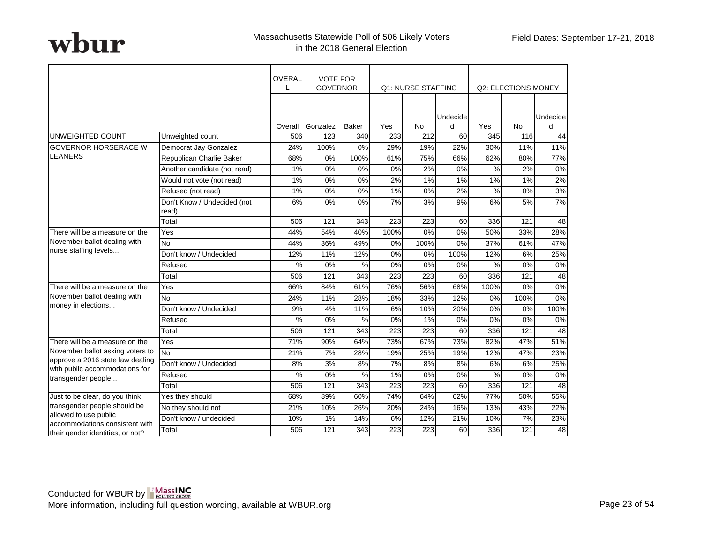|                                                                    |                                      | <b>OVERAL</b> | <b>VOTE FOR</b><br><b>GOVERNOR</b> |               |                  | <b>Q1: NURSE STAFFING</b> |          |       | <b>Q2: ELECTIONS MONEY</b> |                 |
|--------------------------------------------------------------------|--------------------------------------|---------------|------------------------------------|---------------|------------------|---------------------------|----------|-------|----------------------------|-----------------|
|                                                                    |                                      |               |                                    |               |                  |                           | Undecide |       |                            | Undecide        |
|                                                                    |                                      | Overall       | Gonzalez                           | <b>Baker</b>  | Yes              | <b>No</b>                 | d        | Yes   | <b>No</b>                  | $\mathsf{d}$    |
| UNWEIGHTED COUNT                                                   | Unweighted count                     | 506           | 123                                | 340           | 233              | 212                       | 60       | 345   | 116                        | 44              |
| <b>GOVERNOR HORSERACE W</b><br><b>LEANERS</b>                      | Democrat Jay Gonzalez                | 24%           | 100%                               | 0%            | 29%              | 19%                       | 22%      | 30%   | 11%                        | 11%             |
|                                                                    | Republican Charlie Baker             | 68%           | 0%                                 | 100%          | 61%              | 75%                       | 66%      | 62%   | 80%                        | 77%             |
|                                                                    | Another candidate (not read)         | 1%            | 0%                                 | 0%            | 0%               | 2%                        | 0%       | %     | 2%                         | 0%              |
|                                                                    | Would not vote (not read)            | 1%            | $0\%$                              | 0%            | 2%               | $1\%$                     | 1%       | 1%    | 1%                         | 2%              |
|                                                                    | Refused (not read)                   | 1%            | 0%                                 | 0%            | 1%               | 0%                        | 2%       | $\%$  | 0%                         | 3%              |
|                                                                    | Don't Know / Undecided (not<br>read) | 6%            | 0%                                 | $0\%$         | 7%               | 3%                        | 9%       | 6%    | 5%                         | 7%              |
|                                                                    | Total                                | 506           | 121                                | 343           | 223              | 223                       | 60       | 336   | 121                        | $\overline{48}$ |
| There will be a measure on the                                     | Yes                                  | 44%           | 54%                                | 40%           | 100%             | 0%                        | 0%       | 50%   | 33%                        | 28%             |
| November ballot dealing with                                       | N <sub>o</sub>                       | 44%           | 36%                                | 49%           | 0%               | 100%                      | 0%       | 37%   | 61%                        | 47%             |
| nurse staffing levels                                              | Don't know / Undecided               | 12%           | 11%                                | 12%           | $0\%$            | $0\%$                     | 100%     | 12%   | 6%                         | 25%             |
|                                                                    | Refused                              | %             | 0%                                 | $\frac{0}{6}$ | 0%               | 0%                        | 0%       | %     | 0%                         | $0\%$           |
|                                                                    | Total                                | 506           | 121                                | 343           | $\overline{223}$ | 223                       | 60       | 336   | 121                        | 48              |
| There will be a measure on the                                     | Yes                                  | 66%           | 84%                                | 61%           | 76%              | 56%                       | 68%      | 100%  | 0%                         | 0%              |
| November ballot dealing with                                       | N <sub>o</sub>                       | 24%           | 11%                                | 28%           | 18%              | 33%                       | 12%      | $0\%$ | 100%                       | $0\%$           |
| money in elections                                                 | Don't know / Undecided               | 9%            | 4%                                 | 11%           | 6%               | 10%                       | 20%      | $0\%$ | $0\%$                      | 100%            |
|                                                                    | Refused                              | $\%$          | 0%                                 | $\%$          | 0%               | 1%                        | 0%       | 0%    | 0%                         | 0%              |
|                                                                    | Total                                | 506           | 121                                | 343           | 223              | 223                       | 60       | 336   | 121                        | 48              |
| There will be a measure on the                                     | Yes                                  | 71%           | 90%                                | 64%           | 73%              | 67%                       | 73%      | 82%   | 47%                        | 51%             |
| November ballot asking voters to                                   | <b>No</b>                            | 21%           | 7%                                 | 28%           | 19%              | 25%                       | 19%      | 12%   | 47%                        | 23%             |
| approve a 2016 state law dealing                                   | Don't know / Undecided               | 8%            | 3%                                 | 8%            | 7%               | 8%                        | 8%       | 6%    | 6%                         | 25%             |
| with public accommodations for<br>transgender people               | Refused                              | %             | 0%                                 | $\%$          | 1%               | 0%                        | 0%       | $\%$  | 0%                         | 0%              |
|                                                                    | Total                                | 506           | 121                                | 343           | 223              | 223                       | 60       | 336   | 121                        | 48              |
| Just to be clear, do you think                                     | Yes they should                      | 68%           | 89%                                | 60%           | 74%              | 64%                       | 62%      | 77%   | 50%                        | 55%             |
| transgender people should be                                       | No they should not                   | 21%           | 10%                                | 26%           | 20%              | 24%                       | 16%      | 13%   | 43%                        | 22%             |
| allowed to use public                                              | Don't know / undecided               | 10%           | 1%                                 | 14%           | 6%               | 12%                       | 21%      | 10%   | 7%                         | 23%             |
| accommodations consistent with<br>their gender identities, or not? | Total                                | 506           | 121                                | 343           | 223              | 223                       | 60       | 336   | 121                        | 48              |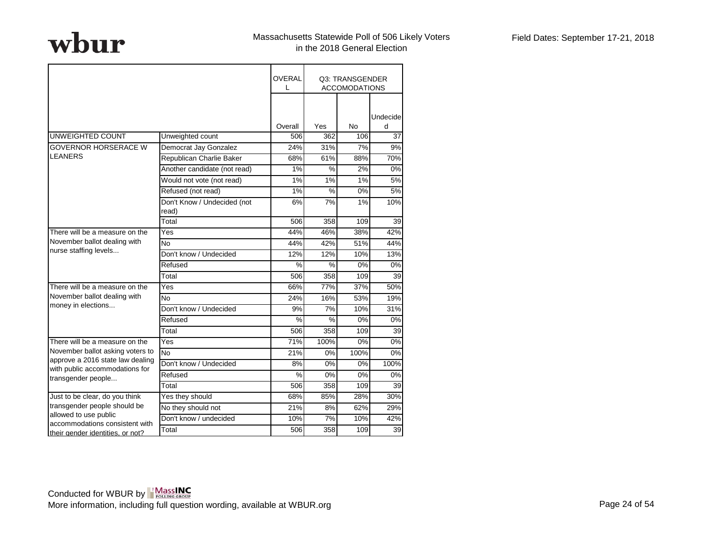|                                                         |                                      | OVERAL<br>$\mathbf{L}$ |               | Q3: TRANSGENDER<br><b>ACCOMODATIONS</b> |               |
|---------------------------------------------------------|--------------------------------------|------------------------|---------------|-----------------------------------------|---------------|
|                                                         |                                      | Overall                | Yes           | No                                      | Undecide<br>d |
| UNWEIGHTED COUNT                                        | Unweighted count                     | 506                    | 362           | 106                                     | 37            |
| <b>GOVERNOR HORSERACE W</b>                             | Democrat Jay Gonzalez                | 24%                    | 31%           | 7%                                      | 9%            |
| <b>LEANERS</b>                                          | Republican Charlie Baker             | 68%                    | 61%           | 88%                                     | 70%           |
|                                                         | Another candidate (not read)         | 1%                     | %             | 2%                                      | 0%            |
|                                                         | Would not vote (not read)            | 1%                     | 1%            | 1%                                      | 5%            |
|                                                         | Refused (not read)                   | 1%                     | $\frac{0}{0}$ | 0%                                      | 5%            |
|                                                         | Don't Know / Undecided (not<br>read) | 6%                     | 7%            | 1%                                      | 10%           |
|                                                         | Total                                | 506                    | 358           | 109                                     | 39            |
| There will be a measure on the                          | Yes                                  | 44%                    | 46%           | 38%                                     | 42%           |
| November ballot dealing with                            | No                                   | 44%                    | 42%           | 51%                                     | 44%           |
| nurse staffing levels                                   | Don't know / Undecided               | 12%                    | 12%           | 10%                                     | 13%           |
|                                                         | Refused                              | %                      | %             | 0%                                      | 0%            |
|                                                         | Total                                | 506                    | 358           | 109                                     | 39            |
| There will be a measure on the                          | Yes                                  | 66%                    | 77%           | 37%                                     | 50%           |
| November ballot dealing with                            | No                                   | 24%                    | 16%           | 53%                                     | 19%           |
| money in elections                                      | Don't know / Undecided               | 9%                     | 7%            | 10%                                     | 31%           |
|                                                         | Refused                              | %                      | %             | 0%                                      | 0%            |
|                                                         | Total                                | 506                    | 358           | 109                                     | 39            |
| There will be a measure on the                          | Yes                                  | 71%                    | 100%          | 0%                                      | 0%            |
| November ballot asking voters to                        | <b>No</b>                            | 21%                    | 0%            | 100%                                    | 0%            |
| approve a 2016 state law dealing                        | Don't know / Undecided               | 8%                     | 0%            | 0%                                      | 100%          |
| with public accommodations for<br>transgender people    | Refused                              | $\%$                   | 0%            | 0%                                      | 0%            |
|                                                         | Total                                | 506                    | 358           | 109                                     | 39            |
| Just to be clear, do you think                          | Yes they should                      | 68%                    | 85%           | 28%                                     | 30%           |
| transgender people should be                            | No they should not                   | 21%                    | 8%            | 62%                                     | 29%           |
| allowed to use public<br>accommodations consistent with | Don't know / undecided               | 10%                    | 7%            | 10%                                     | 42%           |
| their gender identities, or not?                        | Total                                | 506                    | 358           | 109                                     | 39            |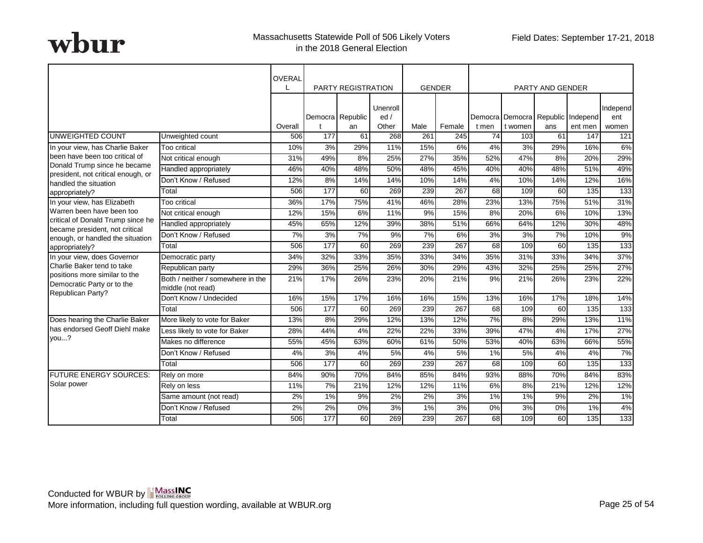|                                                                                  |                                                        | OVERAL  |                  | <b>PARTY REGISTRATION</b> |                          |      | <b>GENDER</b> |                  |                                              | PARTY AND GENDER |         |                          |
|----------------------------------------------------------------------------------|--------------------------------------------------------|---------|------------------|---------------------------|--------------------------|------|---------------|------------------|----------------------------------------------|------------------|---------|--------------------------|
|                                                                                  |                                                        | Overall |                  | Democra Republic<br>an    | Unenroll<br>ed/<br>Other | Male | Female        | t men            | Democra Democra Republic Independ<br>t women | ans              | ent men | Independ<br>ent<br>women |
| UNWEIGHTED COUNT                                                                 | Unweighted count                                       | 506     | 177              | 61                        | 268                      | 261  | 245           | 74               | 103                                          | 61               | 147     | 121                      |
| In your view, has Charlie Baker                                                  | Too critical                                           | 10%     | 3%               | 29%                       | 11%                      | 15%  | 6%            | 4%               | 3%                                           | 29%              | 16%     | 6%                       |
| been have been too critical of                                                   | Not critical enough                                    | 31%     | 49%              | 8%                        | 25%                      | 27%  | 35%           | 52%              | 47%                                          | 8%               | 20%     | 29%                      |
| Donald Trump since he became                                                     | Handled appropriately                                  | 46%     | 40%              | 48%                       | 50%                      | 48%  | 45%           | 40%              | 40%                                          | 48%              | 51%     | 49%                      |
| president, not critical enough, or<br>handled the situation                      | Don't Know / Refused                                   | 12%     | $8\%$            | 14%                       | 14%                      | 10%  | 14%           | 4%               | 10%                                          | 14%              | 12%     | 16%                      |
| appropriately?                                                                   | Total                                                  | 506     | 177              | 60                        | 269                      | 239  | 267           | 68               | 109                                          | 60               | 135     | 133                      |
| In your view, has Elizabeth                                                      | Too critical                                           | 36%     | 17%              | 75%                       | 41%                      | 46%  | 28%           | 23%              | 13%                                          | 75%              | 51%     | 31%                      |
| Warren been have been too                                                        | Not critical enough                                    | 12%     | 15%              | 6%                        | 11%                      | 9%   | 15%           | 8%               | 20%                                          | 6%               | 10%     | 13%                      |
| critical of Donald Trump since he                                                | Handled appropriately                                  | 45%     | 65%              | 12%                       | 39%                      | 38%  | 51%           | 66%              | 64%                                          | 12%              | 30%     | 48%                      |
| became president, not critical<br>enough, or handled the situation               | Don't Know / Refused                                   | 7%      | 3%               | 7%                        | 9%                       | 7%   | 6%            | $\overline{3\%}$ | 3%                                           | 7%               | 10%     | 9%                       |
| appropriately?                                                                   | Total                                                  | 506     | 177              | 60                        | 269                      | 239  | 267           | 68               | 109                                          | 60               | 135     | 133                      |
| In your view, does Governor                                                      | Democratic party                                       | 34%     | 32%              | 33%                       | 35%                      | 33%  | 34%           | 35%              | 31%                                          | 33%              | 34%     | 37%                      |
| Charlie Baker tend to take                                                       | Republican party                                       | 29%     | 36%              | 25%                       | 26%                      | 30%  | 29%           | 43%              | 32%                                          | 25%              | 25%     | 27%                      |
| positions more similar to the<br>Democratic Party or to the<br>Republican Party? | Both / neither / somewhere in the<br>middle (not read) | 21%     | 17%              | 26%                       | 23%                      | 20%  | 21%           | 9%               | 21%                                          | 26%              | 23%     | 22%                      |
|                                                                                  | Don't Know / Undecided                                 | 16%     | 15%              | 17%                       | 16%                      | 16%  | 15%           | 13%              | 16%                                          | 17%              | 18%     | 14%                      |
|                                                                                  | Total                                                  | 506     | $\overline{177}$ | 60                        | 269                      | 239  | 267           | 68               | 109                                          | 60               | 135     | 133                      |
| Does hearing the Charlie Baker                                                   | More likely to vote for Baker                          | 13%     | 8%               | 29%                       | 12%                      | 13%  | 12%           | 7%               | 8%                                           | 29%              | 13%     | 11%                      |
| has endorsed Geoff Diehl make                                                    | Less likely to vote for Baker                          | 28%     | 44%              | 4%                        | 22%                      | 22%  | 33%           | 39%              | 47%                                          | 4%               | 17%     | 27%                      |
| vou?                                                                             | Makes no difference                                    | 55%     | 45%              | 63%                       | 60%                      | 61%  | 50%           | 53%              | 40%                                          | 63%              | 66%     | 55%                      |
|                                                                                  | Don't Know / Refused                                   | 4%      | 3%               | 4%                        | 5%                       | 4%   | 5%            | 1%               | 5%                                           | 4%               | 4%      | 7%                       |
|                                                                                  | Total                                                  | 506     | 177              | 60                        | 269                      | 239  | 267           | 68               | 109                                          | 60               | 135     | 133                      |
| <b>FUTURE ENERGY SOURCES:</b>                                                    | Rely on more                                           | 84%     | 90%              | 70%                       | 84%                      | 85%  | 84%           | 93%              | 88%                                          | 70%              | 84%     | 83%                      |
| Solar power                                                                      | Rely on less                                           | 11%     | 7%               | 21%                       | 12%                      | 12%  | 11%           | 6%               | 8%                                           | 21%              | 12%     | 12%                      |
|                                                                                  | Same amount (not read)                                 | 2%      | 1%               | 9%                        | 2%                       | 2%   | 3%            | 1%               | 1%                                           | 9%               | 2%      | 1%                       |
|                                                                                  | Don't Know / Refused                                   | 2%      | 2%               | 0%                        | 3%                       | 1%   | 3%            | 0%               | 3%                                           | 0%               | 1%      | 4%                       |
|                                                                                  | Total                                                  | 506     | 177              | 60                        | 269                      | 239  | 267           | 68               | 109                                          | 60               | 135     | 133                      |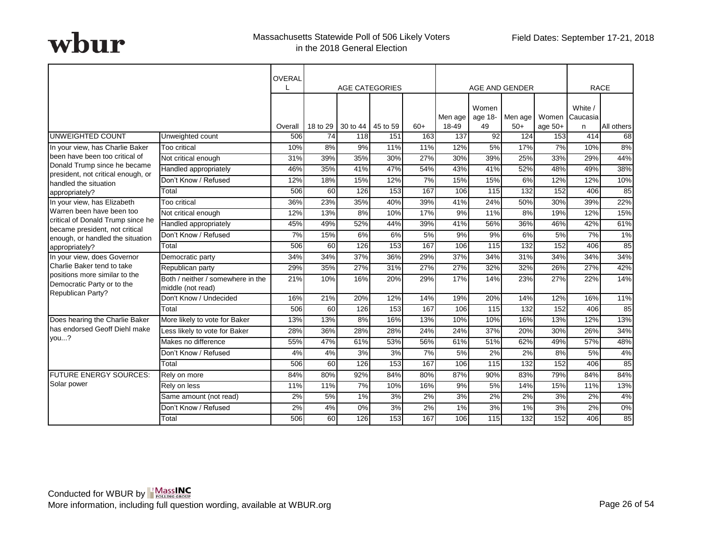|                                                                                  |                                                        | OVERAL  |     | <b>AGE CATEGORIES</b> |          |       |                  |                        | AGE AND GENDER   |                    | <b>RACE</b>            |            |
|----------------------------------------------------------------------------------|--------------------------------------------------------|---------|-----|-----------------------|----------|-------|------------------|------------------------|------------------|--------------------|------------------------|------------|
|                                                                                  |                                                        | Overall |     | 18 to 29   30 to 44   | 45 to 59 | $60+$ | Men age<br>18-49 | Women<br>age 18-<br>49 | Men age<br>$50+$ | Women<br>age $50+$ | White<br>Caucasia<br>n | All others |
| UNWEIGHTED COUNT                                                                 | Unweighted count                                       | 506     | 74  | 118                   | 151      | 163   | 137              | 92                     | 124              | 153                | 414                    | 68         |
| In your view, has Charlie Baker                                                  | Too critical                                           | 10%     | 8%  | 9%                    | 11%      | 11%   | 12%              | 5%                     | 17%              | 7%                 | 10%                    | 8%         |
| been have been too critical of                                                   | Not critical enough                                    | 31%     | 39% | 35%                   | 30%      | 27%   | 30%              | 39%                    | 25%              | 33%                | 29%                    | 44%        |
| Donald Trump since he became                                                     | Handled appropriately                                  | 46%     | 35% | 41%                   | 47%      | 54%   | 43%              | 41%                    | 52%              | 48%                | 49%                    | 38%        |
| president, not critical enough, or<br>handled the situation                      | Don't Know / Refused                                   | 12%     | 18% | 15%                   | 12%      | 7%    | 15%              | 15%                    | 6%               | 12%                | 12%                    | 10%        |
| appropriately?                                                                   | Total                                                  | 506     | 60  | 126                   | 153      | 167   | 106              | 115                    | 132              | 152                | 406                    | 85         |
| In your view, has Elizabeth                                                      | Too critical                                           | 36%     | 23% | 35%                   | 40%      | 39%   | 41%              | 24%                    | 50%              | 30%                | 39%                    | 22%        |
| Warren been have been too                                                        | Not critical enough                                    | 12%     | 13% | 8%                    | 10%      | 17%   | 9%               | 11%                    | 8%               | 19%                | 12%                    | 15%        |
| critical of Donald Trump since he                                                | Handled appropriately                                  | 45%     | 49% | 52%                   | 44%      | 39%   | 41%              | 56%                    | 36%              | 46%                | 42%                    | 61%        |
| became president, not critical<br>enough, or handled the situation               | Don't Know / Refused                                   | 7%      | 15% | 6%                    | 6%       | 5%    | 9%               | 9%                     | 6%               | 5%                 | 7%                     | $1\%$      |
| appropriately?                                                                   | Total                                                  | 506     | 60  | 126                   | 153      | 167   | 106              | 115                    | 132              | 152                | 406                    | 85         |
| In your view, does Governor                                                      | Democratic party                                       | 34%     | 34% | 37%                   | 36%      | 29%   | 37%              | 34%                    | 31%              | 34%                | 34%                    | 34%        |
| Charlie Baker tend to take                                                       | Republican party                                       | 29%     | 35% | 27%                   | 31%      | 27%   | 27%              | 32%                    | 32%              | 26%                | 27%                    | 42%        |
| positions more similar to the<br>Democratic Party or to the<br>Republican Party? | Both / neither / somewhere in the<br>middle (not read) | 21%     | 10% | 16%                   | 20%      | 29%   | 17%              | 14%                    | 23%              | 27%                | 22%                    | 14%        |
|                                                                                  | Don't Know / Undecided                                 | 16%     | 21% | 20%                   | 12%      | 14%   | 19%              | 20%                    | 14%              | 12%                | 16%                    | 11%        |
|                                                                                  | Total                                                  | 506     | 60  | 126                   | 153      | 167   | 106              | 115                    | 132              | 152                | 406                    | 85         |
| Does hearing the Charlie Baker                                                   | More likely to vote for Baker                          | 13%     | 13% | 8%                    | 16%      | 13%   | 10%              | 10%                    | 16%              | 13%                | 12%                    | 13%        |
| has endorsed Geoff Diehl make                                                    | Less likely to vote for Baker                          | 28%     | 36% | 28%                   | 28%      | 24%   | 24%              | 37%                    | 20%              | 30%                | 26%                    | 34%        |
| vou?                                                                             | Makes no difference                                    | 55%     | 47% | 61%                   | 53%      | 56%   | 61%              | 51%                    | 62%              | 49%                | 57%                    | 48%        |
|                                                                                  | Don't Know / Refused                                   | 4%      | 4%  | 3%                    | 3%       | 7%    | 5%               | 2%                     | 2%               | 8%                 | 5%                     | 4%         |
|                                                                                  | Total                                                  | 506     | 60  | 126                   | 153      | 167   | 106              | 115                    | 132              | 152                | 406                    | 85         |
| <b>FUTURE ENERGY SOURCES:</b>                                                    | Rely on more                                           | 84%     | 80% | 92%                   | 84%      | 80%   | 87%              | 90%                    | 83%              | 79%                | 84%                    | 84%        |
| Solar power                                                                      | Rely on less                                           | 11%     | 11% | 7%                    | 10%      | 16%   | 9%               | 5%                     | 14%              | 15%                | 11%                    | 13%        |
|                                                                                  | Same amount (not read)                                 | 2%      | 5%  | 1%                    | 3%       | 2%    | 3%               | 2%                     | 2%               | 3%                 | 2%                     | 4%         |
|                                                                                  | Don't Know / Refused                                   | 2%      | 4%  | 0%                    | 3%       | 2%    | 1%               | 3%                     | 1%               | 3%                 | 2%                     | $0\%$      |
|                                                                                  | Total                                                  | 506     | 60  | 126                   | 153      | 167   | 106              | 115                    | 132              | 152                | 406                    | 85         |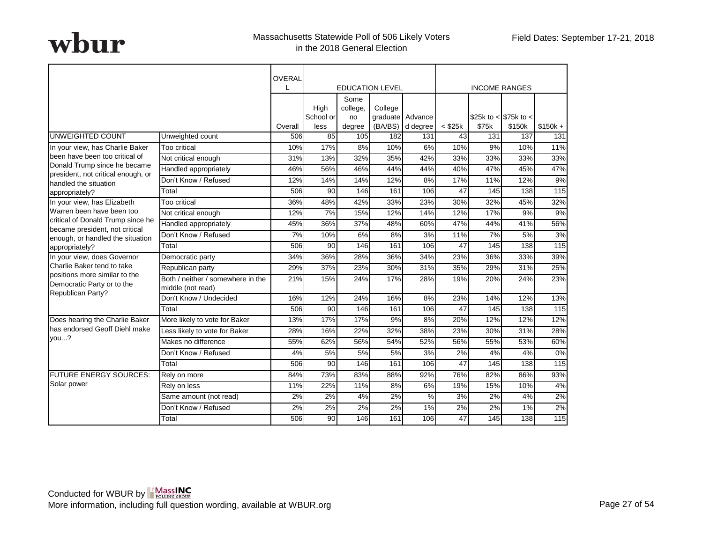|                                                                                  |                                                        | OVERAL  |                   |                        |                             |                  |              |                        |                      |                 |
|----------------------------------------------------------------------------------|--------------------------------------------------------|---------|-------------------|------------------------|-----------------------------|------------------|--------------|------------------------|----------------------|-----------------|
|                                                                                  |                                                        |         |                   |                        | <b>EDUCATION LEVEL</b>      |                  |              |                        | <b>INCOME RANGES</b> |                 |
|                                                                                  |                                                        |         | High<br>School or | Some<br>college,<br>no | College<br>graduate Advance |                  |              | \$25k to < $$75k$ to < |                      |                 |
|                                                                                  |                                                        | Overall | less              | degree                 |                             | (BA/BS) d degree | $<$ \$25 $k$ | \$75k                  | \$150k               | $$150k +$       |
| <b>UNWEIGHTED COUNT</b>                                                          | Unweighted count                                       | 506     | 85                | 105                    | 182                         | 131              | 43           | 131                    | 137                  | 131             |
| In your view, has Charlie Baker                                                  | <b>Too critical</b>                                    | 10%     | 17%               | 8%                     | 10%                         | 6%               | 10%          | 9%                     | 10%                  | 11%             |
| been have been too critical of                                                   | Not critical enough                                    | 31%     | 13%               | 32%                    | 35%                         | 42%              | 33%          | 33%                    | 33%                  | 33%             |
| Donald Trump since he became<br>president, not critical enough, or               | Handled appropriately                                  | 46%     | 56%               | 46%                    | 44%                         | 44%              | 40%          | 47%                    | 45%                  | 47%             |
| handled the situation                                                            | Don't Know / Refused                                   | 12%     | 14%               | 14%                    | 12%                         | 8%               | 17%          | 11%                    | 12%                  | 9%              |
| appropriately?                                                                   | Total                                                  | 506     | 90                | 146                    | 161                         | 106              | 47           | 145                    | 138                  | 115             |
| In your view, has Elizabeth                                                      | Too critical                                           | 36%     | 48%               | 42%                    | 33%                         | 23%              | 30%          | 32%                    | 45%                  | 32%             |
| Warren been have been too                                                        | Not critical enough                                    | 12%     | 7%                | 15%                    | 12%                         | 14%              | 12%          | 17%                    | 9%                   | 9%              |
| critical of Donald Trump since he<br>became president, not critical              | Handled appropriately                                  | 45%     | 36%               | 37%                    | 48%                         | 60%              | 47%          | 44%                    | 41%                  | 56%             |
| enough, or handled the situation                                                 | Don't Know / Refused                                   | 7%      | 10%               | 6%                     | 8%                          | $\overline{3\%}$ | 11%          | 7%                     | 5%                   | 3%              |
| appropriately?                                                                   | Total                                                  | 506     | 90                | 146                    | 161                         | 106              | 47           | 145                    | 138                  | 115             |
| In your view, does Governor                                                      | Democratic party                                       | 34%     | 36%               | 28%                    | 36%                         | 34%              | 23%          | 36%                    | 33%                  | 39%             |
| Charlie Baker tend to take                                                       | Republican party                                       | 29%     | 37%               | 23%                    | 30%                         | 31%              | 35%          | 29%                    | 31%                  | 25%             |
| positions more similar to the<br>Democratic Party or to the<br>Republican Party? | Both / neither / somewhere in the<br>middle (not read) | 21%     | 15%               | 24%                    | 17%                         | 28%              | 19%          | 20%                    | 24%                  | 23%             |
|                                                                                  | Don't Know / Undecided                                 | 16%     | 12%               | 24%                    | 16%                         | 8%               | 23%          | 14%                    | 12%                  | 13%             |
|                                                                                  | Total                                                  | 506     | $\overline{90}$   | 146                    | 161                         | 106              | 47           | 145                    | 138                  | $\frac{115}{2}$ |
| Does hearing the Charlie Baker                                                   | More likely to vote for Baker                          | 13%     | 17%               | 17%                    | 9%                          | 8%               | 20%          | 12%                    | 12%                  | 12%             |
| has endorsed Geoff Diehl make                                                    | Less likely to vote for Baker                          | 28%     | 16%               | 22%                    | 32%                         | 38%              | 23%          | 30%                    | 31%                  | 28%             |
| vou?                                                                             | Makes no difference                                    | 55%     | 62%               | 56%                    | 54%                         | 52%              | 56%          | 55%                    | 53%                  | 60%             |
|                                                                                  | Don't Know / Refused                                   | 4%      | 5%                | 5%                     | 5%                          | 3%               | 2%           | 4%                     | 4%                   | 0%              |
|                                                                                  | Total                                                  | 506     | 90                | 146                    | 161                         | 106              | 47           | 145                    | 138                  | 115             |
| <b>FUTURE ENERGY SOURCES:</b>                                                    | Rely on more                                           | 84%     | 73%               | 83%                    | 88%                         | 92%              | 76%          | 82%                    | 86%                  | 93%             |
| Solar power                                                                      | Rely on less                                           | 11%     | 22%               | 11%                    | 8%                          | 6%               | 19%          | 15%                    | 10%                  | 4%              |
|                                                                                  | Same amount (not read)                                 | 2%      | 2%                | 4%                     | 2%                          | %                | 3%           | 2%                     | 4%                   | 2%              |
|                                                                                  | Don't Know / Refused                                   | 2%      | 2%                | 2%                     | 2%                          | 1%               | 2%           | 2%                     | 1%                   | 2%              |
|                                                                                  | Total                                                  | 506     | 90                | 146                    | 161                         | 106              | 47           | 145                    | 138                  | 115             |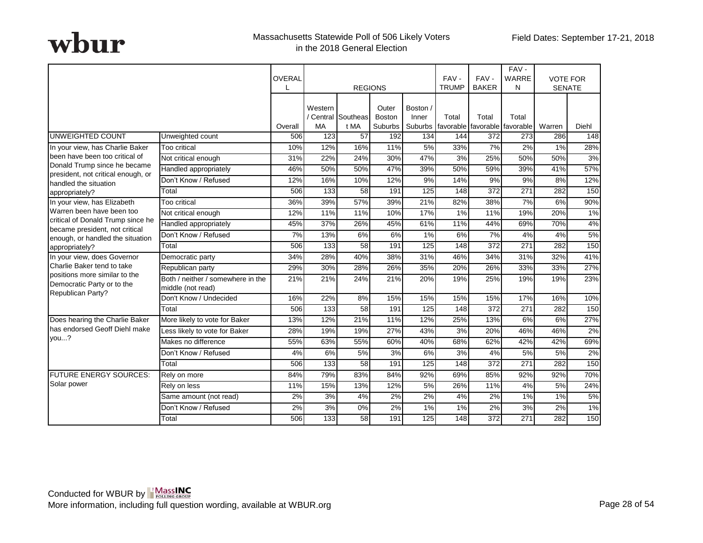|                                                                                  |                                                        | OVERAL  |                      |                          | <b>REGIONS</b>                    |                   | FAV-<br><b>TRUMP</b> | FAV-<br><b>BAKER</b>                           | FAV-<br><b>WARRE</b><br>N | <b>VOTE FOR</b><br><b>SENATE</b> |       |
|----------------------------------------------------------------------------------|--------------------------------------------------------|---------|----------------------|--------------------------|-----------------------------------|-------------------|----------------------|------------------------------------------------|---------------------------|----------------------------------|-------|
|                                                                                  |                                                        | Overall | Western<br><b>MA</b> | Central Southeas<br>t MA | Outer<br><b>Boston</b><br>Suburbs | Boston /<br>Inner | Total                | Total<br>Suburbs favorable favorable favorable | Total                     | Warren                           | Diehl |
| UNWEIGHTED COUNT                                                                 | Unweighted count                                       | 506     | 123                  | 57                       | 192                               | 134               | 144                  | 372                                            | 273                       | 286                              | 148   |
| In your view, has Charlie Baker                                                  | Too critical                                           | 10%     | 12%                  | 16%                      | 11%                               | 5%                | 33%                  | 7%                                             | 2%                        | 1%                               | 28%   |
| been have been too critical of                                                   | Not critical enough                                    | 31%     | 22%                  | 24%                      | 30%                               | 47%               | 3%                   | 25%                                            | 50%                       | 50%                              | 3%    |
| Donald Trump since he became                                                     | Handled appropriately                                  | 46%     | 50%                  | 50%                      | 47%                               | 39%               | 50%                  | 59%                                            | 39%                       | 41%                              | 57%   |
| president, not critical enough, or<br>handled the situation                      | Don't Know / Refused                                   | 12%     | 16%                  | 10%                      | 12%                               | 9%                | 14%                  | 9%                                             | 9%                        | 8%                               | 12%   |
| appropriately?                                                                   | Total                                                  | 506     | 133                  | 58                       | 191                               | 125               | 148                  | $\overline{372}$                               | 271                       | 282                              | 150   |
| In your view, has Elizabeth                                                      | Too critical                                           | 36%     | 39%                  | 57%                      | 39%                               | 21%               | 82%                  | 38%                                            | 7%                        | 6%                               | 90%   |
| Warren been have been too                                                        | Not critical enough                                    | 12%     | 11%                  | 11%                      | 10%                               | 17%               | 1%                   | 11%                                            | 19%                       | 20%                              | 1%    |
| critical of Donald Trump since he<br>became president, not critical              | Handled appropriately                                  | 45%     | 37%                  | 26%                      | 45%                               | 61%               | 11%                  | 44%                                            | 69%                       | 70%                              | 4%    |
| enough, or handled the situation                                                 | Don't Know / Refused                                   | 7%      | 13%                  | 6%                       | 6%                                | 1%                | 6%                   | 7%                                             | 4%                        | 4%                               | 5%    |
| appropriately?                                                                   | Total                                                  | 506     | 133                  | 58                       | 191                               | 125               | 148                  | 372                                            | 271                       | 282                              | 150   |
| In your view, does Governor                                                      | Democratic party                                       | 34%     | 28%                  | 40%                      | 38%                               | 31%               | 46%                  | 34%                                            | 31%                       | 32%                              | 41%   |
| Charlie Baker tend to take                                                       | Republican party                                       | 29%     | 30%                  | 28%                      | 26%                               | 35%               | 20%                  | 26%                                            | 33%                       | 33%                              | 27%   |
| positions more similar to the<br>Democratic Party or to the<br>Republican Party? | Both / neither / somewhere in the<br>middle (not read) | 21%     | 21%                  | 24%                      | 21%                               | 20%               | 19%                  | 25%                                            | 19%                       | 19%                              | 23%   |
|                                                                                  | Don't Know / Undecided                                 | 16%     | 22%                  | 8%                       | 15%                               | 15%               | 15%                  | 15%                                            | 17%                       | 16%                              | 10%   |
|                                                                                  | Total                                                  | 506     | 133                  | 58                       | 191                               | 125               | 148                  | $\overline{372}$                               | $\overline{271}$          | 282                              | 150   |
| Does hearing the Charlie Baker                                                   | More likely to vote for Baker                          | 13%     | 12%                  | 21%                      | 11%                               | 12%               | 25%                  | 13%                                            | 6%                        | 6%                               | 27%   |
| has endorsed Geoff Diehl make                                                    | Less likely to vote for Baker                          | 28%     | 19%                  | 19%                      | 27%                               | 43%               | 3%                   | 20%                                            | 46%                       | 46%                              | 2%    |
| you?                                                                             | Makes no difference                                    | 55%     | 63%                  | 55%                      | 60%                               | 40%               | 68%                  | 62%                                            | 42%                       | 42%                              | 69%   |
|                                                                                  | Don't Know / Refused                                   | 4%      | 6%                   | 5%                       | 3%                                | 6%                | 3%                   | 4%                                             | 5%                        | 5%                               | 2%    |
|                                                                                  | Total                                                  | 506     | 133                  | 58                       | 191                               | 125               | 148                  | 372                                            | 271                       | 282                              | 150   |
| <b>FUTURE ENERGY SOURCES:</b>                                                    | Rely on more                                           | 84%     | 79%                  | 83%                      | 84%                               | 92%               | 69%                  | 85%                                            | 92%                       | 92%                              | 70%   |
| Solar power                                                                      | Rely on less                                           | 11%     | 15%                  | 13%                      | 12%                               | 5%                | 26%                  | 11%                                            | 4%                        | 5%                               | 24%   |
|                                                                                  | Same amount (not read)                                 | 2%      | 3%                   | 4%                       | 2%                                | 2%                | 4%                   | 2%                                             | 1%                        | 1%                               | 5%    |
|                                                                                  | Don't Know / Refused                                   | 2%      | 3%                   | 0%                       | 2%                                | 1%                | 1%                   | 2%                                             | 3%                        | 2%                               | 1%    |
|                                                                                  | Total                                                  | 506     | 133                  | 58                       | 191                               | 125               | 148                  | 372                                            | 271                       | 282                              | 150   |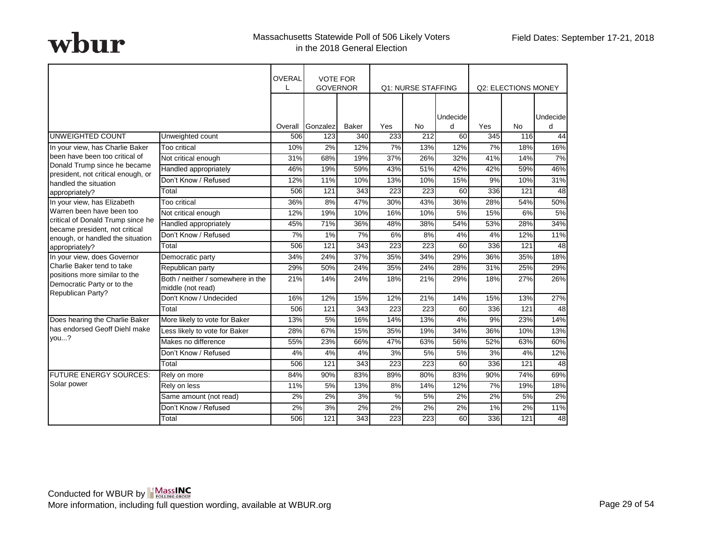|                                                                                  |                                                        | OVERAL  | <b>VOTE FOR</b><br><b>GOVERNOR</b> |              |               | <b>Q1: NURSE STAFFING</b> |               |     | <b>Q2: ELECTIONS MONEY</b> |                      |
|----------------------------------------------------------------------------------|--------------------------------------------------------|---------|------------------------------------|--------------|---------------|---------------------------|---------------|-----|----------------------------|----------------------|
|                                                                                  |                                                        |         |                                    |              |               |                           |               |     |                            |                      |
|                                                                                  |                                                        | Overall | Gonzalez                           | <b>Baker</b> | Yes           | <b>No</b>                 | Undecide<br>d | Yes | No                         | <b>Undecide</b><br>d |
| UNWEIGHTED COUNT                                                                 | Unweighted count                                       | 506     | 123                                | 340          | 233           | 212                       | 60            | 345 | 116                        | 44                   |
| In your view, has Charlie Baker                                                  | Too critical                                           | 10%     | 2%                                 | 12%          | 7%            | 13%                       | 12%           | 7%  | 18%                        | 16%                  |
| been have been too critical of                                                   | Not critical enough                                    | 31%     | 68%                                | 19%          | 37%           | 26%                       | 32%           | 41% | 14%                        | 7%                   |
| Donald Trump since he became                                                     | Handled appropriately                                  | 46%     | 19%                                | 59%          | 43%           | 51%                       | 42%           | 42% | 59%                        | 46%                  |
| president, not critical enough, or<br>handled the situation                      | Don't Know / Refused                                   | 12%     | 11%                                | 10%          | 13%           | 10%                       | 15%           | 9%  | 10%                        | 31%                  |
| appropriately?                                                                   | Total                                                  | 506     | 121                                | 343          | 223           | 223                       | 60            | 336 | 121                        | 48                   |
| In your view, has Elizabeth                                                      | Too critical                                           | 36%     | 8%                                 | 47%          | 30%           | 43%                       | 36%           | 28% | 54%                        | 50%                  |
| Warren been have been too                                                        | Not critical enough                                    | 12%     | 19%                                | 10%          | 16%           | 10%                       | 5%            | 15% | 6%                         | 5%                   |
| critical of Donald Trump since he                                                | Handled appropriately                                  | 45%     | 71%                                | 36%          | 48%           | 38%                       | 54%           | 53% | 28%                        | 34%                  |
| became president, not critical<br>enough, or handled the situation               | Don't Know / Refused                                   | 7%      | 1%                                 | 7%           | 6%            | 8%                        | 4%            | 4%  | 12%                        | 11%                  |
| appropriately?                                                                   | Total                                                  | 506     | 121                                | 343          | 223           | 223                       | 60            | 336 | 121                        | 48                   |
| In your view, does Governor                                                      | Democratic party                                       | 34%     | 24%                                | 37%          | 35%           | 34%                       | 29%           | 36% | 35%                        | 18%                  |
| Charlie Baker tend to take                                                       | Republican party                                       | 29%     | 50%                                | 24%          | 35%           | 24%                       | 28%           | 31% | 25%                        | 29%                  |
| positions more similar to the<br>Democratic Party or to the<br>Republican Party? | Both / neither / somewhere in the<br>middle (not read) | 21%     | 14%                                | 24%          | 18%           | 21%                       | 29%           | 18% | 27%                        | 26%                  |
|                                                                                  | Don't Know / Undecided                                 | 16%     | 12%                                | 15%          | 12%           | 21%                       | 14%           | 15% | 13%                        | 27%                  |
|                                                                                  | Total                                                  | 506     | 121                                | 343          | 223           | 223                       | 60            | 336 | 121                        | $\overline{48}$      |
| Does hearing the Charlie Baker                                                   | More likely to vote for Baker                          | 13%     | 5%                                 | 16%          | 14%           | 13%                       | 4%            | 9%  | 23%                        | 14%                  |
| has endorsed Geoff Diehl make                                                    | Less likely to vote for Baker                          | 28%     | 67%                                | 15%          | 35%           | 19%                       | 34%           | 36% | 10%                        | 13%                  |
| you?                                                                             | Makes no difference                                    | 55%     | 23%                                | 66%          | 47%           | 63%                       | 56%           | 52% | 63%                        | 60%                  |
|                                                                                  | Don't Know / Refused                                   | 4%      | 4%                                 | 4%           | 3%            | 5%                        | 5%            | 3%  | 4%                         | 12%                  |
|                                                                                  | Total                                                  | 506     | 121                                | 343          | 223           | 223                       | 60            | 336 | 121                        | 48                   |
| FUTURE ENERGY SOURCES:                                                           | Rely on more                                           | 84%     | 90%                                | 83%          | 89%           | 80%                       | 83%           | 90% | 74%                        | 69%                  |
| Solar power                                                                      | Rely on less                                           | 11%     | 5%                                 | 13%          | 8%            | 14%                       | 12%           | 7%  | 19%                        | 18%                  |
|                                                                                  | Same amount (not read)                                 | 2%      | 2%                                 | 3%           | $\frac{0}{0}$ | 5%                        | 2%            | 2%  | 5%                         | 2%                   |
|                                                                                  | Don't Know / Refused                                   | 2%      | 3%                                 | 2%           | 2%            | 2%                        | 2%            | 1%  | 2%                         | 11%                  |
|                                                                                  | Total                                                  | 506     | 121                                | 343          | 223           | 223                       | 60            | 336 | 121                        | 48                   |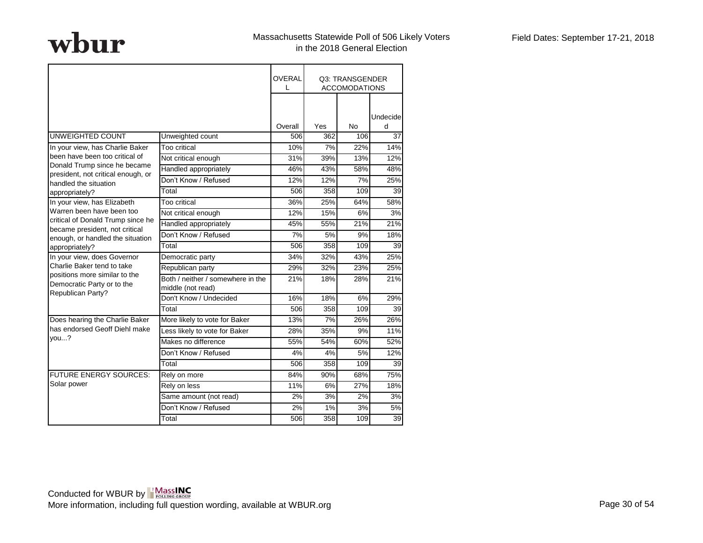|                                                                    |                                                        | <b>OVERAL</b><br>$\mathbf{L}$ |     | Q3: TRANSGENDER<br><b>ACCOMODATIONS</b> |               |
|--------------------------------------------------------------------|--------------------------------------------------------|-------------------------------|-----|-----------------------------------------|---------------|
|                                                                    |                                                        | Overall                       | Yes | <b>No</b>                               | Undecide<br>d |
| UNWEIGHTED COUNT                                                   | Unweighted count                                       | 506                           | 362 | 106                                     | 37            |
| In your view, has Charlie Baker                                    | Too critical                                           | 10%                           | 7%  | 22%                                     | 14%           |
| been have been too critical of                                     | Not critical enough                                    | 31%                           | 39% | 13%                                     | 12%           |
| Donald Trump since he became                                       | Handled appropriately                                  | 46%                           | 43% | 58%                                     | 48%           |
| president, not critical enough, or<br>handled the situation        | Don't Know / Refused                                   | 12%                           | 12% | 7%                                      | 25%           |
| appropriately?                                                     | Total                                                  | 506                           | 358 | 109                                     | 39            |
| In your view, has Elizabeth                                        | Too critical                                           | 36%                           | 25% | 64%                                     | 58%           |
| Warren been have been too                                          | Not critical enough                                    | 12%                           | 15% | 6%                                      | 3%            |
| critical of Donald Trump since he                                  | Handled appropriately                                  | 45%                           | 55% | 21%                                     | 21%           |
| became president, not critical<br>enough, or handled the situation | Don't Know / Refused                                   | 7%                            | 5%  | 9%                                      | 18%           |
| appropriately?                                                     | Total                                                  | 506                           | 358 | 109                                     | 39            |
| In your view, does Governor                                        | Democratic party                                       | 34%                           | 32% | 43%                                     | 25%           |
| Charlie Baker tend to take                                         | Republican party                                       | 29%                           | 32% | 23%                                     | 25%           |
| positions more similar to the<br>Democratic Party or to the        | Both / neither / somewhere in the<br>middle (not read) | 21%                           | 18% | 28%                                     | 21%           |
| Republican Party?                                                  | Don't Know / Undecided                                 | 16%                           | 18% | 6%                                      | 29%           |
|                                                                    | Total                                                  | 506                           | 358 | 109                                     | 39            |
| Does hearing the Charlie Baker                                     | More likely to vote for Baker                          | 13%                           | 7%  | 26%                                     | 26%           |
| has endorsed Geoff Diehl make                                      | Less likely to vote for Baker                          | 28%                           | 35% | 9%                                      | 11%           |
| you?                                                               | Makes no difference                                    | 55%                           | 54% | 60%                                     | 52%           |
|                                                                    | Don't Know / Refused                                   | 4%                            | 4%  | 5%                                      | 12%           |
|                                                                    | Total                                                  | 506                           | 358 | 109                                     | 39            |
| <b>FUTURE ENERGY SOURCES:</b>                                      | Rely on more                                           | 84%                           | 90% | 68%                                     | 75%           |
| Solar power                                                        | Rely on less                                           | 11%                           | 6%  | 27%                                     | 18%           |
|                                                                    | Same amount (not read)                                 | 2%                            | 3%  | 2%                                      | 3%            |
|                                                                    | Don't Know / Refused                                   | 2%                            | 1%  | 3%                                      | 5%            |
|                                                                    | Total                                                  | 506                           | 358 | 109                                     | 39            |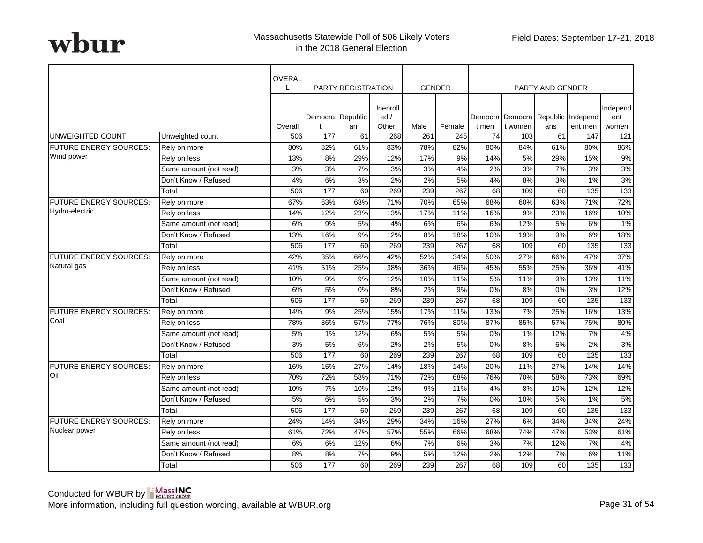|                               |                        | OVERAL  |                  | PARTY REGISTRATION     |                           | <b>GENDER</b> |        |       |                                              | PARTY AND GENDER |         |                          |
|-------------------------------|------------------------|---------|------------------|------------------------|---------------------------|---------------|--------|-------|----------------------------------------------|------------------|---------|--------------------------|
|                               |                        | Overall |                  | Democra Republic<br>an | Unenroll<br>ed /<br>Other | Male          | Female | t men | Democra Democra Republic Independ<br>t women | ans              | ent men | Independ<br>ent<br>women |
| <b>UNWEIGHTED COUNT</b>       | Unweighted count       | 506     | 177              | 61                     | 268                       | 261           | 245    | 74    | 103                                          | 61               | 147     | 121                      |
| <b>FUTURE ENERGY SOURCES:</b> | Rely on more           | 80%     | 82%              | 61%                    | 83%                       | 78%           | 82%    | 80%   | 84%                                          | 61%              | 80%     | 86%                      |
| Wind power                    | Rely on less           | 13%     | 8%               | 29%                    | 12%                       | 17%           | 9%     | 14%   | 5%                                           | 29%              | 15%     | 9%                       |
|                               | Same amount (not read) | 3%      | 3%               | 7%                     | 3%                        | 3%            | 4%     | 2%    | 3%                                           | 7%               | 3%      | 3%                       |
|                               | Don't Know / Refused   | 4%      | 6%               | 3%                     | 2%                        | 2%            | 5%     | 4%    | 8%                                           | 3%               | 1%      | 3%                       |
|                               | Total                  | 506     | 177              | 60                     | 269                       | 239           | 267    | 68    | 109                                          | 60               | 135     | 133                      |
| <b>FUTURE ENERGY SOURCES:</b> | Rely on more           | 67%     | 63%              | 63%                    | 71%                       | 70%           | 65%    | 68%   | 60%                                          | 63%              | 71%     | 72%                      |
| Hydro-electric                | Rely on less           | 14%     | 12%              | 23%                    | 13%                       | 17%           | 11%    | 16%   | 9%                                           | 23%              | 16%     | 10%                      |
|                               | Same amount (not read) | 6%      | 9%               | 5%                     | 4%                        | 6%            | 6%     | 6%    | 12%                                          | 5%               | 6%      | 1%                       |
|                               | Don't Know / Refused   | 13%     | 16%              | 9%                     | 12%                       | 8%            | 18%    | 10%   | 19%                                          | 9%               | 6%      | 18%                      |
|                               | Total                  | 506     | $\overline{177}$ | 60                     | 269                       | 239           | 267    | 68    | 109                                          | 60               | 135     | $\overline{133}$         |
| <b>FUTURE ENERGY SOURCES:</b> | Rely on more           | 42%     | 35%              | 66%                    | 42%                       | 52%           | 34%    | 50%   | 27%                                          | 66%              | 47%     | 37%                      |
| Natural gas                   | Rely on less           | 41%     | 51%              | 25%                    | 38%                       | 36%           | 46%    | 45%   | 55%                                          | 25%              | 36%     | 41%                      |
|                               | Same amount (not read) | 10%     | 9%               | 9%                     | 12%                       | 10%           | 11%    | 5%    | 11%                                          | 9%               | 13%     | 11%                      |
|                               | Don't Know / Refused   | 6%      | 5%               | 0%                     | 8%                        | 2%            | 9%     | 0%    | 8%                                           | 0%               | 3%      | 12%                      |
|                               | Total                  | 506     | 177              | 60                     | 269                       | 239           | 267    | 68    | 109                                          | 60               | 135     | 133                      |
| <b>FUTURE ENERGY SOURCES:</b> | Rely on more           | 14%     | 9%               | 25%                    | 15%                       | 17%           | 11%    | 13%   | 7%                                           | 25%              | 16%     | 13%                      |
| Coal                          | Rely on less           | 78%     | 86%              | 57%                    | 77%                       | 76%           | 80%    | 87%   | 85%                                          | 57%              | 75%     | 80%                      |
|                               | Same amount (not read) | 5%      | 1%               | 12%                    | 6%                        | 5%            | 5%     | 0%    | 1%                                           | 12%              | 7%      | 4%                       |
|                               | Don't Know / Refused   | 3%      | 5%               | 6%                     | 2%                        | 2%            | 5%     | 0%    | 8%                                           | 6%               | 2%      | 3%                       |
|                               | Total                  | 506     | 177              | 60                     | 269                       | 239           | 267    | 68    | 109                                          | 60               | 135     | 133                      |
| <b>FUTURE ENERGY SOURCES:</b> | Rely on more           | 16%     | 15%              | 27%                    | 14%                       | 18%           | 14%    | 20%   | 11%                                          | 27%              | 14%     | 14%                      |
| Oil                           | Rely on less           | 70%     | 72%              | 58%                    | 71%                       | 72%           | 68%    | 76%   | 70%                                          | 58%              | 73%     | 69%                      |
|                               | Same amount (not read) | 10%     | 7%               | 10%                    | 12%                       | 9%            | 11%    | 4%    | 8%                                           | 10%              | 12%     | 12%                      |
|                               | Don't Know / Refused   | 5%      | 6%               | 5%                     | 3%                        | 2%            | 7%     | 0%    | 10%                                          | 5%               | 1%      | 5%                       |
|                               | Total                  | 506     | 177              | 60                     | 269                       | 239           | 267    | 68    | 109                                          | 60               | 135     | 133                      |
| FUTURE ENERGY SOURCES:        | Rely on more           | 24%     | 14%              | 34%                    | 29%                       | 34%           | 16%    | 27%   | 6%                                           | 34%              | 34%     | 24%                      |
| Nuclear power                 | Rely on less           | 61%     | 72%              | 47%                    | 57%                       | 55%           | 66%    | 68%   | 74%                                          | 47%              | 53%     | 61%                      |
|                               | Same amount (not read) | 6%      | 6%               | 12%                    | 6%                        | 7%            | 6%     | 3%    | 7%                                           | 12%              | 7%      | 4%                       |
|                               | Don't Know / Refused   | 8%      | 8%               | 7%                     | 9%                        | 5%            | 12%    | 2%    | 12%                                          | 7%               | 6%      | 11%                      |
|                               | Total                  | 506     | 177              | 60                     | 269                       | 239           | 267    | 68    | 109                                          | 60               | 135     | 133                      |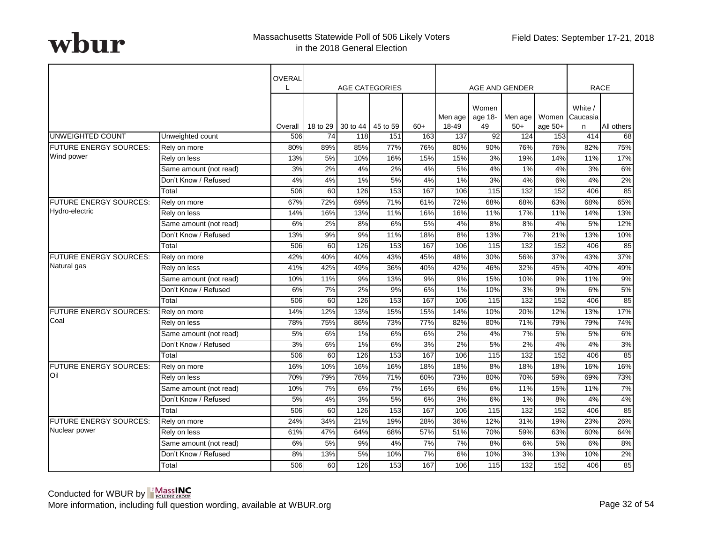|                               |                        | OVERAL  |                 |          | <b>AGE CATEGORIES</b> |       |                  |                        | AGE AND GENDER |                                         |              | <b>RACE</b> |
|-------------------------------|------------------------|---------|-----------------|----------|-----------------------|-------|------------------|------------------------|----------------|-----------------------------------------|--------------|-------------|
|                               |                        | Overall | 18 to 29        | 30 to 44 | 45 to 59              | $60+$ | Men age<br>18-49 | Women<br>age 18-<br>49 | $50+$          | Men age   Women   Caucasia<br>age $50+$ | White /<br>n | All others  |
| <b>UNWEIGHTED COUNT</b>       | Unweighted count       | 506     | $\overline{74}$ | 118      | 151                   | 163   | 137              | 92                     | 124            | 153                                     | 414          | 68          |
| <b>FUTURE ENERGY SOURCES:</b> | Rely on more           | 80%     | 89%             | 85%      | 77%                   | 76%   | 80%              | 90%                    | 76%            | 76%                                     | 82%          | 75%         |
| Wind power                    | Rely on less           | 13%     | 5%              | 10%      | 16%                   | 15%   | 15%              | 3%                     | 19%            | 14%                                     | 11%          | 17%         |
|                               | Same amount (not read) | 3%      | 2%              | 4%       | 2%                    | 4%    | 5%               | 4%                     | 1%             | 4%                                      | 3%           | 6%          |
|                               | Don't Know / Refused   | 4%      | 4%              | 1%       | 5%                    | 4%    | 1%               | 3%                     | 4%             | 6%                                      | 4%           | 2%          |
|                               | Total                  | 506     | 60              | 126      | 153                   | 167   | 106              | 115                    | 132            | 152                                     | 406          | 85          |
| <b>FUTURE ENERGY SOURCES:</b> | Rely on more           | 67%     | 72%             | 69%      | 71%                   | 61%   | 72%              | 68%                    | 68%            | 63%                                     | 68%          | 65%         |
| Hydro-electric                | Rely on less           | 14%     | 16%             | 13%      | 11%                   | 16%   | 16%              | 11%                    | 17%            | 11%                                     | 14%          | 13%         |
|                               | Same amount (not read) | 6%      | 2%              | 8%       | 6%                    | 5%    | 4%               | 8%                     | 8%             | 4%                                      | 5%           | 12%         |
|                               | Don't Know / Refused   | 13%     | 9%              | 9%       | 11%                   | 18%   | 8%               | 13%                    | 7%             | 21%                                     | 13%          | 10%         |
|                               | Total                  | 506     | 60              | 126      | 153                   | 167   | 106              | $\frac{115}{2}$        | 132            | 152                                     | 406          | 85          |
| <b>FUTURE ENERGY SOURCES:</b> | Rely on more           | 42%     | 40%             | 40%      | 43%                   | 45%   | 48%              | 30%                    | 56%            | 37%                                     | 43%          | 37%         |
| Natural gas                   | Rely on less           | 41%     | 42%             | 49%      | 36%                   | 40%   | 42%              | 46%                    | 32%            | 45%                                     | 40%          | 49%         |
|                               | Same amount (not read) | 10%     | 11%             | 9%       | 13%                   | 9%    | 9%               | 15%                    | 10%            | 9%                                      | 11%          | 9%          |
|                               | Don't Know / Refused   | 6%      | 7%              | 2%       | 9%                    | 6%    | 1%               | 10%                    | 3%             | 9%                                      | 6%           | 5%          |
|                               | Total                  | 506     | 60              | 126      | 153                   | 167   | 106              | 115                    | 132            | 152                                     | 406          | 85          |
| <b>FUTURE ENERGY SOURCES:</b> | Rely on more           | 14%     | 12%             | 13%      | 15%                   | 15%   | 14%              | 10%                    | 20%            | 12%                                     | 13%          | 17%         |
| Coal                          | Rely on less           | 78%     | 75%             | 86%      | 73%                   | 77%   | 82%              | 80%                    | 71%            | 79%                                     | 79%          | 74%         |
|                               | Same amount (not read) | 5%      | 6%              | 1%       | 6%                    | 6%    | 2%               | 4%                     | 7%             | 5%                                      | 5%           | 6%          |
|                               | Don't Know / Refused   | 3%      | 6%              | 1%       | 6%                    | 3%    | 2%               | 5%                     | 2%             | 4%                                      | 4%           | 3%          |
|                               | Total                  | 506     | 60              | 126      | 153                   | 167   | 106              | 115                    | 132            | 152                                     | 406          | 85          |
| <b>FUTURE ENERGY SOURCES:</b> | Rely on more           | 16%     | 10%             | 16%      | 16%                   | 18%   | 18%              | 8%                     | 18%            | 18%                                     | 16%          | 16%         |
| Oil                           | Rely on less           | 70%     | 79%             | 76%      | 71%                   | 60%   | 73%              | 80%                    | 70%            | 59%                                     | 69%          | 73%         |
|                               | Same amount (not read) | 10%     | 7%              | 6%       | 7%                    | 16%   | 6%               | 6%                     | 11%            | 15%                                     | 11%          | 7%          |
|                               | Don't Know / Refused   | 5%      | 4%              | 3%       | 5%                    | 6%    | 3%               | 6%                     | 1%             | 8%                                      | 4%           | 4%          |
|                               | Total                  | 506     | 60              | 126      | 153                   | 167   | 106              | 115                    | 132            | 152                                     | 406          | 85          |
| <b>FUTURE ENERGY SOURCES:</b> | Rely on more           | 24%     | 34%             | 21%      | 19%                   | 28%   | 36%              | 12%                    | 31%            | 19%                                     | 23%          | 26%         |
| Nuclear power                 | Rely on less           | 61%     | 47%             | 64%      | 68%                   | 57%   | 51%              | 70%                    | 59%            | 63%                                     | 60%          | 64%         |
|                               | Same amount (not read) | 6%      | 5%              | 9%       | 4%                    | 7%    | 7%               | 8%                     | 6%             | 5%                                      | 6%           | 8%          |
|                               | Don't Know / Refused   | 8%      | 13%             | 5%       | 10%                   | 7%    | 6%               | 10%                    | 3%             | 13%                                     | 10%          | 2%          |
|                               | Total                  | 506     | 60              | 126      | 153                   | 167   | 106              | 115                    | 132            | 152                                     | 406          | 85          |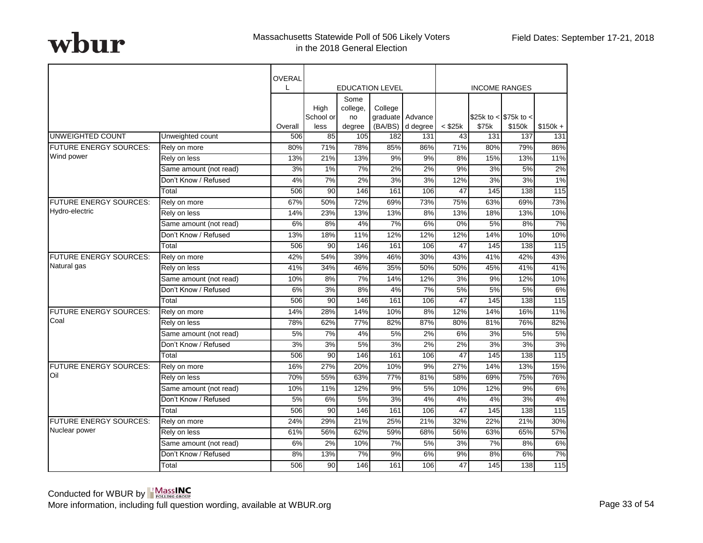|                               |                        | OVERAL         |                   |                        |                        |                  |                    |              |                        |                  |
|-------------------------------|------------------------|----------------|-------------------|------------------------|------------------------|------------------|--------------------|--------------|------------------------|------------------|
|                               |                        | L              |                   |                        | <b>EDUCATION LEVEL</b> |                  |                    |              | <b>INCOME RANGES</b>   |                  |
|                               |                        |                | High<br>School or | Some<br>college,<br>no | College                | graduate Advance |                    |              | \$25k to < $$75k$ to < |                  |
| <b>UNWEIGHTED COUNT</b>       | Unweighted count       | Overall<br>506 | less<br>85        | degree<br>105          | (BA/BS)<br>182         | d degree<br>131  | $<$ \$25 $k$<br>43 | \$75k<br>131 | \$150k<br>137          | $$150k +$<br>131 |
| FUTURE ENERGY SOURCES:        | Rely on more           | 80%            | 71%               | 78%                    | 85%                    | 86%              | 71%                | 80%          | 79%                    | 86%              |
| Wind power                    | Rely on less           | 13%            | 21%               | 13%                    | 9%                     | 9%               | 8%                 | 15%          | 13%                    | 11%              |
|                               | Same amount (not read) | 3%             | 1%                | 7%                     | 2%                     | 2%               | 9%                 | 3%           | 5%                     | 2%               |
|                               | Don't Know / Refused   | 4%             | 7%                | 2%                     | 3%                     | 3%               | 12%                | 3%           | 3%                     | 1%               |
|                               | Total                  | 506            | 90                | 146                    | 161                    | 106              | 47                 | 145          | 138                    | 115              |
| FUTURE ENERGY SOURCES:        | Rely on more           | 67%            | 50%               | 72%                    | 69%                    | 73%              | 75%                | 63%          | 69%                    | 73%              |
| Hydro-electric                | Rely on less           | 14%            | 23%               | 13%                    | 13%                    | 8%               | 13%                | 18%          | 13%                    | 10%              |
|                               | Same amount (not read) | 6%             | 8%                | 4%                     | 7%                     | 6%               | 0%                 | 5%           | 8%                     | 7%               |
|                               | Don't Know / Refused   | 13%            | 18%               | 11%                    | 12%                    | 12%              | 12%                | 14%          | 10%                    | 10%              |
|                               | Total                  | 506            | 90                | 146                    | 161                    | 106              | 47                 | 145          | 138                    | 115              |
| <b>FUTURE ENERGY SOURCES:</b> | Rely on more           | 42%            | 54%               | 39%                    | 46%                    | 30%              | 43%                | 41%          | 42%                    | 43%              |
| Natural gas                   | Rely on less           | 41%            | 34%               | 46%                    | 35%                    | 50%              | 50%                | 45%          | 41%                    | 41%              |
|                               | Same amount (not read) | 10%            | 8%                | 7%                     | 14%                    | 12%              | 3%                 | 9%           | 12%                    | 10%              |
|                               | Don't Know / Refused   | 6%             | 3%                | 8%                     | 4%                     | 7%               | 5%                 | 5%           | 5%                     | 6%               |
|                               | Total                  | 506            | 90                | 146                    | 161                    | 106              | 47                 | 145          | 138                    | 115              |
| <b>FUTURE ENERGY SOURCES:</b> | Rely on more           | 14%            | 28%               | 14%                    | 10%                    | 8%               | 12%                | 14%          | 16%                    | 11%              |
| Coal                          | Rely on less           | 78%            | 62%               | 77%                    | 82%                    | 87%              | 80%                | 81%          | 76%                    | 82%              |
|                               | Same amount (not read) | 5%             | 7%                | 4%                     | 5%                     | 2%               | 6%                 | 3%           | 5%                     | 5%               |
|                               | Don't Know / Refused   | 3%             | 3%                | 5%                     | 3%                     | 2%               | 2%                 | 3%           | 3%                     | 3%               |
|                               | Total                  | 506            | 90                | 146                    | 161                    | 106              | 47                 | 145          | 138                    | 115              |
| <b>FUTURE ENERGY SOURCES:</b> | Rely on more           | 16%            | 27%               | 20%                    | 10%                    | 9%               | 27%                | 14%          | 13%                    | 15%              |
| <b>Oil</b>                    | Rely on less           | 70%            | 55%               | 63%                    | 77%                    | 81%              | 58%                | 69%          | 75%                    | 76%              |
|                               | Same amount (not read) | 10%            | 11%               | 12%                    | 9%                     | 5%               | 10%                | 12%          | 9%                     | 6%               |
|                               | Don't Know / Refused   | 5%             | 6%                | 5%                     | 3%                     | 4%               | 4%                 | 4%           | 3%                     | 4%               |
|                               | Total                  | 506            | 90                | 146                    | 161                    | 106              | 47                 | 145          | 138                    | 115              |
| <b>FUTURE ENERGY SOURCES:</b> | Rely on more           | 24%            | 29%               | 21%                    | 25%                    | 21%              | 32%                | 22%          | 21%                    | 30%              |
| Nuclear power                 | Rely on less           | 61%            | 56%               | 62%                    | 59%                    | 68%              | 56%                | 63%          | 65%                    | 57%              |
|                               | Same amount (not read) | 6%             | 2%                | 10%                    | 7%                     | 5%               | 3%                 | 7%           | 8%                     | 6%               |
|                               | Don't Know / Refused   | 8%             | 13%               | 7%                     | 9%                     | 6%               | 9%                 | 8%           | 6%                     | 7%               |
|                               | Total                  | 506            | 90                | 146                    | 161                    | 106              | 47                 | 145          | 138                    | 115              |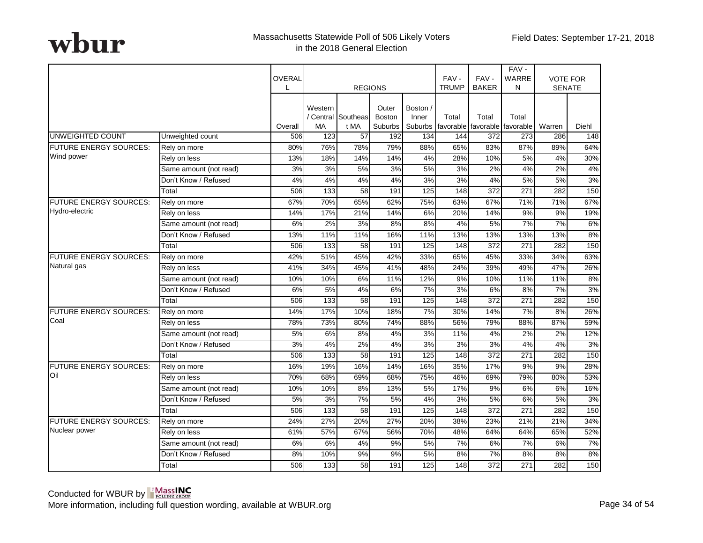|                               |                        | OVERAL  | <b>REGIONS</b>       |                            | FAV-<br><b>TRUMP</b>              | FAV-<br><b>BAKER</b>         | FAV-<br>WARRE<br>N | <b>VOTE FOR</b><br><b>SENATE</b> |                                        |                  |       |
|-------------------------------|------------------------|---------|----------------------|----------------------------|-----------------------------------|------------------------------|--------------------|----------------------------------|----------------------------------------|------------------|-------|
|                               |                        | Overall | Western<br><b>MA</b> | / Central Southeas<br>t MA | Outer<br><b>Boston</b><br>Suburbs | Boston /<br>Inner<br>Suburbs | Total              | Total                            | Total<br>favorable favorable favorable | Warren           | Diehl |
| <b>UNWEIGHTED COUNT</b>       | Unweighted count       | 506     | 123                  | 57                         | 192                               | 134                          | 144                | 372                              | 273                                    | 286              | 148   |
| FUTURE ENERGY SOURCES:        | Rely on more           | 80%     | 76%                  | 78%                        | 79%                               | 88%                          | 65%                | 83%                              | 87%                                    | 89%              | 64%   |
| Wind power                    | Rely on less           | 13%     | 18%                  | 14%                        | 14%                               | 4%                           | 28%                | 10%                              | 5%                                     | 4%               | 30%   |
|                               | Same amount (not read) | 3%      | 3%                   | 5%                         | 3%                                | 5%                           | 3%                 | 2%                               | 4%                                     | 2%               | 4%    |
|                               | Don't Know / Refused   | 4%      | 4%                   | 4%                         | 4%                                | 3%                           | 3%                 | 4%                               | 5%                                     | 5%               | 3%    |
|                               | Total                  | 506     | 133                  | 58                         | 191                               | 125                          | 148                | 372                              | 271                                    | 282              | 150   |
| <b>FUTURE ENERGY SOURCES:</b> | Rely on more           | 67%     | 70%                  | 65%                        | 62%                               | 75%                          | 63%                | 67%                              | 71%                                    | 71%              | 67%   |
| Hydro-electric                | Rely on less           | 14%     | 17%                  | 21%                        | 14%                               | 6%                           | 20%                | 14%                              | 9%                                     | 9%               | 19%   |
|                               | Same amount (not read) | 6%      | 2%                   | 3%                         | 8%                                | 8%                           | 4%                 | 5%                               | 7%                                     | $\overline{7\%}$ | 6%    |
|                               | Don't Know / Refused   | 13%     | 11%                  | 11%                        | 16%                               | 11%                          | 13%                | 13%                              | 13%                                    | 13%              | 8%    |
|                               | Total                  | 506     | 133                  | $\overline{58}$            | 191                               | $\overline{125}$             | 148                | $\overline{372}$                 | $\overline{271}$                       | 282              | 150   |
| <b>FUTURE ENERGY SOURCES:</b> | Rely on more           | 42%     | 51%                  | 45%                        | 42%                               | 33%                          | 65%                | 45%                              | 33%                                    | 34%              | 63%   |
| Natural gas                   | Rely on less           | 41%     | 34%                  | 45%                        | 41%                               | 48%                          | 24%                | 39%                              | 49%                                    | 47%              | 26%   |
|                               | Same amount (not read) | 10%     | 10%                  | 6%                         | 11%                               | 12%                          | 9%                 | 10%                              | 11%                                    | 11%              | 8%    |
|                               | Don't Know / Refused   | 6%      | 5%                   | 4%                         | 6%                                | 7%                           | 3%                 | 6%                               | 8%                                     | $\overline{7\%}$ | 3%    |
|                               | Total                  | 506     | 133                  | 58                         | 191                               | 125                          | $\overline{148}$   | $\overline{372}$                 | $\overline{271}$                       | 282              | 150   |
| <b>FUTURE ENERGY SOURCES:</b> | Rely on more           | 14%     | 17%                  | 10%                        | 18%                               | 7%                           | 30%                | 14%                              | 7%                                     | 8%               | 26%   |
| Coal                          | Rely on less           | 78%     | 73%                  | 80%                        | 74%                               | 88%                          | 56%                | 79%                              | 88%                                    | 87%              | 59%   |
|                               | Same amount (not read) | 5%      | 6%                   | 8%                         | 4%                                | 3%                           | 11%                | 4%                               | 2%                                     | 2%               | 12%   |
|                               | Don't Know / Refused   | 3%      | 4%                   | 2%                         | 4%                                | 3%                           | 3%                 | 3%                               | 4%                                     | 4%               | 3%    |
|                               | Total                  | 506     | 133                  | 58                         | 191                               | 125                          | 148                | 372                              | 271                                    | 282              | 150   |
| <b>FUTURE ENERGY SOURCES:</b> | Rely on more           | 16%     | 19%                  | 16%                        | 14%                               | 16%                          | 35%                | 17%                              | 9%                                     | 9%               | 28%   |
| Oil                           | Rely on less           | 70%     | 68%                  | 69%                        | 68%                               | 75%                          | 46%                | 69%                              | 79%                                    | 80%              | 53%   |
|                               | Same amount (not read) | 10%     | 10%                  | 8%                         | 13%                               | 5%                           | 17%                | 9%                               | 6%                                     | 6%               | 16%   |
|                               | Don't Know / Refused   | 5%      | 3%                   | 7%                         | 5%                                | 4%                           | 3%                 | 5%                               | 6%                                     | 5%               | 3%    |
|                               | Total                  | 506     | 133                  | 58                         | 191                               | 125                          | 148                | 372                              | 271                                    | 282              | 150   |
| <b>FUTURE ENERGY SOURCES:</b> | Rely on more           | 24%     | 27%                  | 20%                        | 27%                               | 20%                          | 38%                | 23%                              | 21%                                    | 21%              | 34%   |
| Nuclear power                 | Rely on less           | 61%     | 57%                  | 67%                        | 56%                               | 70%                          | 48%                | 64%                              | 64%                                    | 65%              | 52%   |
|                               | Same amount (not read) | 6%      | 6%                   | 4%                         | 9%                                | 5%                           | 7%                 | 6%                               | 7%                                     | 6%               | 7%    |
|                               | Don't Know / Refused   | 8%      | 10%                  | 9%                         | 9%                                | 5%                           | 8%                 | 7%                               | 8%                                     | 8%               | 8%    |
|                               | Total                  | 506     | 133                  | 58                         | 191                               | 125                          | 148                | 372                              | 271                                    | 282              | 150   |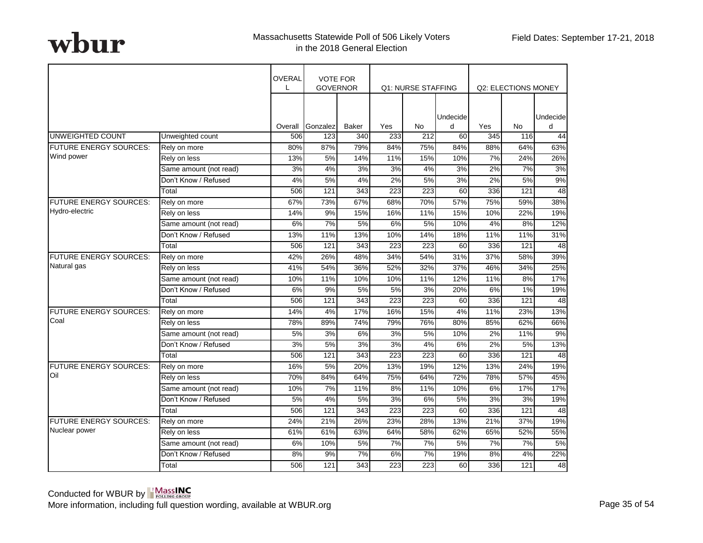|                               |                        | <b>OVERAL</b><br>L | <b>VOTE FOR</b><br><b>GOVERNOR</b> |                  |     | Q1: NURSE STAFFING |               |     | Q2: ELECTIONS MONEY |                |
|-------------------------------|------------------------|--------------------|------------------------------------|------------------|-----|--------------------|---------------|-----|---------------------|----------------|
|                               |                        | Overall            | Gonzalez                           | Baker            | Yes | <b>No</b>          | Undecide<br>d | Yes | No                  | Undecidel<br>d |
| UNWEIGHTED COUNT              | Unweighted count       | 506                | 123                                | 340              | 233 | 212                | 60            | 345 | 116                 | 44             |
| <b>FUTURE ENERGY SOURCES:</b> | Rely on more           | 80%                | 87%                                | 79%              | 84% | 75%                | 84%           | 88% | 64%                 | 63%            |
| Wind power                    | Rely on less           | 13%                | 5%                                 | 14%              | 11% | 15%                | 10%           | 7%  | 24%                 | 26%            |
|                               | Same amount (not read) | 3%                 | 4%                                 | 3%               | 3%  | 4%                 | 3%            | 2%  | 7%                  | 3%             |
|                               | Don't Know / Refused   | 4%                 | 5%                                 | 4%               | 2%  | 5%                 | 3%            | 2%  | 5%                  | 9%             |
|                               | Total                  | 506                | 121                                | 343              | 223 | 223                | 60            | 336 | 121                 | 48             |
| <b>FUTURE ENERGY SOURCES:</b> | Rely on more           | 67%                | 73%                                | 67%              | 68% | 70%                | 57%           | 75% | 59%                 | 38%            |
| Hydro-electric                | Rely on less           | 14%                | 9%                                 | 15%              | 16% | 11%                | 15%           | 10% | 22%                 | 19%            |
|                               | Same amount (not read) | 6%                 | 7%                                 | 5%               | 6%  | 5%                 | 10%           | 4%  | 8%                  | 12%            |
|                               | Don't Know / Refused   | 13%                | 11%                                | 13%              | 10% | 14%                | 18%           | 11% | 11%                 | 31%            |
|                               | Total                  | 506                | 121                                | 343              | 223 | 223                | 60            | 336 | 121                 | 48             |
| FUTURE ENERGY SOURCES:        | Rely on more           | 42%                | 26%                                | 48%              | 34% | 54%                | 31%           | 37% | 58%                 | 39%            |
| Natural gas                   | Rely on less           | 41%                | 54%                                | 36%              | 52% | 32%                | 37%           | 46% | 34%                 | 25%            |
|                               | Same amount (not read) | 10%                | 11%                                | 10%              | 10% | 11%                | 12%           | 11% | 8%                  | 17%            |
|                               | Don't Know / Refused   | 6%                 | 9%                                 | 5%               | 5%  | 3%                 | 20%           | 6%  | 1%                  | 19%            |
|                               | Total                  | 506                | $\overline{121}$                   | $\overline{343}$ | 223 | 223                | 60            | 336 | $\overline{121}$    | 48             |
| <b>FUTURE ENERGY SOURCES:</b> | Rely on more           | 14%                | 4%                                 | 17%              | 16% | 15%                | 4%            | 11% | 23%                 | 13%            |
| Coal                          | Rely on less           | 78%                | 89%                                | 74%              | 79% | 76%                | 80%           | 85% | 62%                 | 66%            |
|                               | Same amount (not read) | 5%                 | 3%                                 | 6%               | 3%  | 5%                 | 10%           | 2%  | 11%                 | 9%             |
|                               | Don't Know / Refused   | 3%                 | 5%                                 | 3%               | 3%  | 4%                 | 6%            | 2%  | 5%                  | 13%            |
|                               | Total                  | 506                | 121                                | 343              | 223 | 223                | 60            | 336 | 121                 | 48             |
| FUTURE ENERGY SOURCES:        | Rely on more           | 16%                | 5%                                 | 20%              | 13% | 19%                | 12%           | 13% | 24%                 | 19%            |
| Oil                           | Rely on less           | 70%                | 84%                                | 64%              | 75% | 64%                | 72%           | 78% | 57%                 | 45%            |
|                               | Same amount (not read) | 10%                | 7%                                 | 11%              | 8%  | 11%                | 10%           | 6%  | 17%                 | 17%            |
|                               | Don't Know / Refused   | 5%                 | 4%                                 | 5%               | 3%  | 6%                 | 5%            | 3%  | 3%                  | 19%            |
|                               | Total                  | 506                | 121                                | 343              | 223 | 223                | 60            | 336 | 121                 | 48             |
| <b>FUTURE ENERGY SOURCES:</b> | Rely on more           | 24%                | 21%                                | 26%              | 23% | 28%                | 13%           | 21% | 37%                 | 19%            |
| Nuclear power                 | Rely on less           | 61%                | 61%                                | 63%              | 64% | 58%                | 62%           | 65% | 52%                 | 55%            |
|                               | Same amount (not read) | 6%                 | 10%                                | 5%               | 7%  | 7%                 | 5%            | 7%  | 7%                  | 5%             |
|                               | Don't Know / Refused   | 8%                 | 9%                                 | 7%               | 6%  | 7%                 | 19%           | 8%  | 4%                  | 22%            |
|                               | Total                  | 506                | 121                                | 343              | 223 | 223                | 60            | 336 | 121                 | 48             |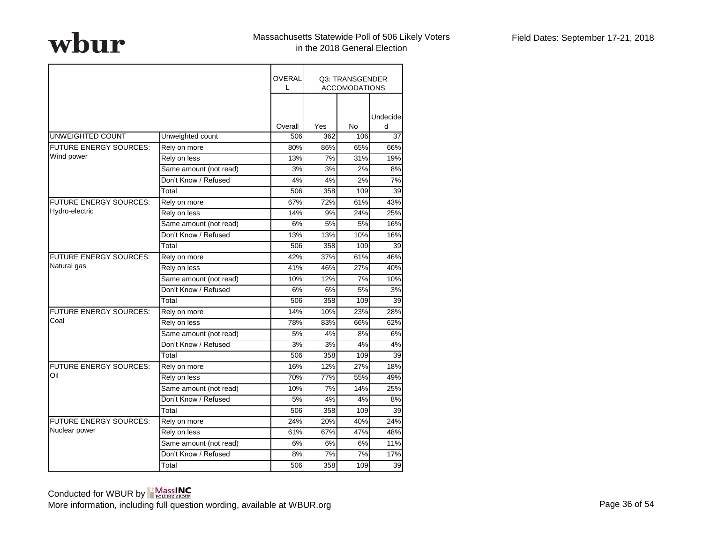|                               |                        | <b>OVERAL</b><br>L |     | Q3: TRANSGENDER<br><b>ACCOMODATIONS</b> |               |
|-------------------------------|------------------------|--------------------|-----|-----------------------------------------|---------------|
|                               |                        | Overall            | Yes | <b>No</b>                               | Undecide<br>d |
| UNWEIGHTED COUNT              | Unweighted count       | 506                | 362 | 106                                     | 37            |
| <b>FUTURE ENERGY SOURCES:</b> | Rely on more           | 80%                | 86% | 65%                                     | 66%           |
| Wind power                    | Rely on less           | 13%                | 7%  | 31%                                     | 19%           |
|                               | Same amount (not read) | 3%                 | 3%  | 2%                                      | 8%            |
|                               | Don't Know / Refused   | 4%                 | 4%  | 2%                                      | 7%            |
|                               | Total                  | 506                | 358 | 109                                     | 39            |
| <b>FUTURE ENERGY SOURCES:</b> | Rely on more           | 67%                | 72% | 61%                                     | 43%           |
| Hydro-electric                | Rely on less           | 14%                | 9%  | 24%                                     | 25%           |
|                               | Same amount (not read) | 6%                 | 5%  | 5%                                      | 16%           |
|                               | Don't Know / Refused   | 13%                | 13% | 10%                                     | 16%           |
|                               | Total                  | 506                | 358 | 109                                     | 39            |
| <b>FUTURE ENERGY SOURCES:</b> | Rely on more           | 42%                | 37% | 61%                                     | 46%           |
| Natural gas                   | Rely on less           | 41%                | 46% | 27%                                     | 40%           |
|                               | Same amount (not read) | 10%                | 12% | 7%                                      | 10%           |
|                               | Don't Know / Refused   | 6%                 | 6%  | 5%                                      | 3%            |
|                               | Total                  | 506                | 358 | 109                                     | 39            |
| <b>FUTURE ENERGY SOURCES:</b> | Rely on more           | 14%                | 10% | 23%                                     | 28%           |
| Coal                          | Rely on less           | 78%                | 83% | 66%                                     | 62%           |
|                               | Same amount (not read) | 5%                 | 4%  | 8%                                      | 6%            |
|                               | Don't Know / Refused   | 3%                 | 3%  | 4%                                      | 4%            |
|                               | Total                  | 506                | 358 | 109                                     | 39            |
| FUTURE ENERGY SOURCES:        | Rely on more           | 16%                | 12% | 27%                                     | 18%           |
| Oil                           | Rely on less           | 70%                | 77% | 55%                                     | 49%           |
|                               | Same amount (not read) | 10%                | 7%  | 14%                                     | 25%           |
|                               | Don't Know / Refused   | 5%                 | 4%  | 4%                                      | 8%            |
|                               | Total                  | 506                | 358 | 109                                     | 39            |
| FUTURE ENERGY SOURCES:        | Rely on more           | 24%                | 20% | 40%                                     | 24%           |
| Nuclear power                 | Rely on less           | 61%                | 67% | 47%                                     | 48%           |
|                               | Same amount (not read) | 6%                 | 6%  | 6%                                      | 11%           |
|                               | Don't Know / Refused   | 8%                 | 7%  | 7%                                      | 17%           |
|                               | Total                  | 506                | 358 | 109                                     | 39            |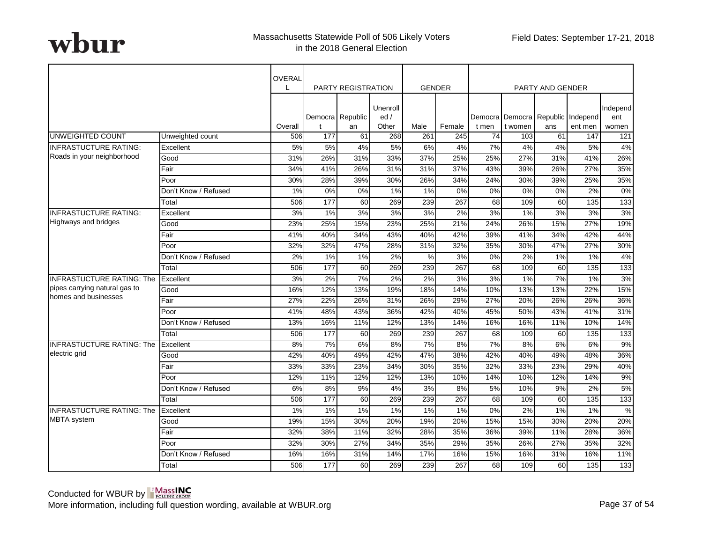|                                  |                      | <b>OVERAL</b> |     | <b>PARTY REGISTRATION</b> |                          |       | <b>GENDER</b> |       |         | <b>PARTY AND GENDER</b> |                                              |                          |
|----------------------------------|----------------------|---------------|-----|---------------------------|--------------------------|-------|---------------|-------|---------|-------------------------|----------------------------------------------|--------------------------|
|                                  |                      | Overall       | t   | Democra Republic<br>an    | Unenroll<br>ed/<br>Other | Male  | Female        | t men | t women | ans                     | Democra Democra Republic Independ<br>ent men | Independ<br>ent<br>women |
| UNWEIGHTED COUNT                 | Unweighted count     | 506           | 177 | 61                        | 268                      | 261   | 245           | 74    | 103     | 61                      | 147                                          | 121                      |
| <b>INFRASTUCTURE RATING:</b>     | Excellent            | 5%            | 5%  | 4%                        | 5%                       | 6%    | 4%            | 7%    | 4%      | 4%                      | 5%                                           | 4%                       |
| Roads in your neighborhood       | Good                 | 31%           | 26% | 31%                       | 33%                      | 37%   | 25%           | 25%   | 27%     | 31%                     | 41%                                          | 26%                      |
|                                  | Fair                 | 34%           | 41% | 26%                       | 31%                      | 31%   | 37%           | 43%   | 39%     | 26%                     | 27%                                          | 35%                      |
|                                  | Poor                 | 30%           | 28% | 39%                       | 30%                      | 26%   | 34%           | 24%   | 30%     | 39%                     | 25%                                          | 35%                      |
|                                  | Don't Know / Refused | 1%            | 0%  | 0%                        | $1\%$                    | 1%    | 0%            | 0%    | 0%      | 0%                      | 2%                                           | 0%                       |
|                                  | Total                | 506           | 177 | 60                        | 269                      | 239   | 267           | 68    | 109     | 60                      | 135                                          | 133                      |
| <b>INFRASTUCTURE RATING:</b>     | Excellent            | 3%            | 1%  | 3%                        | 3%                       | 3%    | 2%            | 3%    | $1\%$   | 3%                      | 3%                                           | 3%                       |
| <b>Highways and bridges</b>      | Good                 | 23%           | 25% | 15%                       | 23%                      | 25%   | 21%           | 24%   | 26%     | 15%                     | 27%                                          | 19%                      |
|                                  | Fair                 | 41%           | 40% | 34%                       | 43%                      | 40%   | 42%           | 39%   | 41%     | 34%                     | 42%                                          | 44%                      |
|                                  | Poor                 | 32%           | 32% | 47%                       | 28%                      | 31%   | 32%           | 35%   | 30%     | 47%                     | 27%                                          | 30%                      |
|                                  | Don't Know / Refused | 2%            | 1%  | 1%                        | 2%                       | %     | 3%            | 0%    | 2%      | 1%                      | 1%                                           | 4%                       |
|                                  | Total                | 506           | 177 | 60                        | 269                      | 239   | 267           | 68    | 109     | 60                      | 135                                          | 133                      |
| <b>INFRASTUCTURE RATING: The</b> | Excellent            | 3%            | 2%  | 7%                        | 2%                       | $2\%$ | 3%            | 3%    | $1\%$   | 7%                      | 1%                                           | 3%                       |
| pipes carrying natural gas to    | Good                 | 16%           | 12% | 13%                       | 19%                      | 18%   | 14%           | 10%   | 13%     | 13%                     | 22%                                          | 15%                      |
| homes and businesses             | Fair                 | 27%           | 22% | 26%                       | 31%                      | 26%   | 29%           | 27%   | 20%     | 26%                     | 26%                                          | 36%                      |
|                                  | Poor                 | 41%           | 48% | 43%                       | 36%                      | 42%   | 40%           | 45%   | 50%     | 43%                     | 41%                                          | 31%                      |
|                                  | Don't Know / Refused | 13%           | 16% | 11%                       | 12%                      | 13%   | 14%           | 16%   | 16%     | 11%                     | 10%                                          | 14%                      |
|                                  | Total                | 506           | 177 | 60                        | 269                      | 239   | 267           | 68    | 109     | 60                      | 135                                          | 133                      |
| <b>INFRASTUCTURE RATING: The</b> | Excellent            | 8%            | 7%  | 6%                        | 8%                       | 7%    | 8%            | 7%    | 8%      | 6%                      | 6%                                           | 9%                       |
| electric grid                    | Good                 | 42%           | 40% | 49%                       | 42%                      | 47%   | 38%           | 42%   | 40%     | 49%                     | 48%                                          | 36%                      |
|                                  | Fair                 | 33%           | 33% | 23%                       | 34%                      | 30%   | 35%           | 32%   | 33%     | 23%                     | 29%                                          | 40%                      |
|                                  | Poor                 | 12%           | 11% | 12%                       | 12%                      | 13%   | 10%           | 14%   | 10%     | 12%                     | 14%                                          | 9%                       |
|                                  | Don't Know / Refused | 6%            | 8%  | 9%                        | 4%                       | 3%    | 8%            | 5%    | 10%     | 9%                      | 2%                                           | 5%                       |
|                                  | Total                | 506           | 177 | 60                        | 269                      | 239   | 267           | 68    | 109     | 60                      | 135                                          | $\overline{133}$         |
| <b>INFRASTUCTURE RATING: The</b> | Excellent            | 1%            | 1%  | 1%                        | 1%                       | 1%    | 1%            | 0%    | 2%      | 1%                      | 1%                                           | %                        |
| <b>MBTA</b> system               | Good                 | 19%           | 15% | 30%                       | 20%                      | 19%   | 20%           | 15%   | 15%     | 30%                     | 20%                                          | 20%                      |
|                                  | Fair                 | 32%           | 38% | 11%                       | 32%                      | 28%   | 35%           | 36%   | 39%     | 11%                     | 28%                                          | 36%                      |
|                                  | Poor                 | 32%           | 30% | 27%                       | 34%                      | 35%   | 29%           | 35%   | 26%     | 27%                     | 35%                                          | 32%                      |
|                                  | Don't Know / Refused | 16%           | 16% | 31%                       | 14%                      | 17%   | 16%           | 15%   | 16%     | 31%                     | 16%                                          | 11%                      |
|                                  | Total                | 506           | 177 | 60                        | 269                      | 239   | 267           | 68    | 109     | 60                      | 135                                          | $\overline{133}$         |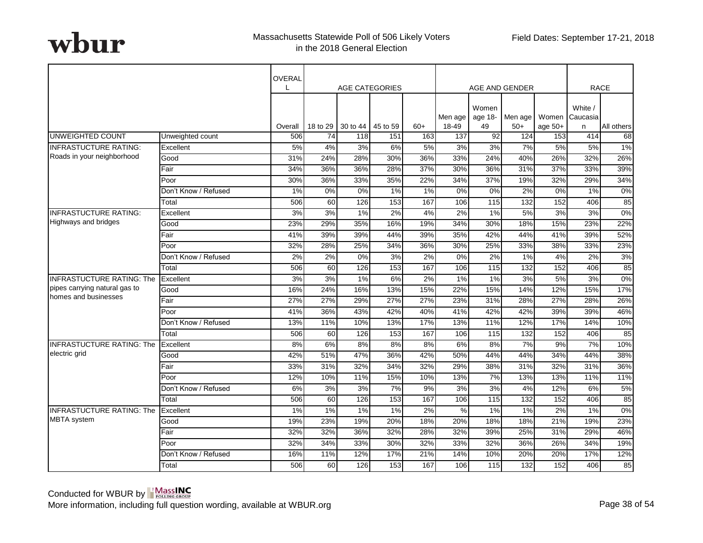|                                  |                      | OVERAL         |                | <b>AGE CATEGORIES</b> |                 |              |              |                  | AGE AND GENDER |                  |                           | <b>RACE</b>      |
|----------------------------------|----------------------|----------------|----------------|-----------------------|-----------------|--------------|--------------|------------------|----------------|------------------|---------------------------|------------------|
|                                  |                      |                |                |                       |                 |              | Men age      | Women<br>age 18- | Men age        |                  | White /<br>Women Caucasia |                  |
| UNWEIGHTED COUNT                 | Unweighted count     | Overall<br>506 | 18 to 29<br>74 | 30 to 44<br>118       | 45 to 59<br>151 | $60+$<br>163 | 18-49<br>137 | 49<br>92         | $50+$<br>124   | age $50+$<br>153 | n<br>414                  | All others<br>68 |
| <b>INFRASTUCTURE RATING:</b>     | Excellent            | 5%             | 4%             | 3%                    | 6%              | 5%           | 3%           | 3%               | 7%             | 5%               | 5%                        | $1\%$            |
| Roads in your neighborhood       | Good                 | 31%            | 24%            | 28%                   | 30%             | 36%          | 33%          | 24%              | 40%            | 26%              | 32%                       | 26%              |
|                                  | Fair                 | 34%            | 36%            | 36%                   | 28%             | 37%          | 30%          | 36%              | 31%            | 37%              | 33%                       | 39%              |
|                                  | Poor                 | 30%            | 36%            | 33%                   | 35%             | 22%          | 34%          | 37%              | 19%            | 32%              | 29%                       | 34%              |
|                                  | Don't Know / Refused | 1%             | 0%             | 0%                    | 1%              | 1%           | 0%           | 0%               | 2%             | 0%               | 1%                        | 0%               |
|                                  | Total                | 506            | 60             | 126                   | 153             | 167          | 106          | 115              | 132            | 152              | 406                       | 85               |
| <b>INFRASTUCTURE RATING:</b>     | Excellent            | 3%             | 3%             | 1%                    | 2%              | 4%           | 2%           | 1%               | 5%             | 3%               | 3%                        | 0%               |
| Highways and bridges             | Good                 | 23%            | 29%            | 35%                   | 16%             | 19%          | 34%          | 30%              | 18%            | 15%              | 23%                       | 22%              |
|                                  | Fair                 | 41%            | 39%            | 39%                   | 44%             | 39%          | 35%          | 42%              | 44%            | 41%              | 39%                       | 52%              |
|                                  | Poor                 | 32%            | 28%            | 25%                   | 34%             | 36%          | 30%          | 25%              | 33%            | 38%              | 33%                       | 23%              |
|                                  | Don't Know / Refused | 2%             | 2%             | 0%                    | 3%              | 2%           | 0%           | 2%               | 1%             | 4%               | 2%                        | 3%               |
|                                  | Total                | 506            | 60             | 126                   | 153             | 167          | 106          | 115              | 132            | 152              | 406                       | 85               |
| <b>INFRASTUCTURE RATING: The</b> | Excellent            | 3%             | 3%             | 1%                    | 6%              | 2%           | 1%           | 1%               | 3%             | 5%               | 3%                        | $0\%$            |
| pipes carrying natural gas to    | Good                 | 16%            | 24%            | 16%                   | 13%             | 15%          | 22%          | 15%              | 14%            | 12%              | 15%                       | 17%              |
| homes and businesses             | Fair                 | 27%            | 27%            | 29%                   | 27%             | 27%          | 23%          | 31%              | 28%            | 27%              | 28%                       | 26%              |
|                                  | Poor                 | 41%            | 36%            | 43%                   | 42%             | 40%          | 41%          | 42%              | 42%            | 39%              | 39%                       | 46%              |
|                                  | Don't Know / Refused | 13%            | 11%            | 10%                   | 13%             | 17%          | 13%          | 11%              | 12%            | 17%              | 14%                       | 10%              |
|                                  | Total                | 506            | 60             | 126                   | 153             | 167          | 106          | 115              | 132            | 152              | 406                       | 85               |
| <b>INFRASTUCTURE RATING: The</b> | Excellent            | 8%             | 6%             | 8%                    | 8%              | 8%           | 6%           | 8%               | 7%             | 9%               | 7%                        | 10%              |
| electric grid                    | Good                 | 42%            | 51%            | 47%                   | 36%             | 42%          | 50%          | 44%              | 44%            | 34%              | 44%                       | 38%              |
|                                  | Fair                 | 33%            | 31%            | 32%                   | 34%             | 32%          | 29%          | 38%              | 31%            | 32%              | 31%                       | 36%              |
|                                  | Poor                 | 12%            | 10%            | 11%                   | 15%             | 10%          | 13%          | 7%               | 13%            | 13%              | 11%                       | 11%              |
|                                  | Don't Know / Refused | 6%             | 3%             | 3%                    | 7%              | 9%           | 3%           | 3%               | 4%             | 12%              | 6%                        | 5%               |
|                                  | Total                | 506            | 60             | 126                   | 153             | 167          | 106          | 115              | 132            | 152              | 406                       | 85               |
| <b>INFRASTUCTURE RATING: The</b> | Excellent            | 1%             | 1%             | 1%                    | 1%              | 2%           | %            | 1%               | 1%             | 2%               | 1%                        | 0%               |
| <b>MBTA</b> system               | Good                 | 19%            | 23%            | 19%                   | 20%             | 18%          | 20%          | 18%              | 18%            | 21%              | 19%                       | 23%              |
|                                  | Fair                 | 32%            | 32%            | 36%                   | 32%             | 28%          | 32%          | 39%              | 25%            | 31%              | 29%                       | 46%              |
|                                  | Poor                 | 32%            | 34%            | 33%                   | 30%             | 32%          | 33%          | 32%              | 36%            | 26%              | 34%                       | 19%              |
|                                  | Don't Know / Refused | 16%            | 11%            | 12%                   | 17%             | 21%          | 14%          | 10%              | 20%            | 20%              | 17%                       | 12%              |
|                                  | Total                | 506            | 60             | 126                   | 153             | 167          | 106          | 115              | 132            | 152              | 406                       | 85               |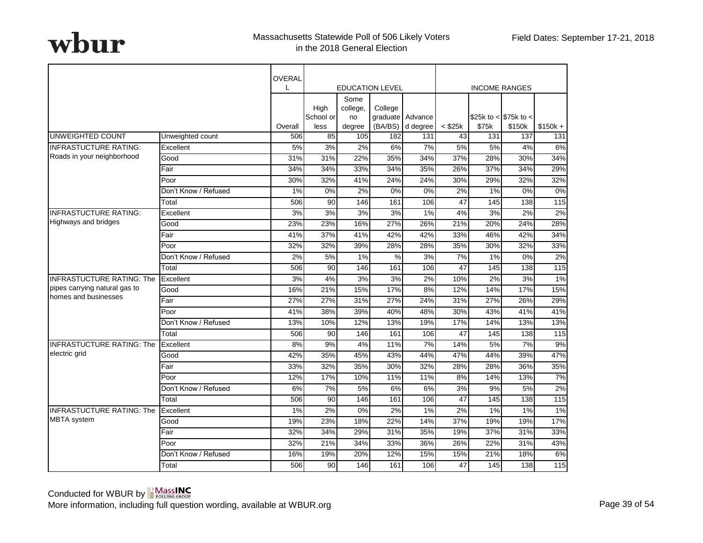|                                  |                      | OVERAL<br>L      |                   |                  | <b>EDUCATION LEVEL</b> |                  |              | <b>INCOME RANGES</b>   |        |           |
|----------------------------------|----------------------|------------------|-------------------|------------------|------------------------|------------------|--------------|------------------------|--------|-----------|
|                                  |                      |                  |                   | Some             |                        |                  |              |                        |        |           |
|                                  |                      |                  | High<br>School or | college,<br>no   | College                | graduate Advance |              | \$25k to < $$75k$ to < |        |           |
|                                  |                      | Overall          | less              | degree           | (BA/BS)                | d degree         | $<$ \$25 $k$ | \$75k                  | \$150k | $$150k +$ |
| UNWEIGHTED COUNT                 | Unweighted count     | 506              | 85                | 105              | 182                    | 131              | 43           | 131                    | 137    | 131       |
| <b>INFRASTUCTURE RATING:</b>     | Excellent            | 5%               | 3%                | 2%               | 6%                     | 7%               | 5%           | 5%                     | 4%     | 6%        |
| Roads in your neighborhood       | Good                 | 31%              | 31%               | 22%              | 35%                    | 34%              | 37%          | 28%                    | 30%    | 34%       |
|                                  | Fair                 | 34%              | 34%               | 33%              | 34%                    | 35%              | 26%          | 37%                    | 34%    | 29%       |
|                                  | Poor                 | 30%              | 32%               | 41%              | 24%                    | 24%              | 30%          | 29%                    | 32%    | 32%       |
|                                  | Don't Know / Refused | 1%               | 0%                | 2%               | 0%                     | 0%               | 2%           | 1%                     | 0%     | 0%        |
|                                  | Total                | 506              | 90                | 146              | 161                    | 106              | 47           | 145                    | 138    | 115       |
| <b>INFRASTUCTURE RATING:</b>     | Excellent            | 3%               | 3%                | $\overline{3\%}$ | 3%                     | 1%               | 4%           | 3%                     | 2%     | 2%        |
| Highways and bridges             | Good                 | 23%              | 23%               | 16%              | 27%                    | 26%              | 21%          | 20%                    | 24%    | 28%       |
|                                  | Fair                 | 41%              | 37%               | 41%              | 42%                    | 42%              | 33%          | 46%                    | 42%    | 34%       |
|                                  | Poor                 | 32%              | 32%               | 39%              | 28%                    | 28%              | 35%          | 30%                    | 32%    | 33%       |
|                                  | Don't Know / Refused | 2%               | 5%                | 1%               | %                      | 3%               | 7%           | 1%                     | 0%     | 2%        |
|                                  | Total                | 506              | 90                | 146              | 161                    | 106              | 47           | 145                    | 138    | 115       |
| <b>INFRASTUCTURE RATING: The</b> | Excellent            | $\overline{3\%}$ | 4%                | $\overline{3\%}$ | 3%                     | 2%               | 10%          | 2%                     | 3%     | $1\%$     |
| pipes carrying natural gas to    | Good                 | 16%              | 21%               | 15%              | 17%                    | 8%               | 12%          | 14%                    | 17%    | 15%       |
| homes and businesses             | Fair                 | 27%              | 27%               | 31%              | 27%                    | 24%              | 31%          | 27%                    | 26%    | 29%       |
|                                  | Poor                 | 41%              | 38%               | 39%              | 40%                    | 48%              | 30%          | 43%                    | 41%    | 41%       |
|                                  | Don't Know / Refused | 13%              | 10%               | 12%              | 13%                    | 19%              | 17%          | 14%                    | 13%    | 13%       |
|                                  | Total                | 506              | 90                | 146              | 161                    | 106              | 47           | 145                    | 138    | 115       |
| <b>INFRASTUCTURE RATING: The</b> | Excellent            | 8%               | 9%                | 4%               | 11%                    | 7%               | 14%          | 5%                     | 7%     | 9%        |
| electric grid                    | Good                 | 42%              | 35%               | 45%              | 43%                    | 44%              | 47%          | 44%                    | 39%    | 47%       |
|                                  | Fair                 | 33%              | 32%               | 35%              | 30%                    | 32%              | 28%          | 28%                    | 36%    | 35%       |
|                                  | Poor                 | 12%              | 17%               | 10%              | 11%                    | 11%              | 8%           | 14%                    | 13%    | 7%        |
|                                  | Don't Know / Refused | 6%               | 7%                | 5%               | 6%                     | 6%               | 3%           | 9%                     | 5%     | 2%        |
|                                  | Total                | 506              | 90                | 146              | 161                    | 106              | 47           | 145                    | 138    | 115       |
| <b>INFRASTUCTURE RATING: The</b> | Excellent            | 1%               | 2%                | 0%               | 2%                     | 1%               | 2%           | 1%                     | 1%     | 1%        |
| <b>MBTA</b> system               | Good                 | 19%              | 23%               | 18%              | 22%                    | 14%              | 37%          | 19%                    | 19%    | 17%       |
|                                  | Fair                 | 32%              | 34%               | 29%              | 31%                    | 35%              | 19%          | 37%                    | 31%    | 33%       |
|                                  | Poor                 | 32%              | 21%               | 34%              | 33%                    | 36%              | 26%          | 22%                    | 31%    | 43%       |
|                                  | Don't Know / Refused | 16%              | 19%               | 20%              | 12%                    | 15%              | 15%          | 21%                    | 18%    | 6%        |
|                                  | Total                | 506              | 90                | 146              | 161                    | 106              | 47           | 145                    | 138    | 115       |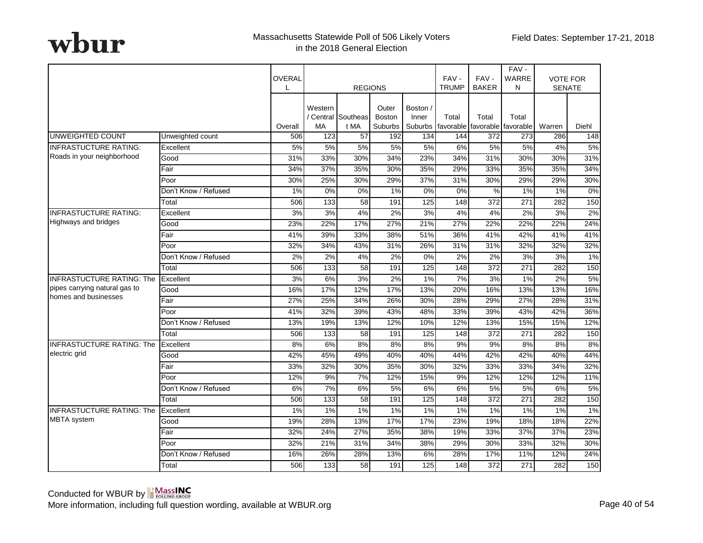|                                  |                      | OVERAL  | <b>REGIONS</b>                                                                                                          |                 |     |                    | $FAV -$<br><b>TRUMP</b> | FAV-<br><b>BAKER</b> | FAV-<br>WARRE<br>N | <b>VOTE FOR</b><br><b>SENATE</b> |       |
|----------------------------------|----------------------|---------|-------------------------------------------------------------------------------------------------------------------------|-----------------|-----|--------------------|-------------------------|----------------------|--------------------|----------------------------------|-------|
|                                  |                      | Overall | Western<br>Outer<br>Boston /<br>/ Central Southeas<br><b>Boston</b><br>Inner<br><b>MA</b><br>t MA<br>Suburbs<br>Suburbs |                 |     | Total<br>favorable | Total<br>favorable      | Total<br>favorable   | Warren             | Diehl                            |       |
| <b>UNWEIGHTED COUNT</b>          | Unweighted count     | 506     | 123                                                                                                                     | 57              | 192 | 134                | 144                     | 372                  | 273                | 286                              | 148   |
| <b>INFRASTUCTURE RATING:</b>     | Excellent            | 5%      | 5%                                                                                                                      | 5%              | 5%  | 5%                 | 6%                      | 5%                   | 5%                 | 4%                               | 5%    |
| Roads in your neighborhood       | Good                 | 31%     | 33%                                                                                                                     | 30%             | 34% | 23%                | 34%                     | 31%                  | 30%                | 30%                              | 31%   |
|                                  | Fair                 | 34%     | 37%                                                                                                                     | 35%             | 30% | 35%                | 29%                     | 33%                  | 35%                | 35%                              | 34%   |
|                                  | Poor                 | 30%     | 25%                                                                                                                     | 30%             | 29% | 37%                | 31%                     | 30%                  | 29%                | 29%                              | 30%   |
|                                  | Don't Know / Refused | 1%      | 0%                                                                                                                      | 0%              | 1%  | 0%                 | 0%                      | $\%$                 | 1%                 | 1%                               | 0%    |
|                                  | Total                | 506     | $\overline{133}$                                                                                                        | 58              | 191 | 125                | 148                     | 372                  | $\overline{271}$   | 282                              | 150   |
| <b>INFRASTUCTURE RATING:</b>     | Excellent            | 3%      | 3%                                                                                                                      | 4%              | 2%  | 3%                 | 4%                      | 4%                   | 2%                 | 3%                               | 2%    |
| <b>Highways and bridges</b>      | Good                 | 23%     | 22%                                                                                                                     | 17%             | 27% | 21%                | 27%                     | 22%                  | 22%                | 22%                              | 24%   |
|                                  | Fair                 | 41%     | 39%                                                                                                                     | 33%             | 38% | 51%                | 36%                     | 41%                  | 42%                | 41%                              | 41%   |
|                                  | Poor                 | 32%     | 34%                                                                                                                     | 43%             | 31% | 26%                | 31%                     | 31%                  | 32%                | 32%                              | 32%   |
|                                  | Don't Know / Refused | 2%      | 2%                                                                                                                      | 4%              | 2%  | 0%                 | 2%                      | 2%                   | 3%                 | 3%                               | $1\%$ |
|                                  | Total                | 506     | $\overline{133}$                                                                                                        | $\overline{58}$ | 191 | 125                | 148                     | 372                  | 271                | 282                              | 150   |
| <b>INFRASTUCTURE RATING: The</b> | Excellent            | 3%      | 6%                                                                                                                      | 3%              | 2%  | 1%                 | 7%                      | 3%                   | $1\%$              | 2%                               | 5%    |
| pipes carrying natural gas to    | Good                 | 16%     | 17%                                                                                                                     | 12%             | 17% | 13%                | 20%                     | 16%                  | 13%                | 13%                              | 16%   |
| homes and businesses             | Fair                 | 27%     | 25%                                                                                                                     | 34%             | 26% | 30%                | 28%                     | 29%                  | 27%                | 28%                              | 31%   |
|                                  | Poor                 | 41%     | 32%                                                                                                                     | 39%             | 43% | 48%                | 33%                     | 39%                  | 43%                | 42%                              | 36%   |
|                                  | Don't Know / Refused | 13%     | 19%                                                                                                                     | 13%             | 12% | 10%                | 12%                     | 13%                  | 15%                | 15%                              | 12%   |
|                                  | Total                | 506     | 133                                                                                                                     | 58              | 191 | 125                | 148                     | 372                  | 271                | 282                              | 150   |
| <b>INFRASTUCTURE RATING: The</b> | Excellent            | 8%      | 6%                                                                                                                      | 8%              | 8%  | 8%                 | 9%                      | 9%                   | 8%                 | 8%                               | 8%    |
| electric grid                    | Good                 | 42%     | 45%                                                                                                                     | 49%             | 40% | 40%                | 44%                     | 42%                  | 42%                | 40%                              | 44%   |
|                                  | Fair                 | 33%     | 32%                                                                                                                     | 30%             | 35% | 30%                | 32%                     | 33%                  | 33%                | 34%                              | 32%   |
|                                  | Poor                 | 12%     | 9%                                                                                                                      | 7%              | 12% | 15%                | 9%                      | 12%                  | 12%                | 12%                              | 11%   |
|                                  | Don't Know / Refused | 6%      | 7%                                                                                                                      | 6%              | 5%  | 6%                 | 6%                      | 5%                   | 5%                 | 6%                               | 5%    |
|                                  | Total                | 506     | 133                                                                                                                     | 58              | 191 | 125                | 148                     | 372                  | 271                | 282                              | 150   |
| <b>INFRASTUCTURE RATING: The</b> | Excellent            | 1%      | 1%                                                                                                                      | 1%              | 1%  | 1%                 | 1%                      | 1%                   | 1%                 | 1%                               | 1%    |
| MBTA system                      | Good                 | 19%     | 28%                                                                                                                     | 13%             | 17% | 17%                | 23%                     | 19%                  | 18%                | 18%                              | 22%   |
|                                  | Fair                 | 32%     | 24%                                                                                                                     | 27%             | 35% | 38%                | 19%                     | 33%                  | 37%                | 37%                              | 23%   |
|                                  | Poor                 | 32%     | 21%                                                                                                                     | 31%             | 34% | 38%                | 29%                     | 30%                  | 33%                | 32%                              | 30%   |
|                                  | Don't Know / Refused | 16%     | 26%                                                                                                                     | 28%             | 13% | 6%                 | 28%                     | 17%                  | 11%                | 12%                              | 24%   |
|                                  | Total                | 506     | 133                                                                                                                     | 58              | 191 | 125                | 148                     | 372                  | 271                | 282                              | 150   |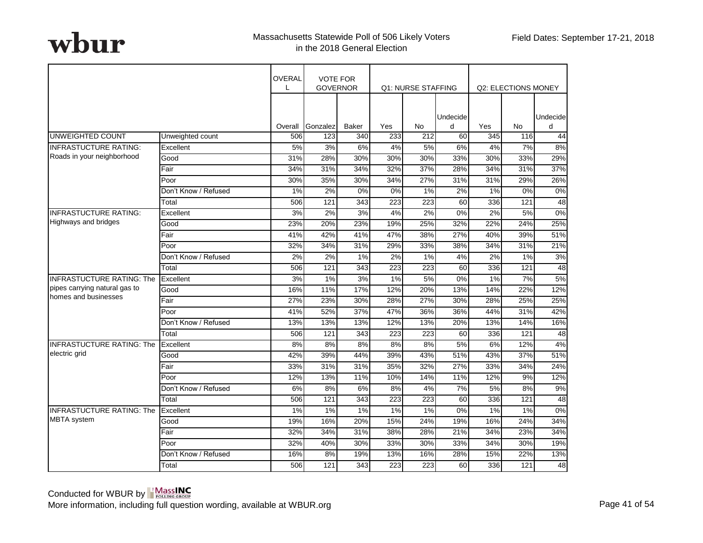|                                  |                      | OVERAL<br>L | <b>VOTE FOR</b>  | <b>GOVERNOR</b> |                  | Q1: NURSE STAFFING |               |     | Q2: ELECTIONS MONEY |               |
|----------------------------------|----------------------|-------------|------------------|-----------------|------------------|--------------------|---------------|-----|---------------------|---------------|
|                                  |                      | Overall     | Gonzalez         | <b>Baker</b>    | Yes              | N <sub>0</sub>     | Undecide<br>d | Yes | <b>No</b>           | Undecide<br>d |
| UNWEIGHTED COUNT                 | Unweighted count     | 506         | 123              | 340             | 233              | 212                | 60            | 345 | 116                 | 44            |
| <b>INFRASTUCTURE RATING:</b>     | Excellent            | 5%          | 3%               | 6%              | 4%               | 5%                 | 6%            | 4%  | 7%                  | 8%            |
| Roads in your neighborhood       | Good                 | 31%         | 28%              | 30%             | 30%              | 30%                | 33%           | 30% | 33%                 | 29%           |
|                                  | Fair                 | 34%         | 31%              | 34%             | 32%              | 37%                | 28%           | 34% | 31%                 | 37%           |
|                                  | Poor                 | 30%         | 35%              | 30%             | 34%              | 27%                | 31%           | 31% | 29%                 | 26%           |
|                                  | Don't Know / Refused | 1%          | 2%               | 0%              | 0%               | 1%                 | 2%            | 1%  | 0%                  | 0%            |
|                                  | Total                | 506         | 121              | 343             | 223              | 223                | 60            | 336 | 121                 | 48            |
| <b>INFRASTUCTURE RATING:</b>     | Excellent            | 3%          | 2%               | 3%              | 4%               | 2%                 | 0%            | 2%  | 5%                  | 0%            |
| <b>Highways and bridges</b>      | Good                 | 23%         | 20%              | 23%             | 19%              | 25%                | 32%           | 22% | 24%                 | 25%           |
|                                  | Fair                 | 41%         | 42%              | 41%             | 47%              | 38%                | 27%           | 40% | 39%                 | 51%           |
|                                  | Poor                 | 32%         | 34%              | 31%             | 29%              | 33%                | 38%           | 34% | 31%                 | 21%           |
|                                  | Don't Know / Refused | 2%          | 2%               | 1%              | 2%               | 1%                 | 4%            | 2%  | 1%                  | 3%            |
|                                  | Total                | 506         | $\overline{121}$ | 343             | $\overline{223}$ | $\overline{223}$   | 60            | 336 | 121                 | 48            |
| <b>INFRASTUCTURE RATING: The</b> | Excellent            | 3%          | 1%               | 3%              | 1%               | 5%                 | 0%            | 1%  | 7%                  | 5%            |
| pipes carrying natural gas to    | Good                 | 16%         | 11%              | 17%             | 12%              | 20%                | 13%           | 14% | 22%                 | 12%           |
| homes and businesses             | Fair                 | 27%         | 23%              | 30%             | 28%              | 27%                | 30%           | 28% | 25%                 | 25%           |
|                                  | Poor                 | 41%         | 52%              | 37%             | 47%              | 36%                | 36%           | 44% | 31%                 | 42%           |
|                                  | Don't Know / Refused | 13%         | 13%              | 13%             | 12%              | 13%                | 20%           | 13% | 14%                 | 16%           |
|                                  | Total                | 506         | 121              | 343             | 223              | 223                | 60            | 336 | 121                 | 48            |
| <b>INFRASTUCTURE RATING: The</b> | Excellent            | 8%          | 8%               | 8%              | 8%               | 8%                 | 5%            | 6%  | 12%                 | 4%            |
| electric grid                    | Good                 | 42%         | 39%              | 44%             | 39%              | 43%                | 51%           | 43% | 37%                 | 51%           |
|                                  | Fair                 | 33%         | 31%              | 31%             | 35%              | 32%                | 27%           | 33% | 34%                 | 24%           |
|                                  | Poor                 | 12%         | 13%              | 11%             | 10%              | 14%                | 11%           | 12% | 9%                  | 12%           |
|                                  | Don't Know / Refused | 6%          | 8%               | 6%              | 8%               | 4%                 | 7%            | 5%  | 8%                  | 9%            |
|                                  | Total                | 506         | 121              | 343             | 223              | 223                | 60            | 336 | 121                 | 48            |
| <b>INFRASTUCTURE RATING: The</b> | Excellent            | 1%          | 1%               | 1%              | 1%               | 1%                 | 0%            | 1%  | 1%                  | 0%            |
| MBTA system                      | Good                 | 19%         | 16%              | 20%             | 15%              | 24%                | 19%           | 16% | 24%                 | 34%           |
|                                  | Fair                 | 32%         | 34%              | 31%             | 38%              | 28%                | 21%           | 34% | 23%                 | 34%           |
|                                  | Poor                 | 32%         | 40%              | 30%             | 33%              | 30%                | 33%           | 34% | 30%                 | 19%           |
|                                  | Don't Know / Refused | 16%         | 8%               | 19%             | 13%              | 16%                | 28%           | 15% | 22%                 | 13%           |
|                                  | Total                | 506         | 121              | 343             | 223              | 223                | 60            | 336 | 121                 | 48            |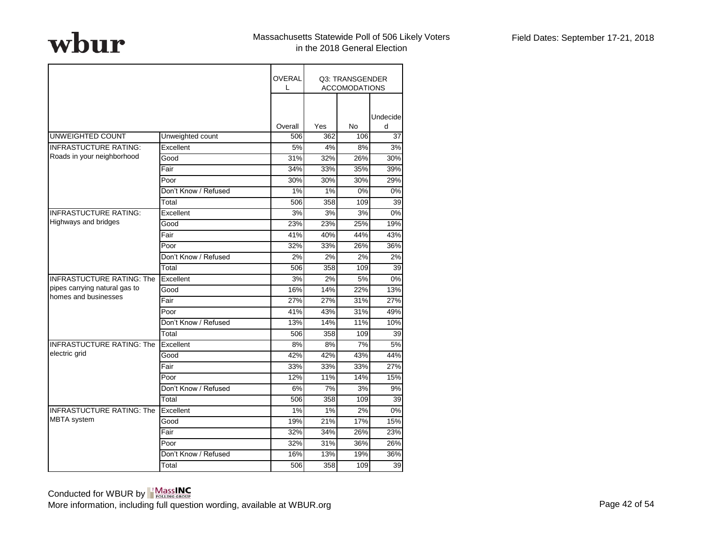|                                  |                      | <b>OVERAL</b><br>L |     | Q3: TRANSGENDER<br><b>ACCOMODATIONS</b> |                  |
|----------------------------------|----------------------|--------------------|-----|-----------------------------------------|------------------|
|                                  |                      | Overall            | Yes | <b>No</b>                               | Undecide<br>d    |
| UNWEIGHTED COUNT                 | Unweighted count     | 506                | 362 | 106                                     | 37               |
| <b>INFRASTUCTURE RATING:</b>     | Excellent            | 5%                 | 4%  | 8%                                      | 3%               |
| Roads in your neighborhood       | Good                 | 31%                | 32% | 26%                                     | 30%              |
|                                  | Fair                 | 34%                | 33% | 35%                                     | 39%              |
|                                  | Poor                 | 30%                | 30% | 30%                                     | 29%              |
|                                  | Don't Know / Refused | 1%                 | 1%  | 0%                                      | 0%               |
|                                  | Total                | 506                | 358 | 109                                     | 39               |
| <b>INFRASTUCTURE RATING:</b>     | Excellent            | 3%                 | 3%  | 3%                                      | $\overline{0\%}$ |
| <b>Highways and bridges</b>      | Good                 | 23%                | 23% | 25%                                     | 19%              |
|                                  | Fair                 | 41%                | 40% | 44%                                     | 43%              |
|                                  | Poor                 | 32%                | 33% | 26%                                     | 36%              |
|                                  | Don't Know / Refused | 2%                 | 2%  | 2%                                      | 2%               |
|                                  | Total                | 506                | 358 | 109                                     | 39               |
| <b>INFRASTUCTURE RATING: The</b> | Excellent            | 3%                 | 2%  | 5%                                      | 0%               |
| pipes carrying natural gas to    | Good                 | 16%                | 14% | 22%                                     | 13%              |
| homes and businesses             | Fair                 | 27%                | 27% | 31%                                     | 27%              |
|                                  | Poor                 | 41%                | 43% | 31%                                     | 49%              |
|                                  | Don't Know / Refused | 13%                | 14% | 11%                                     | 10%              |
|                                  | Total                | 506                | 358 | 109                                     | 39               |
| <b>INFRASTUCTURE RATING: The</b> | Excellent            | 8%                 | 8%  | 7%                                      | 5%               |
| electric grid                    | Good                 | 42%                | 42% | 43%                                     | 44%              |
|                                  | Fair                 | 33%                | 33% | 33%                                     | 27%              |
|                                  | Poor                 | 12%                | 11% | 14%                                     | 15%              |
|                                  | Don't Know / Refused | 6%                 | 7%  | 3%                                      | 9%               |
|                                  | Total                | 506                | 358 | 109                                     | 39               |
| <b>INFRASTUCTURE RATING: The</b> | Excellent            | 1%                 | 1%  | 2%                                      | 0%               |
| <b>MBTA</b> system               | Good                 | 19%                | 21% | 17%                                     | 15%              |
|                                  | Fair                 | 32%                | 34% | 26%                                     | 23%              |
|                                  | Poor                 | 32%                | 31% | 36%                                     | 26%              |
|                                  | Don't Know / Refused | 16%                | 13% | 19%                                     | 36%              |
|                                  | Total                | 506                | 358 | 109                                     | 39               |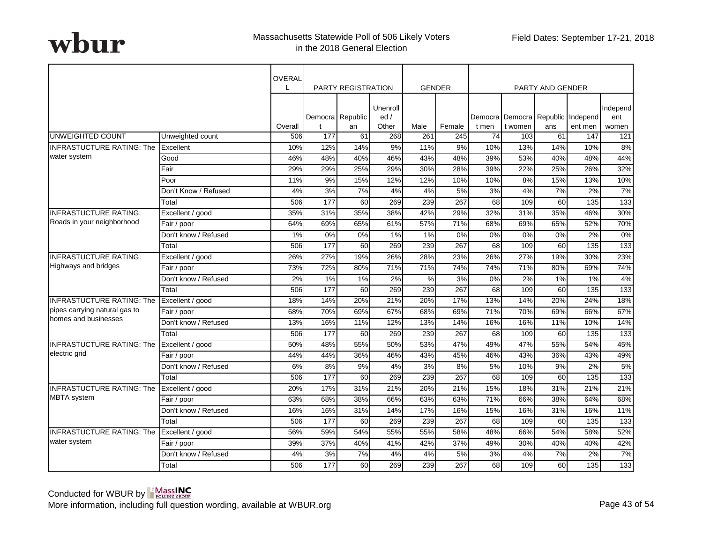|                                  |                      | <b>OVERAL</b> |       | <b>PARTY REGISTRATION</b> |                          |       | <b>GENDER</b> |       |         | <b>PARTY AND GENDER</b> |                                              |                          |
|----------------------------------|----------------------|---------------|-------|---------------------------|--------------------------|-------|---------------|-------|---------|-------------------------|----------------------------------------------|--------------------------|
|                                  |                      | Overall       | t     | Democra Republic<br>an    | Unenroll<br>ed/<br>Other | Male  | Female        | t men | t women | ans                     | Democra Democra Republic Independ<br>ent men | Independ<br>ent<br>women |
| UNWEIGHTED COUNT                 | Unweighted count     | 506           | 177   | 61                        | 268                      | 261   | 245           | 74    | 103     | 61                      | 147                                          | 121                      |
| <b>INFRASTUCTURE RATING: The</b> | Excellent            | 10%           | 12%   | 14%                       | 9%                       | 11%   | 9%            | 10%   | 13%     | 14%                     | 10%                                          | 8%                       |
| water system                     | Good                 | 46%           | 48%   | 40%                       | 46%                      | 43%   | 48%           | 39%   | 53%     | 40%                     | 48%                                          | 44%                      |
|                                  | Fair                 | 29%           | 29%   | 25%                       | 29%                      | 30%   | 28%           | 39%   | 22%     | 25%                     | 26%                                          | 32%                      |
|                                  | Poor                 | 11%           | 9%    | 15%                       | 12%                      | 12%   | 10%           | 10%   | 8%      | 15%                     | 13%                                          | 10%                      |
|                                  | Don't Know / Refused | 4%            | 3%    | 7%                        | 4%                       | 4%    | 5%            | 3%    | 4%      | 7%                      | 2%                                           | 7%                       |
|                                  | Total                | 506           | 177   | 60                        | 269                      | 239   | 267           | 68    | 109     | 60                      | $\overline{135}$                             | 133                      |
| <b>INFRASTUCTURE RATING:</b>     | Excellent / good     | 35%           | 31%   | 35%                       | 38%                      | 42%   | 29%           | 32%   | 31%     | 35%                     | 46%                                          | 30%                      |
| Roads in your neighborhood       | Fair / poor          | 64%           | 69%   | 65%                       | 61%                      | 57%   | 71%           | 68%   | 69%     | 65%                     | 52%                                          | 70%                      |
|                                  | Don't know / Refused | $1\%$         | 0%    | 0%                        | 1%                       | $1\%$ | 0%            | 0%    | 0%      | $0\%$                   | 2%                                           | 0%                       |
|                                  | Total                | 506           | 177   | 60                        | 269                      | 239   | 267           | 68    | 109     | 60                      | 135                                          | 133                      |
| <b>INFRASTUCTURE RATING:</b>     | Excellent / good     | 26%           | 27%   | 19%                       | 26%                      | 28%   | 23%           | 26%   | 27%     | 19%                     | 30%                                          | 23%                      |
| Highways and bridges             | Fair / poor          | 73%           | 72%   | 80%                       | 71%                      | 71%   | 74%           | 74%   | 71%     | 80%                     | 69%                                          | 74%                      |
|                                  | Don't know / Refused | 2%            | $1\%$ | 1%                        | 2%                       | %     | 3%            | 0%    | $2\%$   | 1%                      | 1%                                           | 4%                       |
|                                  | Total                | 506           | 177   | 60                        | 269                      | 239   | 267           | 68    | 109     | 60                      | 135                                          | 133                      |
| <b>INFRASTUCTURE RATING: The</b> | Excellent / good     | 18%           | 14%   | 20%                       | 21%                      | 20%   | 17%           | 13%   | 14%     | 20%                     | 24%                                          | 18%                      |
| pipes carrying natural gas to    | Fair / poor          | 68%           | 70%   | 69%                       | 67%                      | 68%   | 69%           | 71%   | 70%     | 69%                     | 66%                                          | 67%                      |
| homes and businesses             | Don't know / Refused | 13%           | 16%   | 11%                       | 12%                      | 13%   | 14%           | 16%   | 16%     | 11%                     | 10%                                          | 14%                      |
|                                  | Total                | 506           | 177   | 60                        | 269                      | 239   | 267           | 68    | 109     | 60                      | 135                                          | 133                      |
| <b>INFRASTUCTURE RATING: The</b> | Excellent / good     | 50%           | 48%   | 55%                       | 50%                      | 53%   | 47%           | 49%   | 47%     | 55%                     | 54%                                          | 45%                      |
| electric grid                    | Fair / poor          | 44%           | 44%   | 36%                       | 46%                      | 43%   | 45%           | 46%   | 43%     | 36%                     | 43%                                          | 49%                      |
|                                  | Don't know / Refused | 6%            | 8%    | 9%                        | 4%                       | 3%    | 8%            | 5%    | 10%     | 9%                      | 2%                                           | 5%                       |
|                                  | Total                | 506           | 177   | 60                        | 269                      | 239   | 267           | 68    | 109     | 60                      | 135                                          | 133                      |
| <b>INFRASTUCTURE RATING: The</b> | Excellent / good     | 20%           | 17%   | 31%                       | 21%                      | 20%   | 21%           | 15%   | 18%     | 31%                     | 21%                                          | 21%                      |
| <b>MBTA</b> system               | Fair / poor          | 63%           | 68%   | 38%                       | 66%                      | 63%   | 63%           | 71%   | 66%     | 38%                     | 64%                                          | 68%                      |
|                                  | Don't know / Refused | 16%           | 16%   | 31%                       | 14%                      | 17%   | 16%           | 15%   | 16%     | 31%                     | 16%                                          | 11%                      |
|                                  | Total                | 506           | 177   | 60                        | 269                      | 239   | 267           | 68    | 109     | 60                      | 135                                          | 133                      |
| <b>INFRASTUCTURE RATING: The</b> | Excellent / good     | 56%           | 59%   | 54%                       | 55%                      | 55%   | 58%           | 48%   | 66%     | 54%                     | 58%                                          | 52%                      |
| water system                     | Fair / poor          | 39%           | 37%   | 40%                       | 41%                      | 42%   | 37%           | 49%   | 30%     | 40%                     | 40%                                          | 42%                      |
|                                  | Don't know / Refused | 4%            | 3%    | 7%                        | 4%                       | 4%    | 5%            | 3%    | 4%      | 7%                      | 2%                                           | 7%                       |
|                                  | Total                | 506           | 177   | 60                        | 269                      | 239   | 267           | 68    | 109     | 60                      | 135                                          | 133                      |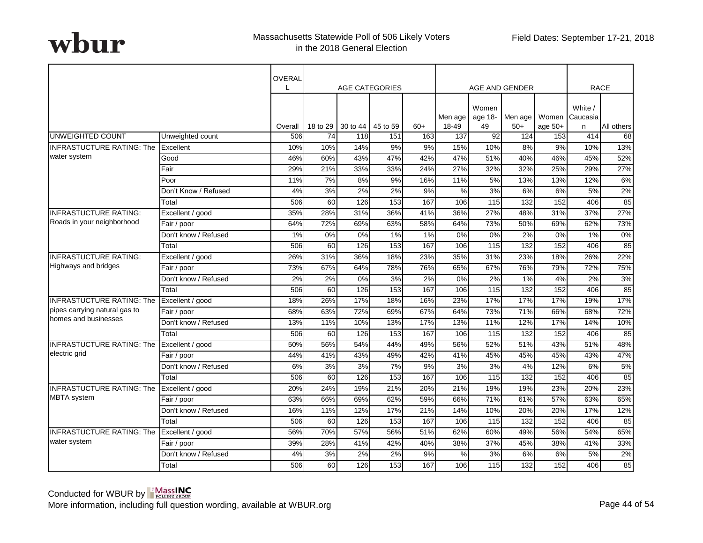|                                  |                      | OVERAL  |                  | <b>AGE CATEGORIES</b> |          |       |                  |                        | AGE AND GENDER   |           |                                | <b>RACE</b> |
|----------------------------------|----------------------|---------|------------------|-----------------------|----------|-------|------------------|------------------------|------------------|-----------|--------------------------------|-------------|
|                                  |                      | Overall | 18 to 29         | 30 to 44              | 45 to 59 | $60+$ | Men age<br>18-49 | Women<br>age 18-<br>49 | Men age<br>$50+$ | age $50+$ | White /<br>Women Caucasia<br>n | All others  |
| UNWEIGHTED COUNT                 | Unweighted count     | 506     | 74               | 118                   | 151      | 163   | 137              | 92                     | 124              | 153       | 414                            | 68          |
| <b>INFRASTUCTURE RATING: The</b> | Excellent            | 10%     | 10%              | 14%                   | 9%       | 9%    | 15%              | 10%                    | 8%               | 9%        | 10%                            | 13%         |
| water system                     | Good                 | 46%     | 60%              | 43%                   | 47%      | 42%   | 47%              | 51%                    | 40%              | 46%       | 45%                            | 52%         |
|                                  | Fair                 | 29%     | 21%              | 33%                   | 33%      | 24%   | 27%              | 32%                    | 32%              | 25%       | 29%                            | 27%         |
|                                  | Poor                 | 11%     | 7%               | 8%                    | 9%       | 16%   | 11%              | 5%                     | 13%              | 13%       | 12%                            | 6%          |
|                                  | Don't Know / Refused | 4%      | 3%               | 2%                    | 2%       | 9%    | %                | 3%                     | 6%               | 6%        | 5%                             | 2%          |
|                                  | Total                | 506     | 60               | 126                   | 153      | 167   | 106              | $\frac{115}{2}$        | 132              | 152       | 406                            | 85          |
| <b>INFRASTUCTURE RATING:</b>     | Excellent / good     | 35%     | 28%              | 31%                   | 36%      | 41%   | 36%              | 27%                    | 48%              | 31%       | 37%                            | 27%         |
| Roads in your neighborhood       | Fair / poor          | 64%     | 72%              | 69%                   | 63%      | 58%   | 64%              | 73%                    | 50%              | 69%       | 62%                            | 73%         |
|                                  | Don't know / Refused | 1%      | $\overline{0\%}$ | 0%                    | 1%       | $1\%$ | 0%               | 0%                     | $2\%$            | $0\%$     | 1%                             | $0\%$       |
|                                  | Total                | 506     | 60               | 126                   | 153      | 167   | 106              | 115                    | 132              | 152       | 406                            | 85          |
| <b>INFRASTUCTURE RATING:</b>     | Excellent / good     | 26%     | 31%              | 36%                   | 18%      | 23%   | 35%              | 31%                    | 23%              | 18%       | 26%                            | 22%         |
| Highways and bridges             | Fair / poor          | 73%     | 67%              | 64%                   | 78%      | 76%   | 65%              | 67%                    | 76%              | 79%       | 72%                            | 75%         |
|                                  | Don't know / Refused | 2%      | 2%               | 0%                    | 3%       | 2%    | 0%               | 2%                     | $1\%$            | 4%        | 2%                             | 3%          |
|                                  | Total                | 506     | 60               | 126                   | 153      | 167   | 106              | 115                    | 132              | 152       | 406                            | 85          |
| <b>INFRASTUCTURE RATING: The</b> | Excellent / good     | 18%     | 26%              | 17%                   | 18%      | 16%   | 23%              | 17%                    | 17%              | 17%       | 19%                            | 17%         |
| pipes carrying natural gas to    | Fair / poor          | 68%     | 63%              | 72%                   | 69%      | 67%   | 64%              | 73%                    | 71%              | 66%       | 68%                            | 72%         |
| homes and businesses             | Don't know / Refused | 13%     | 11%              | 10%                   | 13%      | 17%   | 13%              | 11%                    | 12%              | 17%       | 14%                            | 10%         |
|                                  | Total                | 506     | 60               | 126                   | 153      | 167   | 106              | 115                    | 132              | 152       | 406                            | 85          |
| <b>INFRASTUCTURE RATING: The</b> | Excellent / good     | 50%     | 56%              | 54%                   | 44%      | 49%   | 56%              | 52%                    | 51%              | 43%       | 51%                            | 48%         |
| electric grid                    | Fair / poor          | 44%     | 41%              | 43%                   | 49%      | 42%   | 41%              | 45%                    | 45%              | 45%       | 43%                            | 47%         |
|                                  | Don't know / Refused | 6%      | 3%               | 3%                    | 7%       | 9%    | 3%               | 3%                     | 4%               | 12%       | 6%                             | 5%          |
|                                  | Total                | 506     | 60               | 126                   | 153      | 167   | 106              | 115                    | 132              | 152       | 406                            | 85          |
| <b>INFRASTUCTURE RATING: The</b> | Excellent / good     | 20%     | 24%              | 19%                   | 21%      | 20%   | 21%              | 19%                    | 19%              | 23%       | 20%                            | 23%         |
| <b>MBTA</b> system               | Fair / poor          | 63%     | 66%              | 69%                   | 62%      | 59%   | 66%              | 71%                    | 61%              | 57%       | 63%                            | 65%         |
|                                  | Don't know / Refused | 16%     | 11%              | 12%                   | 17%      | 21%   | 14%              | 10%                    | 20%              | 20%       | 17%                            | 12%         |
|                                  | Total                | 506     | 60               | 126                   | 153      | 167   | 106              | 115                    | 132              | 152       | 406                            | 85          |
| <b>INFRASTUCTURE RATING: The</b> | Excellent / good     | 56%     | 70%              | 57%                   | 56%      | 51%   | 62%              | 60%                    | 49%              | 56%       | 54%                            | 65%         |
| water system                     | Fair / poor          | 39%     | 28%              | 41%                   | 42%      | 40%   | 38%              | 37%                    | 45%              | 38%       | 41%                            | 33%         |
|                                  | Don't know / Refused | 4%      | 3%               | 2%                    | 2%       | 9%    | %                | 3%                     | 6%               | 6%        | 5%                             | 2%          |
|                                  | Total                | 506     | 60               | 126                   | 153      | 167   | 106              | 115                    | 132              | 152       | 406                            | 85          |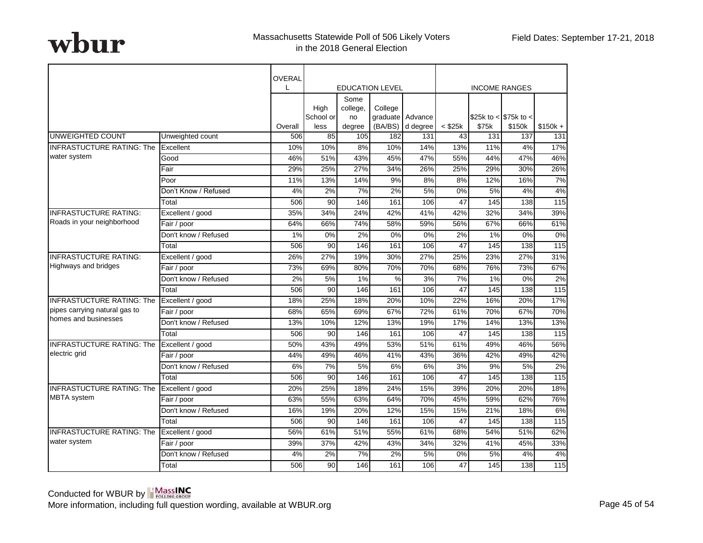|                                  |                      | OVERAL<br>L |                   |                  | <b>EDUCATION LEVEL</b> |                              |              |                                | <b>INCOME RANGES</b> |           |
|----------------------------------|----------------------|-------------|-------------------|------------------|------------------------|------------------------------|--------------|--------------------------------|----------------------|-----------|
|                                  |                      |             | High              | Some<br>college, | College                |                              |              |                                |                      |           |
|                                  |                      | Overall     | School or<br>less | no<br>degree     | (BA/BS)                | graduate Advance<br>d degree | $<$ \$25 $k$ | \$25k to < \$75k to <<br>\$75k | \$150k               | $$150k +$ |
| <b>UNWEIGHTED COUNT</b>          | Unweighted count     | 506         | 85                | 105              | 182                    | 131                          | 43           | 131                            | 137                  | 131       |
| <b>INFRASTUCTURE RATING: The</b> | Excellent            | 10%         | 10%               | 8%               | 10%                    | 14%                          | 13%          | 11%                            | 4%                   | 17%       |
| water system                     | Good                 | 46%         | 51%               | 43%              | 45%                    | 47%                          | 55%          | 44%                            | 47%                  | 46%       |
|                                  | Fair                 | 29%         | 25%               | 27%              | 34%                    | 26%                          | 25%          | 29%                            | 30%                  | 26%       |
|                                  | Poor                 | 11%         | 13%               | 14%              | 9%                     | 8%                           | 8%           | 12%                            | 16%                  | 7%        |
|                                  | Don't Know / Refused | 4%          | 2%                | 7%               | 2%                     | 5%                           | 0%           | 5%                             | 4%                   | 4%        |
|                                  | Total                | 506         | $\overline{90}$   | 146              | 161                    | 106                          | 47           | 145                            | $\overline{138}$     | 115       |
| <b>INFRASTUCTURE RATING:</b>     | Excellent / good     | 35%         | 34%               | 24%              | 42%                    | 41%                          | 42%          | 32%                            | 34%                  | 39%       |
| Roads in your neighborhood       | Fair / poor          | 64%         | 66%               | 74%              | 58%                    | 59%                          | 56%          | 67%                            | 66%                  | 61%       |
|                                  | Don't know / Refused | 1%          | 0%                | 2%               | 0%                     | $0\%$                        | 2%           | 1%                             | 0%                   | 0%        |
|                                  | Total                | 506         | 90                | 146              | 161                    | 106                          | 47           | 145                            | 138                  | 115       |
| <b>INFRASTUCTURE RATING:</b>     | Excellent / good     | 26%         | 27%               | 19%              | 30%                    | 27%                          | 25%          | 23%                            | 27%                  | 31%       |
| Highways and bridges             | Fair / poor          | 73%         | 69%               | 80%              | 70%                    | 70%                          | 68%          | 76%                            | 73%                  | 67%       |
|                                  | Don't know / Refused | 2%          | 5%                | 1%               | %                      | 3%                           | 7%           | $1\%$                          | 0%                   | 2%        |
|                                  | Total                | 506         | 90                | 146              | 161                    | 106                          | 47           | 145                            | 138                  | 115       |
| <b>INFRASTUCTURE RATING: The</b> | Excellent / good     | 18%         | 25%               | 18%              | 20%                    | 10%                          | 22%          | 16%                            | 20%                  | 17%       |
| pipes carrying natural gas to    | Fair / poor          | 68%         | 65%               | 69%              | 67%                    | 72%                          | 61%          | 70%                            | 67%                  | 70%       |
| homes and businesses             | Don't know / Refused | 13%         | 10%               | 12%              | 13%                    | 19%                          | 17%          | 14%                            | 13%                  | 13%       |
|                                  | Total                | 506         | 90                | 146              | 161                    | 106                          | 47           | 145                            | 138                  | 115       |
| <b>INFRASTUCTURE RATING: The</b> | Excellent / good     | 50%         | 43%               | 49%              | 53%                    | 51%                          | 61%          | 49%                            | 46%                  | 56%       |
| electric grid                    | Fair / poor          | 44%         | 49%               | 46%              | 41%                    | 43%                          | 36%          | 42%                            | 49%                  | 42%       |
|                                  | Don't know / Refused | 6%          | 7%                | 5%               | 6%                     | 6%                           | 3%           | 9%                             | 5%                   | 2%        |
|                                  | Total                | 506         | 90                | 146              | 161                    | 106                          | 47           | 145                            | 138                  | 115       |
| <b>INFRASTUCTURE RATING: The</b> | Excellent / good     | 20%         | 25%               | 18%              | 24%                    | 15%                          | 39%          | 20%                            | 20%                  | 18%       |
| <b>MBTA</b> system               | Fair / poor          | 63%         | 55%               | 63%              | 64%                    | 70%                          | 45%          | 59%                            | 62%                  | 76%       |
|                                  | Don't know / Refused | 16%         | 19%               | 20%              | 12%                    | 15%                          | 15%          | 21%                            | 18%                  | 6%        |
|                                  | Total                | 506         | 90                | 146              | 161                    | 106                          | 47           | 145                            | 138                  | 115       |
| <b>INFRASTUCTURE RATING: The</b> | Excellent / good     | 56%         | 61%               | 51%              | 55%                    | 61%                          | 68%          | 54%                            | 51%                  | 62%       |
| water system                     | Fair / poor          | 39%         | 37%               | 42%              | 43%                    | 34%                          | 32%          | 41%                            | 45%                  | 33%       |
|                                  | Don't know / Refused | 4%          | 2%                | 7%               | 2%                     | 5%                           | 0%           | 5%                             | 4%                   | 4%        |
|                                  | Total                | 506         | 90                | 146              | 161                    | 106                          | 47           | 145                            | 138                  | 115       |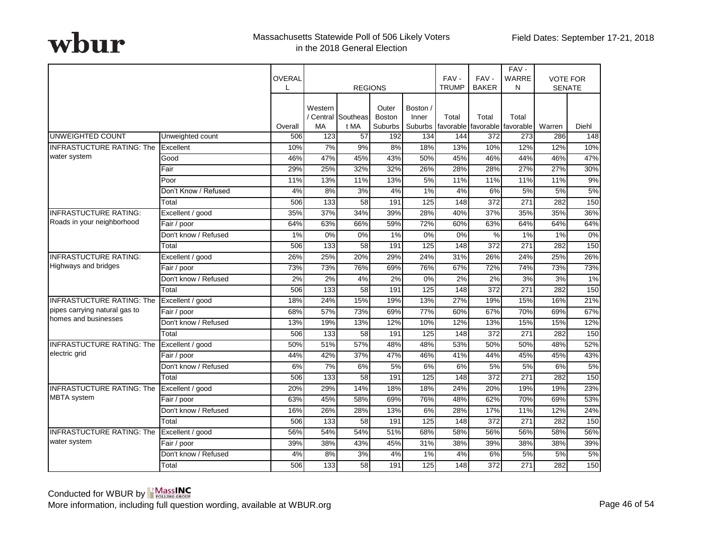|                                  |                      | OVERAL<br>L | <b>REGIONS</b>   |                            |                                   |                              |       |                  | FAV-<br><b>TRUMP</b>                   | FAV-<br><b>BAKER</b> | FAV-<br><b>WARRE</b><br>N | <b>SENATE</b> | <b>VOTE FOR</b> |
|----------------------------------|----------------------|-------------|------------------|----------------------------|-----------------------------------|------------------------------|-------|------------------|----------------------------------------|----------------------|---------------------------|---------------|-----------------|
|                                  |                      | Overall     | Western<br>MA    | / Central Southeas<br>t MA | Outer<br><b>Boston</b><br>Suburbs | Boston /<br>Inner<br>Suburbs | Total | Total            | Total<br>favorable favorable favorable | Warren               | Diehl                     |               |                 |
| <b>UNWEIGHTED COUNT</b>          | Unweighted count     | 506         | 123              | 57                         | 192                               | 134                          | 144   | 372              | 273                                    | 286                  | 148                       |               |                 |
| <b>INFRASTUCTURE RATING: The</b> | Excellent            | 10%         | 7%               | 9%                         | 8%                                | 18%                          | 13%   | 10%              | 12%                                    | 12%                  | 10%                       |               |                 |
| water system                     | Good                 | 46%         | 47%              | 45%                        | 43%                               | 50%                          | 45%   | 46%              | 44%                                    | 46%                  | 47%                       |               |                 |
|                                  | Fair                 | 29%         | 25%              | 32%                        | 32%                               | 26%                          | 28%   | 28%              | 27%                                    | 27%                  | 30%                       |               |                 |
|                                  | Poor                 | 11%         | 13%              | 11%                        | 13%                               | 5%                           | 11%   | 11%              | 11%                                    | 11%                  | 9%                        |               |                 |
|                                  | Don't Know / Refused | 4%          | 8%               | 3%                         | 4%                                | 1%                           | 4%    | 6%               | 5%                                     | 5%                   | 5%                        |               |                 |
|                                  | Total                | 506         | 133              | $\overline{58}$            | 191                               | $\overline{125}$             | 148   | $\overline{372}$ | $\overline{271}$                       | 282                  | 150                       |               |                 |
| <b>INFRASTUCTURE RATING:</b>     | Excellent / good     | 35%         | 37%              | 34%                        | 39%                               | 28%                          | 40%   | 37%              | 35%                                    | 35%                  | 36%                       |               |                 |
| Roads in your neighborhood       | Fair / poor          | 64%         | 63%              | 66%                        | 59%                               | 72%                          | 60%   | 63%              | 64%                                    | 64%                  | 64%                       |               |                 |
|                                  | Don't know / Refused | 1%          | $0\%$            | 0%                         | $1\%$                             | 0%                           | 0%    | $\frac{0}{2}$    | 1%                                     | 1%                   | $0\%$                     |               |                 |
|                                  | Total                | 506         | $\overline{133}$ | 58                         | 191                               | 125                          | 148   | 372              | 271                                    | 282                  | 150                       |               |                 |
| <b>INFRASTUCTURE RATING:</b>     | Excellent / good     | 26%         | 25%              | 20%                        | 29%                               | 24%                          | 31%   | 26%              | 24%                                    | 25%                  | 26%                       |               |                 |
| Highways and bridges             | Fair / poor          | 73%         | 73%              | 76%                        | 69%                               | 76%                          | 67%   | 72%              | 74%                                    | 73%                  | 73%                       |               |                 |
|                                  | Don't know / Refused | 2%          | 2%               | 4%                         | 2%                                | 0%                           | 2%    | 2%               | 3%                                     | 3%                   | $1\%$                     |               |                 |
|                                  | Total                | 506         | $\overline{133}$ | 58                         | 191                               | 125                          | 148   | 372              | 271                                    | 282                  | 150                       |               |                 |
| <b>INFRASTUCTURE RATING: The</b> | Excellent / good     | 18%         | 24%              | 15%                        | 19%                               | 13%                          | 27%   | 19%              | 15%                                    | 16%                  | 21%                       |               |                 |
| pipes carrying natural gas to    | Fair / poor          | 68%         | 57%              | 73%                        | 69%                               | 77%                          | 60%   | 67%              | 70%                                    | 69%                  | 67%                       |               |                 |
| homes and businesses             | Don't know / Refused | 13%         | 19%              | 13%                        | 12%                               | 10%                          | 12%   | 13%              | 15%                                    | 15%                  | 12%                       |               |                 |
|                                  | Total                | 506         | 133              | 58                         | 191                               | 125                          | 148   | 372              | 271                                    | 282                  | 150                       |               |                 |
| INFRASTUCTURE RATING: The        | Excellent / good     | 50%         | 51%              | 57%                        | 48%                               | 48%                          | 53%   | 50%              | 50%                                    | 48%                  | 52%                       |               |                 |
| electric grid                    | Fair / poor          | 44%         | 42%              | 37%                        | 47%                               | 46%                          | 41%   | 44%              | 45%                                    | 45%                  | 43%                       |               |                 |
|                                  | Don't know / Refused | 6%          | 7%               | 6%                         | 5%                                | 6%                           | 6%    | 5%               | 5%                                     | 6%                   | 5%                        |               |                 |
|                                  | Total                | 506         | 133              | 58                         | 191                               | 125                          | 148   | 372              | 271                                    | 282                  | 150                       |               |                 |
| INFRASTUCTURE RATING: The        | Excellent / good     | 20%         | 29%              | 14%                        | 18%                               | 18%                          | 24%   | 20%              | 19%                                    | 19%                  | 23%                       |               |                 |
| MBTA system                      | Fair / poor          | 63%         | 45%              | 58%                        | 69%                               | 76%                          | 48%   | 62%              | 70%                                    | 69%                  | 53%                       |               |                 |
|                                  | Don't know / Refused | 16%         | 26%              | 28%                        | 13%                               | 6%                           | 28%   | 17%              | 11%                                    | 12%                  | 24%                       |               |                 |
|                                  | Total                | 506         | 133              | 58                         | 191                               | 125                          | 148   | 372              | 271                                    | 282                  | 150                       |               |                 |
| INFRASTUCTURE RATING: The        | Excellent / good     | 56%         | 54%              | 54%                        | 51%                               | 68%                          | 58%   | 56%              | 56%                                    | 58%                  | 56%                       |               |                 |
| water system                     | Fair / poor          | 39%         | 38%              | 43%                        | 45%                               | 31%                          | 38%   | 39%              | 38%                                    | 38%                  | 39%                       |               |                 |
|                                  | Don't know / Refused | 4%          | 8%               | 3%                         | 4%                                | 1%                           | 4%    | 6%               | 5%                                     | 5%                   | 5%                        |               |                 |
|                                  | Total                | 506         | 133              | 58                         | 191                               | 125                          | 148   | 372              | 271                                    | 282                  | 150                       |               |                 |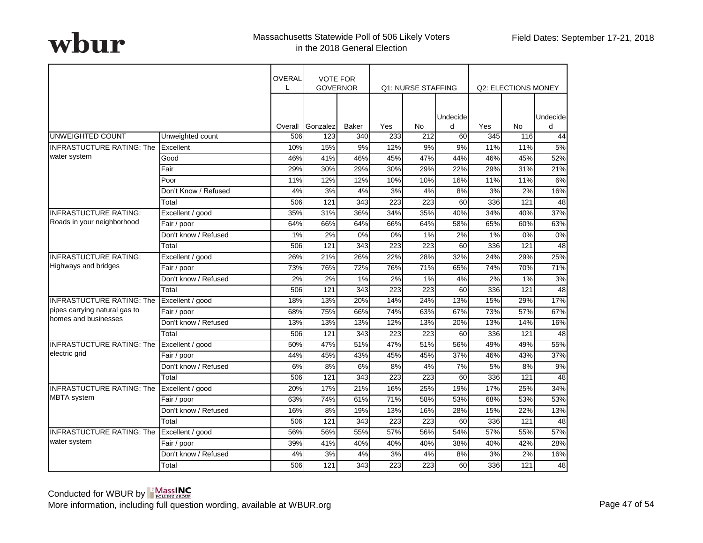|                                  |                      | <b>OVERAL</b> | <b>VOTE FOR</b><br><b>GOVERNOR</b> |              |                  | Q1: NURSE STAFFING |               |     | Q2: ELECTIONS MONEY |                |
|----------------------------------|----------------------|---------------|------------------------------------|--------------|------------------|--------------------|---------------|-----|---------------------|----------------|
|                                  |                      | Overall       | Gonzalez                           | <b>Baker</b> | Yes              | No.                | Undecide<br>d | Yes | No                  | Undecidel<br>H |
| UNWEIGHTED COUNT                 | Unweighted count     | 506           | 123                                | 340          | 233              | 212                | 60            | 345 | 116                 | 44             |
| <b>INFRASTUCTURE RATING: The</b> | Excellent            | 10%           | 15%                                | 9%           | 12%              | 9%                 | 9%            | 11% | 11%                 | 5%             |
| water system                     | Good                 | 46%           | 41%                                | 46%          | 45%              | 47%                | 44%           | 46% | 45%                 | 52%            |
|                                  | Fair                 | 29%           | 30%                                | 29%          | 30%              | 29%                | 22%           | 29% | 31%                 | 21%            |
|                                  | Poor                 | 11%           | 12%                                | 12%          | 10%              | 10%                | 16%           | 11% | 11%                 | 6%             |
|                                  | Don't Know / Refused | 4%            | 3%                                 | 4%           | 3%               | 4%                 | 8%            | 3%  | 2%                  | 16%            |
|                                  | Total                | 506           | 121                                | 343          | 223              | 223                | 60            | 336 | 121                 | 48             |
| <b>INFRASTUCTURE RATING:</b>     | Excellent / good     | 35%           | 31%                                | 36%          | 34%              | 35%                | 40%           | 34% | 40%                 | 37%            |
| Roads in your neighborhood       | Fair / poor          | 64%           | 66%                                | 64%          | 66%              | 64%                | 58%           | 65% | 60%                 | 63%            |
|                                  | Don't know / Refused | 1%            | 2%                                 | 0%           | 0%               | 1%                 | 2%            | 1%  | 0%                  | 0%             |
|                                  | Total                | 506           | $\overline{121}$                   | 343          | 223              | $\overline{223}$   | 60            | 336 | $\overline{121}$    | 48             |
| <b>INFRASTUCTURE RATING:</b>     | Excellent / good     | 26%           | 21%                                | 26%          | 22%              | 28%                | 32%           | 24% | 29%                 | 25%            |
| Highways and bridges             | Fair / poor          | 73%           | 76%                                | 72%          | 76%              | 71%                | 65%           | 74% | 70%                 | 71%            |
|                                  | Don't know / Refused | 2%            | 2%                                 | 1%           | 2%               | 1%                 | 4%            | 2%  | 1%                  | 3%             |
|                                  | Total                | 506           | 121                                | 343          | $\overline{223}$ | 223                | 60            | 336 | 121                 | 48             |
| <b>INFRASTUCTURE RATING: The</b> | Excellent / good     | 18%           | 13%                                | 20%          | 14%              | 24%                | 13%           | 15% | 29%                 | 17%            |
| pipes carrying natural gas to    | Fair / poor          | 68%           | 75%                                | 66%          | 74%              | 63%                | 67%           | 73% | 57%                 | 67%            |
| homes and businesses             | Don't know / Refused | 13%           | 13%                                | 13%          | 12%              | 13%                | 20%           | 13% | 14%                 | 16%            |
|                                  | Total                | 506           | 121                                | 343          | 223              | 223                | 60            | 336 | 121                 | 48             |
| <b>INFRASTUCTURE RATING: The</b> | Excellent / good     | 50%           | 47%                                | 51%          | 47%              | 51%                | 56%           | 49% | 49%                 | 55%            |
| electric grid                    | Fair / poor          | 44%           | 45%                                | 43%          | 45%              | 45%                | 37%           | 46% | 43%                 | 37%            |
|                                  | Don't know / Refused | 6%            | 8%                                 | 6%           | 8%               | 4%                 | 7%            | 5%  | 8%                  | 9%             |
|                                  | Total                | 506           | 121                                | 343          | 223              | 223                | 60            | 336 | 121                 | 48             |
| <b>INFRASTUCTURE RATING: The</b> | Excellent / good     | 20%           | 17%                                | 21%          | 16%              | 25%                | 19%           | 17% | 25%                 | 34%            |
| <b>MBTA</b> system               | Fair / poor          | 63%           | 74%                                | 61%          | 71%              | 58%                | 53%           | 68% | 53%                 | 53%            |
|                                  | Don't know / Refused | 16%           | 8%                                 | 19%          | 13%              | 16%                | 28%           | 15% | 22%                 | 13%            |
|                                  | Total                | 506           | 121                                | 343          | 223              | 223                | 60            | 336 | 121                 | 48             |
| <b>INFRASTUCTURE RATING: The</b> | Excellent / good     | 56%           | 56%                                | 55%          | 57%              | 56%                | 54%           | 57% | 55%                 | 57%            |
| water system                     | Fair / poor          | 39%           | 41%                                | 40%          | 40%              | 40%                | 38%           | 40% | 42%                 | 28%            |
|                                  | Don't know / Refused | 4%            | 3%                                 | 4%           | 3%               | 4%                 | 8%            | 3%  | 2%                  | 16%            |
|                                  | Total                | 506           | 121                                | 343          | 223              | 223                | 60            | 336 | 121                 | 48             |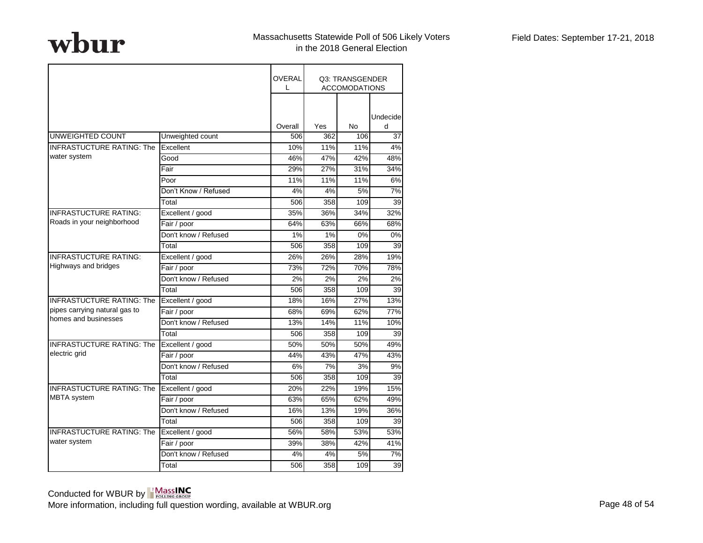|                                  |                      | OVERAL  |     | Q3: TRANSGENDER<br><b>ACCOMODATIONS</b> |               |
|----------------------------------|----------------------|---------|-----|-----------------------------------------|---------------|
|                                  |                      | Overall | Yes | No                                      | Undecide<br>d |
| <b>UNWEIGHTED COUNT</b>          | Unweighted count     | 506     | 362 | 106                                     | 37            |
| <b>INFRASTUCTURE RATING: The</b> | Excellent            | 10%     | 11% | 11%                                     | 4%            |
| water system                     | Good                 | 46%     | 47% | 42%                                     | 48%           |
|                                  | Fair                 | 29%     | 27% | 31%                                     | 34%           |
|                                  | Poor                 | 11%     | 11% | 11%                                     | 6%            |
|                                  | Don't Know / Refused | 4%      | 4%  | 5%                                      | 7%            |
|                                  | Total                | 506     | 358 | 109                                     | 39            |
| <b>INFRASTUCTURE RATING:</b>     | Excellent / good     | 35%     | 36% | 34%                                     | 32%           |
| Roads in your neighborhood       | Fair / poor          | 64%     | 63% | 66%                                     | 68%           |
|                                  | Don't know / Refused | 1%      | 1%  | 0%                                      | 0%            |
|                                  | Total                | 506     | 358 | 109                                     | 39            |
| <b>INFRASTUCTURE RATING:</b>     | Excellent / good     | 26%     | 26% | 28%                                     | 19%           |
| Highways and bridges             | Fair / poor          | 73%     | 72% | 70%                                     | 78%           |
|                                  | Don't know / Refused | 2%      | 2%  | 2%                                      | 2%            |
|                                  | Total                | 506     | 358 | 109                                     | 39            |
| <b>INFRASTUCTURE RATING: The</b> | Excellent / good     | 18%     | 16% | 27%                                     | 13%           |
| pipes carrying natural gas to    | Fair / poor          | 68%     | 69% | 62%                                     | 77%           |
| homes and businesses             | Don't know / Refused | 13%     | 14% | 11%                                     | 10%           |
|                                  | Total                | 506     | 358 | 109                                     | 39            |
| <b>INFRASTUCTURE RATING: The</b> | Excellent / good     | 50%     | 50% | 50%                                     | 49%           |
| electric grid                    | Fair / poor          | 44%     | 43% | 47%                                     | 43%           |
|                                  | Don't know / Refused | 6%      | 7%  | 3%                                      | 9%            |
|                                  | Total                | 506     | 358 | 109                                     | 39            |
| <b>INFRASTUCTURE RATING: The</b> | Excellent / good     | 20%     | 22% | 19%                                     | 15%           |
| <b>MBTA</b> system               | Fair / poor          | 63%     | 65% | 62%                                     | 49%           |
|                                  | Don't know / Refused | 16%     | 13% | 19%                                     | 36%           |
|                                  | Total                | 506     | 358 | 109                                     | 39            |
| <b>INFRASTUCTURE RATING: The</b> | Excellent / good     | 56%     | 58% | 53%                                     | 53%           |
| water system                     | Fair / poor          | 39%     | 38% | 42%                                     | 41%           |
|                                  | Don't know / Refused | 4%      | 4%  | 5%                                      | 7%            |
|                                  | Total                | 506     | 358 | 109                                     | 39            |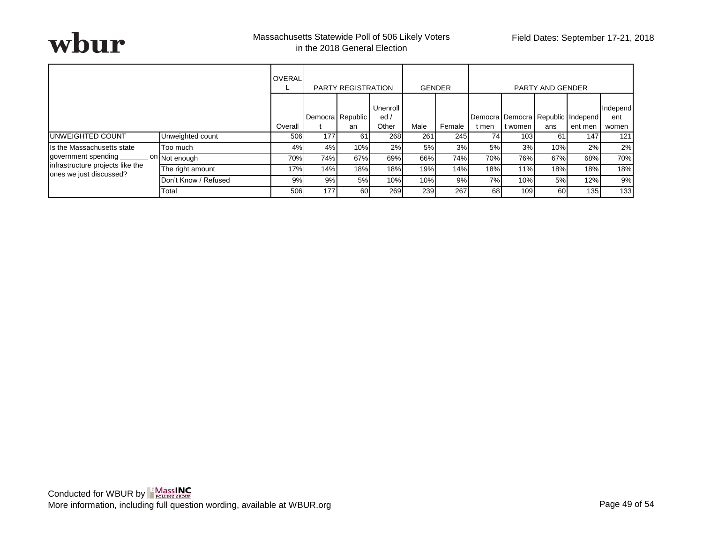

|                                                             |                            | <b>OVERAL</b><br><b>PARTY REGISTRATION</b> |     |                        | <b>GENDER</b>            |      | <b>PARTY AND GENDER</b> |                                                                                     |  |                                                                        |         |                          |
|-------------------------------------------------------------|----------------------------|--------------------------------------------|-----|------------------------|--------------------------|------|-------------------------|-------------------------------------------------------------------------------------|--|------------------------------------------------------------------------|---------|--------------------------|
|                                                             |                            | Overall                                    |     | Democra Republic<br>an | Unenroll<br>ed/<br>Other | Male | Female                  | t men                                                                               |  | ans                                                                    | ent men | Independ<br>ent<br>women |
| <b>IUNWEIGHTED COUNT</b>                                    | Unweighted count           | 506                                        | 177 | 61                     | 268                      | 261  | 245                     |                                                                                     |  | 61                                                                     | 147     | 121                      |
| Is the Massachusetts state                                  | Too much                   | 4%                                         | 4%  | 10%                    | 2%                       | 5%   | 3%                      |                                                                                     |  |                                                                        | 2%      | 2%                       |
| government spending                                         | . <sup>On</sup> Not enough | 70%                                        | 74% | 67%                    | 69%                      | 66%  | 74%                     |                                                                                     |  | 103<br>3%<br>10%<br>76%<br>67%<br>18%<br>11%<br>5%<br>10%<br>60<br>109 | 68%     | 70%                      |
| infrastructure projects like the<br>ones we just discussed? | The right amount           | 17%                                        | 14% | 18%                    | 18%                      | 19%  | 14%                     | Democra Democra Republic Independ<br>t women<br>741<br>5%<br>70%<br>18%<br>7%<br>68 |  | 18%                                                                    | 18%     |                          |
|                                                             | Don't Know / Refused       | 9%                                         | 9%  | 5%                     | 10%                      | 10%  | 9%                      |                                                                                     |  |                                                                        | 12%     | 9%                       |
|                                                             | Total                      | 506                                        | 177 | 60                     | 269                      | 239  | 267                     |                                                                                     |  |                                                                        | 135     | 133                      |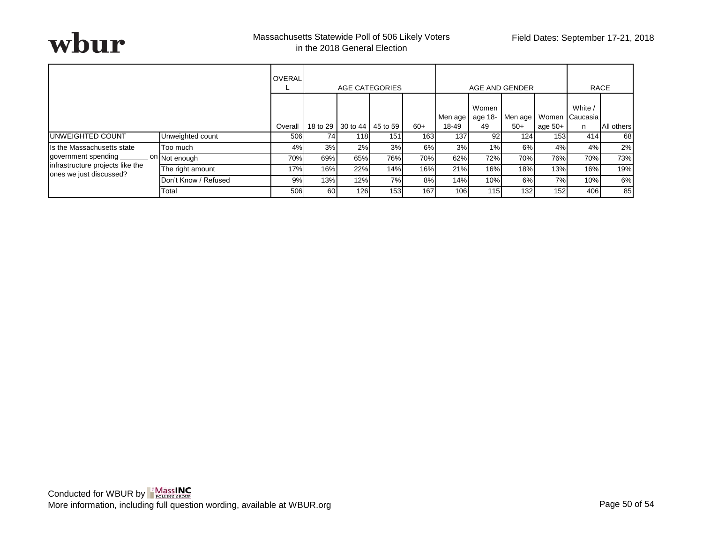

|                                                             |                      | <b>OVERAL</b> | AGE CATEGORIES |                     |          |       |                  | AGE AND GENDER         | <b>RACE</b>      |                    |                                   |                   |
|-------------------------------------------------------------|----------------------|---------------|----------------|---------------------|----------|-------|------------------|------------------------|------------------|--------------------|-----------------------------------|-------------------|
|                                                             |                      | Overall       |                | 18 to 29   30 to 44 | 45 to 59 | $60+$ | Men age<br>18-49 | Women<br>age 18-<br>49 | Men age<br>$50+$ | Women<br>age $50+$ | White /<br><b>I</b> Caucasia<br>n | <b>All others</b> |
| <b>IUNWEIGHTED COUNT</b>                                    | Unweighted count     | 506           | 74             | 118                 | 151      | 163   | 137              | 92                     | 124              | 153                | 414                               | 68                |
| Is the Massachusetts state                                  | Too much             | 4%            | 3%             | 2%                  | 3%       | 6%    | 3%               | 1%                     | 6%               | 4%                 | 4%                                | 2%                |
| government spending                                         | on Not enough        | 70%           | 69%            | 65%                 | 76%      | 70%   | 62%              | 72%                    | 70%              | 76%                | 70%                               | 73%               |
| infrastructure projects like the<br>ones we just discussed? | The right amount     | 17%           | 16%            | 22%                 | 14%      | 16%   | 21%              | 16%                    | 18%              | 13%                | 16%                               | 19%               |
|                                                             | Don't Know / Refused | 9%            | 13%            | 12%                 | 7%       | 8%    | 14%              | 10%                    | 6%               | 7%                 | 10%                               | 6%                |
|                                                             | Total                | 506           | 60             | 126                 | 153      | 167   | 106              | 115                    | 132 <sub>l</sub> | 152                | 406                               | 85                |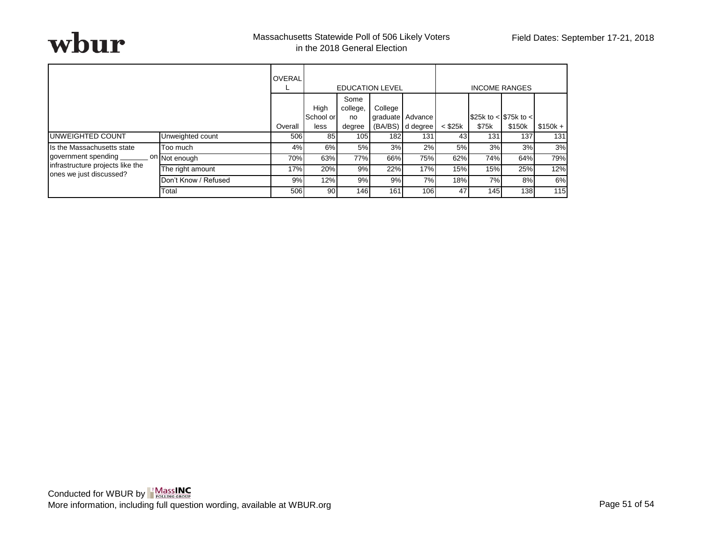|                                                             | <b>OVERAL</b>              |         |                           |                                  | <b>EDUCATION LEVEL</b> |                                      |                 |                                                                                 |                  |           |
|-------------------------------------------------------------|----------------------------|---------|---------------------------|----------------------------------|------------------------|--------------------------------------|-----------------|---------------------------------------------------------------------------------|------------------|-----------|
|                                                             |                            | Overall | High<br>School or<br>less | Some<br>college,<br>no<br>degree | College                | graduate Advance<br>(BA/BS) d degree | $<$ \$25 $k$    | \$75k                                                                           | \$150k           | $$150k +$ |
| <b>IUNWEIGHTED COUNT</b>                                    | Unweighted count           | 506     | 85                        | 105                              | <b>182</b>             | 131                                  | 43 <sub>l</sub> | 131                                                                             | 137              | 131       |
| Is the Massachusetts state                                  | Too much                   | 4%      | 6%                        | 5%                               | 3%                     | 2%                                   | 5%              |                                                                                 | 3%               | 3%        |
| government spending                                         | . <sup>On</sup> Not enough | 70%     | 63%                       | 77%                              | 66%                    | 75%                                  | 62%             |                                                                                 | 64%              | 79%       |
| infrastructure projects like the<br>ones we just discussed? | The right amount           | 17%     | 20%                       | 9%                               | 22%                    | 17%                                  | 15%             | <b>INCOME RANGES</b><br>\$25k to < $$75k$ to <<br>3%<br>74%<br>15%<br>7%<br>145 | 25%              | 12%       |
|                                                             | Don't Know / Refused       | 9%      | 12%                       | 9%                               | 9%                     | 7%                                   | 18%             |                                                                                 | 8%               | 6%        |
|                                                             | Total                      | 506     | 90                        | 146                              | 161                    | 106                                  | 47              |                                                                                 | 138 <sup>l</sup> | 115       |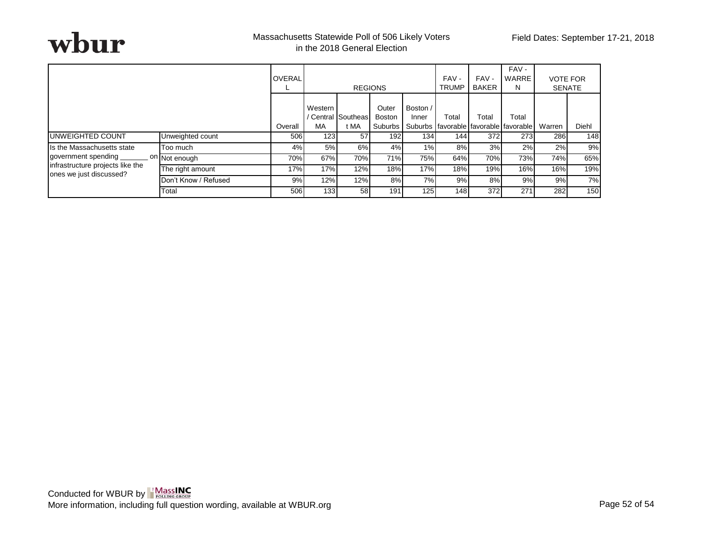

|                                                             |                            | <b>OVERAL</b><br>┕ |               | <b>REGIONS</b>                    |                                     |                   | FAV-<br><b>TRUMP</b> | FAV-<br>BAKER | FAV-<br>WARRE<br>N.                                    | <b>VOTE FOR</b><br><b>SENATE</b> |       |
|-------------------------------------------------------------|----------------------------|--------------------|---------------|-----------------------------------|-------------------------------------|-------------------|----------------------|---------------|--------------------------------------------------------|----------------------------------|-------|
|                                                             |                            | Overall            | Western<br>MA | / Central <i>Southeas</i><br>t MA | Outer<br><b>Boston</b><br>Suburbs I | Boston /<br>Inner | Total                | Total         | Total<br>Suburbs I favorable I favorable I favorable I | Warren                           | Diehl |
| <b>IUNWEIGHTED COUNT</b>                                    | Unweighted count           | 506                | 123           | 57                                | 192                                 | 134               | 144                  | 372           | 273                                                    | 286                              | 148   |
| Is the Massachusetts state                                  | Too much                   | 4%                 | 5%            | 6%                                | 4%                                  | 1%                | 8%                   | 3%            | 2%                                                     | 2%                               | 9%    |
| government spending                                         | . <sup>On</sup> Not enough | 70%                | 67%           | 70%                               | 71%                                 | 75%               | 64%                  | 70%           | 73%                                                    | 74%                              | 65%   |
| infrastructure projects like the<br>ones we just discussed? | The right amount           | 17%                | 17%           | 12%                               | 18%                                 | 17%               | 18%                  | 19%           | 16%                                                    | 16%                              | 19%   |
|                                                             | Don't Know / Refused       | 9%                 | 12%           | 12%                               | 8%                                  | 7%                | 9%                   | 8%            | 9%                                                     | 9%                               | 7%    |
|                                                             | Total                      | 506                | 133           | 58                                | 191                                 | 125               | 148                  | 372           | 271                                                    | 282                              | 150   |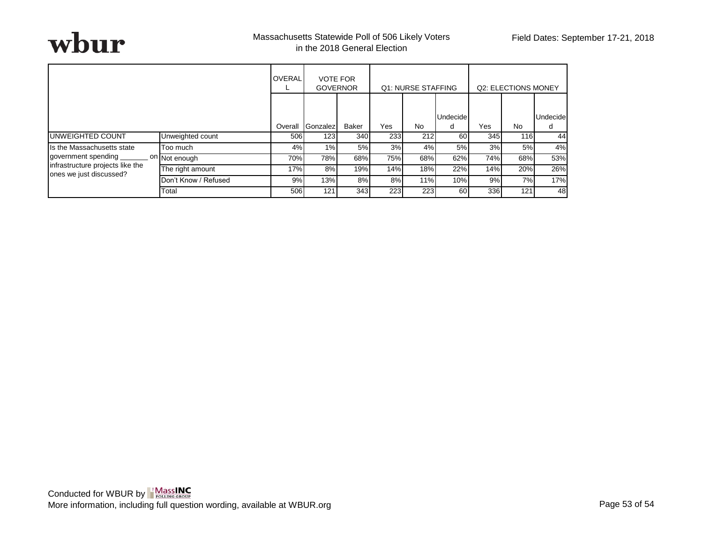

|                                                             |                      | <b>OVERAL</b> | <b>VOTE FOR</b><br><b>GOVERNOR</b> |              |     | Q1: NURSE STAFFING |               |     | Q2: ELECTIONS MONEY |                      |
|-------------------------------------------------------------|----------------------|---------------|------------------------------------|--------------|-----|--------------------|---------------|-----|---------------------|----------------------|
|                                                             |                      | Overall       | Gonzalez                           | <b>Baker</b> | Yes | <b>No</b>          | Undecide<br>d | Yes | No.                 | <b>Undecide</b><br>d |
| UNWEIGHTED COUNT                                            | Unweighted count     | 506           | 123                                | 340          | 233 | 212                | 60            | 345 | <b>116</b>          | 44                   |
| Is the Massachusetts state                                  | Too much             | 4%            | 1%                                 | 5%           | 3%  | 4%                 | 5%            | 3%  | 5%                  | 4%                   |
| government spending<br>on                                   | Not enough           | 70%           | 78%                                | 68%          | 75% | 68%                | 62%           | 74% | 68%                 | 53%                  |
| infrastructure projects like the<br>ones we just discussed? | The right amount     | 17%           | 8%                                 | 19%          | 14% | 18%                | 22%           | 14% | 20%                 | 26%                  |
|                                                             | Don't Know / Refused | 9%            | 13%                                | 8%           | 8%  | 11%                | 10%           | 9%  | 7%                  | 17%                  |
|                                                             | Total                | 506           | 121                                | 343          | 223 | 223                | 60            | 336 | 121                 | 48                   |